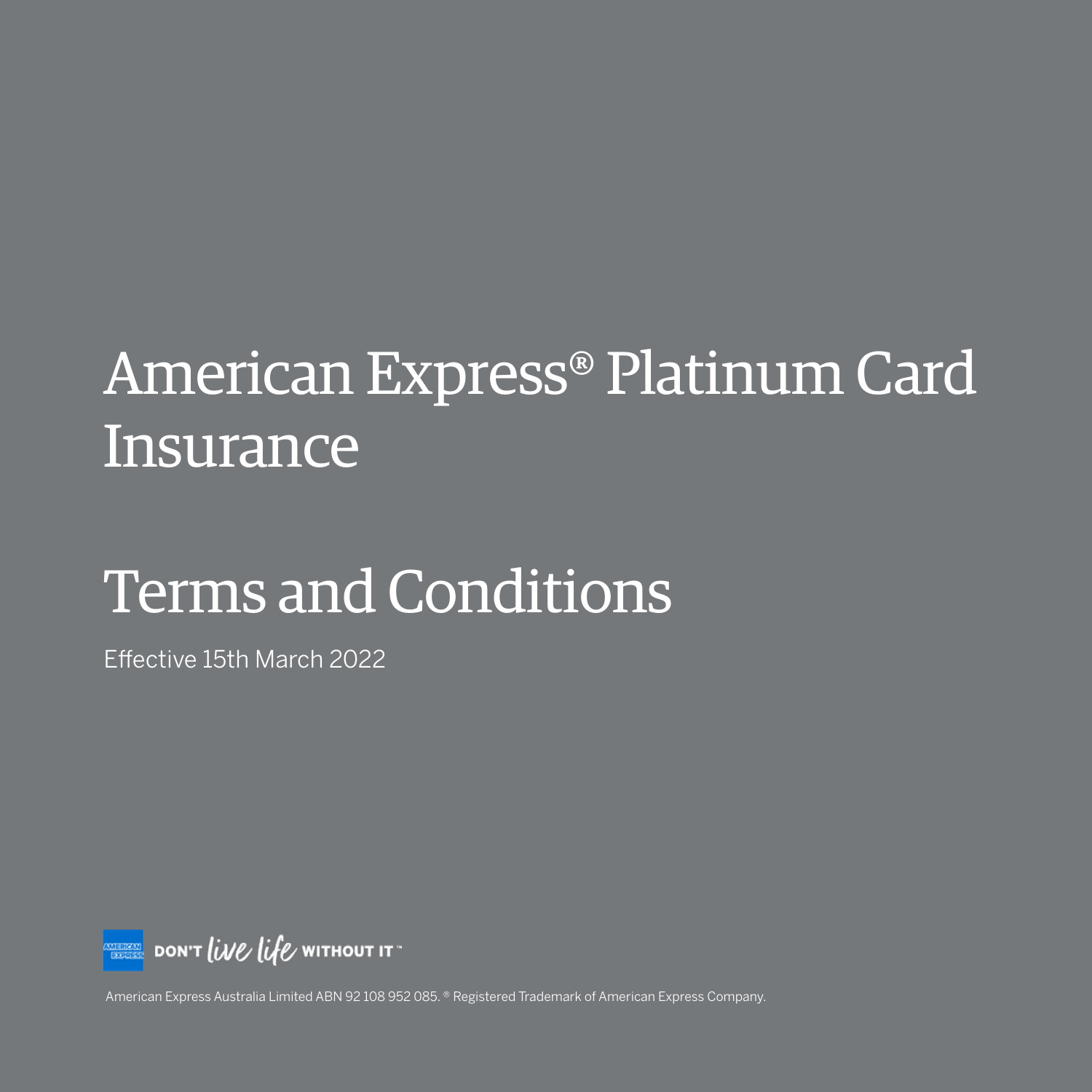# American Express® Platinum Card **Insurance**

# Terms and Conditions

Effective 15th March 2022



American Express Australia Limited ABN 92 108 952 085. ® Registered Trademark of American Express Company.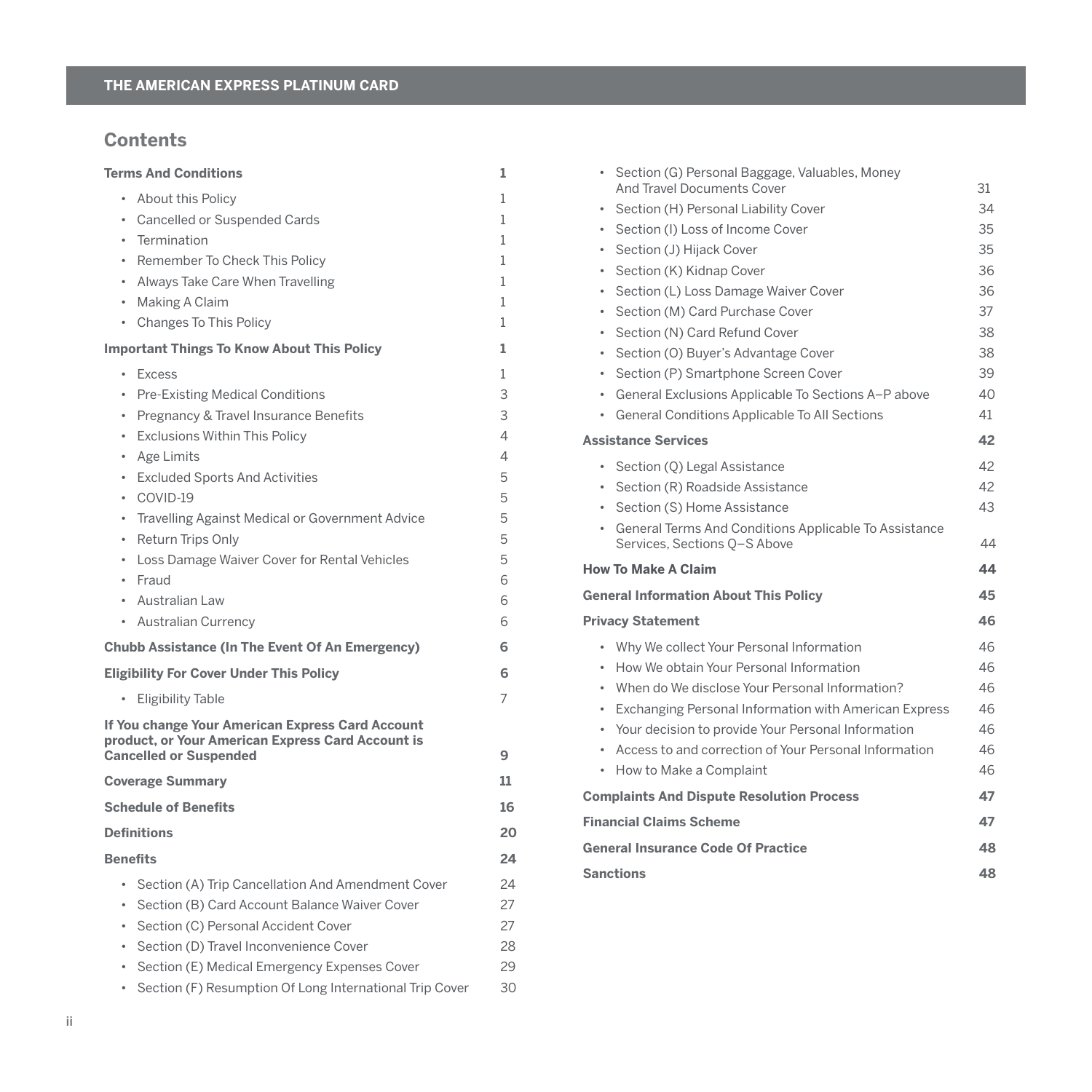# **Contents**

| <b>Terms And Conditions</b>                                                                                                                                                                                                                                                                                                                                                                                                                               | 1                                                             |
|-----------------------------------------------------------------------------------------------------------------------------------------------------------------------------------------------------------------------------------------------------------------------------------------------------------------------------------------------------------------------------------------------------------------------------------------------------------|---------------------------------------------------------------|
| • About this Policy<br><b>Cancelled or Suspended Cards</b><br>$\bullet$<br>Termination<br>$\bullet$                                                                                                                                                                                                                                                                                                                                                       | 1<br>1<br>1                                                   |
| Remember To Check This Policy<br>٠<br>Always Take Care When Travelling<br>٠<br>Making A Claim<br>٠<br>• Changes To This Policy                                                                                                                                                                                                                                                                                                                            | 1<br>1<br>1<br>1                                              |
| <b>Important Things To Know About This Policy</b>                                                                                                                                                                                                                                                                                                                                                                                                         | 1                                                             |
| <b>Excess</b><br>٠<br><b>Pre-Existing Medical Conditions</b><br>٠<br>Pregnancy & Travel Insurance Benefits<br><b>Exclusions Within This Policy</b><br>٠<br>Age Limits<br>٠<br><b>Excluded Sports And Activities</b><br>٠<br>COVID-19<br>٠<br>Travelling Against Medical or Government Advice<br>٠<br>Return Trips Only<br>$\bullet$<br>Loss Damage Waiver Cover for Rental Vehicles<br>٠<br>Fraud<br>$\bullet$<br>Australian Law<br>• Australian Currency | 1<br>3<br>3<br>4<br>4<br>5<br>5<br>5<br>5<br>5<br>6<br>6<br>6 |
| <b>Chubb Assistance (In The Event Of An Emergency)</b>                                                                                                                                                                                                                                                                                                                                                                                                    | 6                                                             |
| <b>Eligibility For Cover Under This Policy</b><br><b>Eligibility Table</b><br>٠<br>If You change Your American Express Card Account                                                                                                                                                                                                                                                                                                                       | 6<br>7                                                        |
| product, or Your American Express Card Account is<br><b>Cancelled or Suspended</b>                                                                                                                                                                                                                                                                                                                                                                        | 9                                                             |
| <b>Coverage Summary</b>                                                                                                                                                                                                                                                                                                                                                                                                                                   | 11                                                            |
| <b>Schedule of Benefits</b>                                                                                                                                                                                                                                                                                                                                                                                                                               | 16                                                            |
| <b>Definitions</b>                                                                                                                                                                                                                                                                                                                                                                                                                                        | 20                                                            |
| <b>Benefits</b>                                                                                                                                                                                                                                                                                                                                                                                                                                           | 24                                                            |
| Section (A) Trip Cancellation And Amendment Cover<br>$\bullet$<br>Section (B) Card Account Balance Waiver Cover<br>Section (C) Personal Accident Cover<br>٠<br>Section (D) Travel Inconvenience Cover<br>٠<br>Section (E) Medical Emergency Expenses Cover<br>$\bullet$<br>Section (F) Resumption Of Long International Trip Cover<br>$\bullet$                                                                                                           | 24<br>27<br>27<br>28<br>29<br>30                              |
|                                                                                                                                                                                                                                                                                                                                                                                                                                                           |                                                               |

| ٠         | Section (G) Personal Baggage, Valuables, Money                                          |    |
|-----------|-----------------------------------------------------------------------------------------|----|
|           | <b>And Travel Documents Cover</b>                                                       | 31 |
| ٠         | Section (H) Personal Liability Cover                                                    | 34 |
| $\bullet$ | Section (I) Loss of Income Cover                                                        | 35 |
| $\bullet$ | Section (J) Hijack Cover                                                                | 35 |
| ٠         | Section (K) Kidnap Cover                                                                | 36 |
| ٠         | Section (L) Loss Damage Waiver Cover                                                    | 36 |
| ٠         | Section (M) Card Purchase Cover                                                         | 37 |
| ٠         | Section (N) Card Refund Cover                                                           | 38 |
| ٠         | Section (O) Buyer's Advantage Cover                                                     | 38 |
| ٠         | Section (P) Smartphone Screen Cover                                                     | 39 |
|           | • General Exclusions Applicable To Sections A-P above                                   | 40 |
| ٠         | General Conditions Applicable To All Sections                                           | 41 |
|           | <b>Assistance Services</b>                                                              | 42 |
| $\bullet$ | Section (Q) Legal Assistance                                                            | 42 |
|           | • Section (R) Roadside Assistance                                                       | 42 |
| $\bullet$ | Section (S) Home Assistance                                                             | 43 |
|           | • General Terms And Conditions Applicable To Assistance<br>Services, Sections Q-S Above | 44 |
|           | <b>How To Make A Claim</b>                                                              | 44 |
|           | <b>General Information About This Policy</b>                                            | 45 |
|           | <b>Privacy Statement</b>                                                                | 46 |
|           | • Why We collect Your Personal Information                                              | 46 |
|           | • How We obtain Your Personal Information                                               | 46 |
|           | • When do We disclose Your Personal Information?                                        | 46 |
| ٠         | Exchanging Personal Information with American Express                                   | 46 |
| ٠         | Your decision to provide Your Personal Information                                      | 46 |
| ٠         | Access to and correction of Your Personal Information                                   | 46 |
| ٠         | How to Make a Complaint                                                                 | 46 |
|           | <b>Complaints And Dispute Resolution Process</b>                                        | 47 |
|           | <b>Financial Claims Scheme</b>                                                          | 47 |
|           | <b>General Insurance Code Of Practice</b>                                               | 48 |
|           | <b>Sanctions</b>                                                                        | 48 |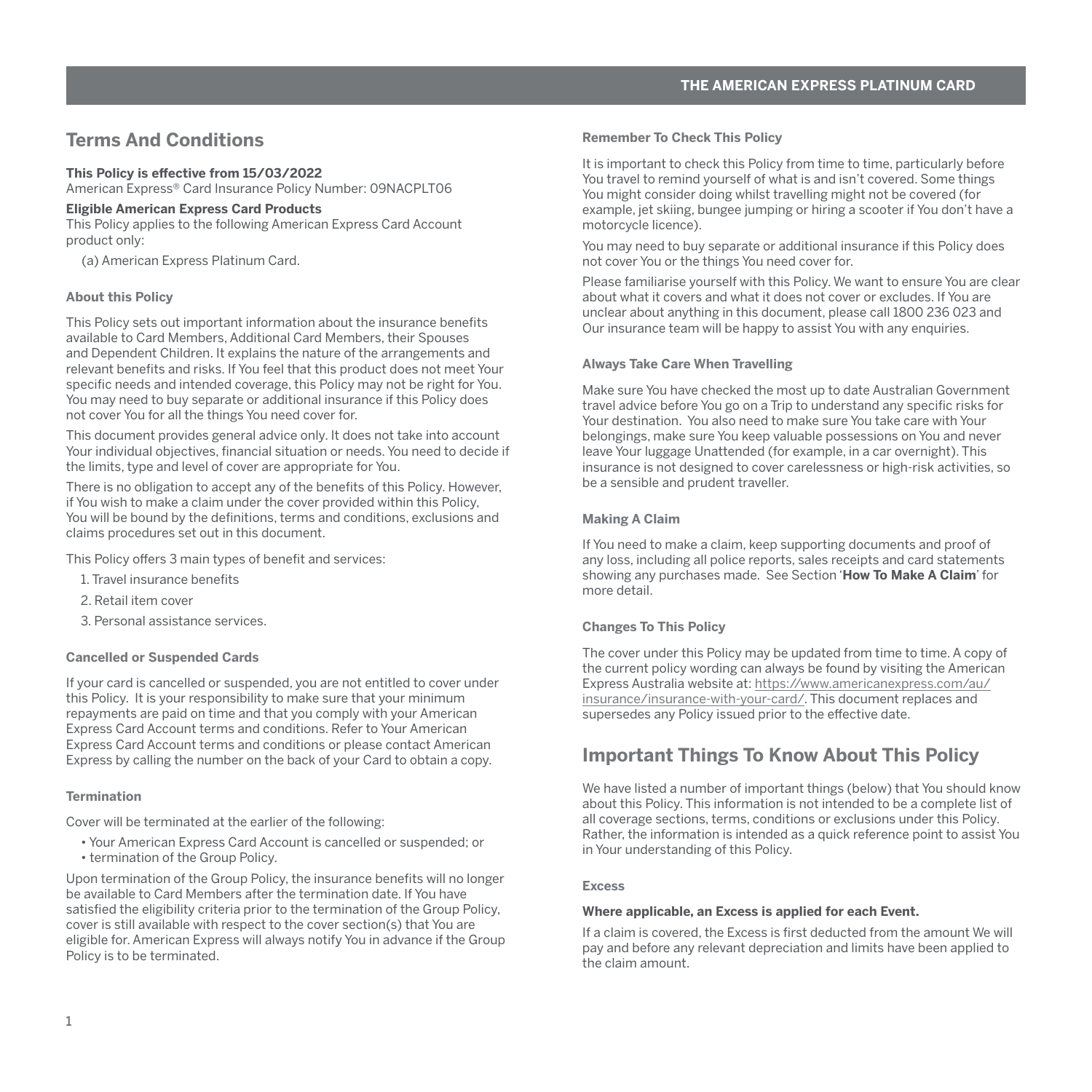# <span id="page-2-0"></span>**Terms And Conditions**

# **This Policy is effective from 15/03/2022**

American Express® Card Insurance Policy Number: 09NACPLT06

#### **Eligible American Express Card Products**

This Policy applies to the following American Express Card Account product only:

(a) American Express Platinum Card.

#### **About this Policy**

This Policy sets out important information about the insurance benefits available to Card Members, Additional Card Members, their Spouses and Dependent Children. It explains the nature of the arrangements and relevant benefits and risks. If You feel that this product does not meet Your specific needs and intended coverage, this Policy may not be right for You. You may need to buy separate or additional insurance if this Policy does not cover You for all the things You need cover for.

This document provides general advice only. It does not take into account Your individual objectives, financial situation or needs. You need to decide if the limits, type and level of cover are appropriate for You.

There is no obligation to accept any of the benefits of this Policy. However, if You wish to make a claim under the cover provided within this Policy, You will be bound by the definitions, terms and conditions, exclusions and claims procedures set out in this document.

This Policy offers 3 main types of benefit and services:

- 1. Travel insurance benefits
- 2. Retail item cover
- 3. Personal assistance services.

#### **Cancelled or Suspended Cards**

If your card is cancelled or suspended, you are not entitled to cover under this Policy. It is your responsibility to make sure that your minimum repayments are paid on time and that you comply with your American Express Card Account terms and conditions. Refer to Your American Express Card Account terms and conditions or please contact American Express by calling the number on the back of your Card to obtain a copy.

## **Termination**

Cover will be terminated at the earlier of the following:

- Your American Express Card Account is cancelled or suspended; or
- termination of the Group Policy.

Upon termination of the Group Policy, the insurance benefits will no longer be available to Card Members after the termination date. If You have satisfied the eligibility criteria prior to the termination of the Group Policy, cover is still available with respect to the cover section(s) that You are eligible for. American Express will always notify You in advance if the Group Policy is to be terminated.

#### **Remember To Check This Policy**

It is important to check this Policy from time to time, particularly before You travel to remind yourself of what is and isn't covered. Some things You might consider doing whilst travelling might not be covered (for example, jet skiing, bungee jumping or hiring a scooter if You don't have a motorcycle licence).

You may need to buy separate or additional insurance if this Policy does not cover You or the things You need cover for.

Please familiarise yourself with this Policy. We want to ensure You are clear about what it covers and what it does not cover or excludes. If You are unclear about anything in this document, please call 1800 236 023 and Our insurance team will be happy to assist You with any enquiries.

#### **Always Take Care When Travelling**

Make sure You have checked the most up to date Australian Government travel advice before You go on a Trip to understand any specific risks for Your destination. You also need to make sure You take care with Your belongings, make sure You keep valuable possessions on You and never leave Your luggage Unattended (for example, in a car overnight). This insurance is not designed to cover carelessness or high-risk activities, so be a sensible and prudent traveller.

#### **Making A Claim**

If You need to make a claim, keep supporting documents and proof of any loss, including all police reports, sales receipts and card statements showing any purchases made. See Section '**How To Make A Claim**' for more detail.

#### **Changes To This Policy**

The cover under this Policy may be updated from time to time. A copy of the current policy wording can always be found by visiting the American Express Australia website at: [https://www.americanexpress.com/au/](https://www.americanexpress.com/au/insurance/insurance-with-your-card/) [insurance/insurance-with-your-card/.](https://www.americanexpress.com/au/insurance/insurance-with-your-card/) This document replaces and supersedes any Policy issued prior to the effective date.

# **Important Things To Know About This Policy**

We have listed a number of important things (below) that You should know about this Policy. This information is not intended to be a complete list of all coverage sections, terms, conditions or exclusions under this Policy. Rather, the information is intended as a quick reference point to assist You in Your understanding of this Policy.

#### **Excess**

#### **Where applicable, an Excess is applied for each Event.**

If a claim is covered, the Excess is first deducted from the amount We will pay and before any relevant depreciation and limits have been applied to the claim amount.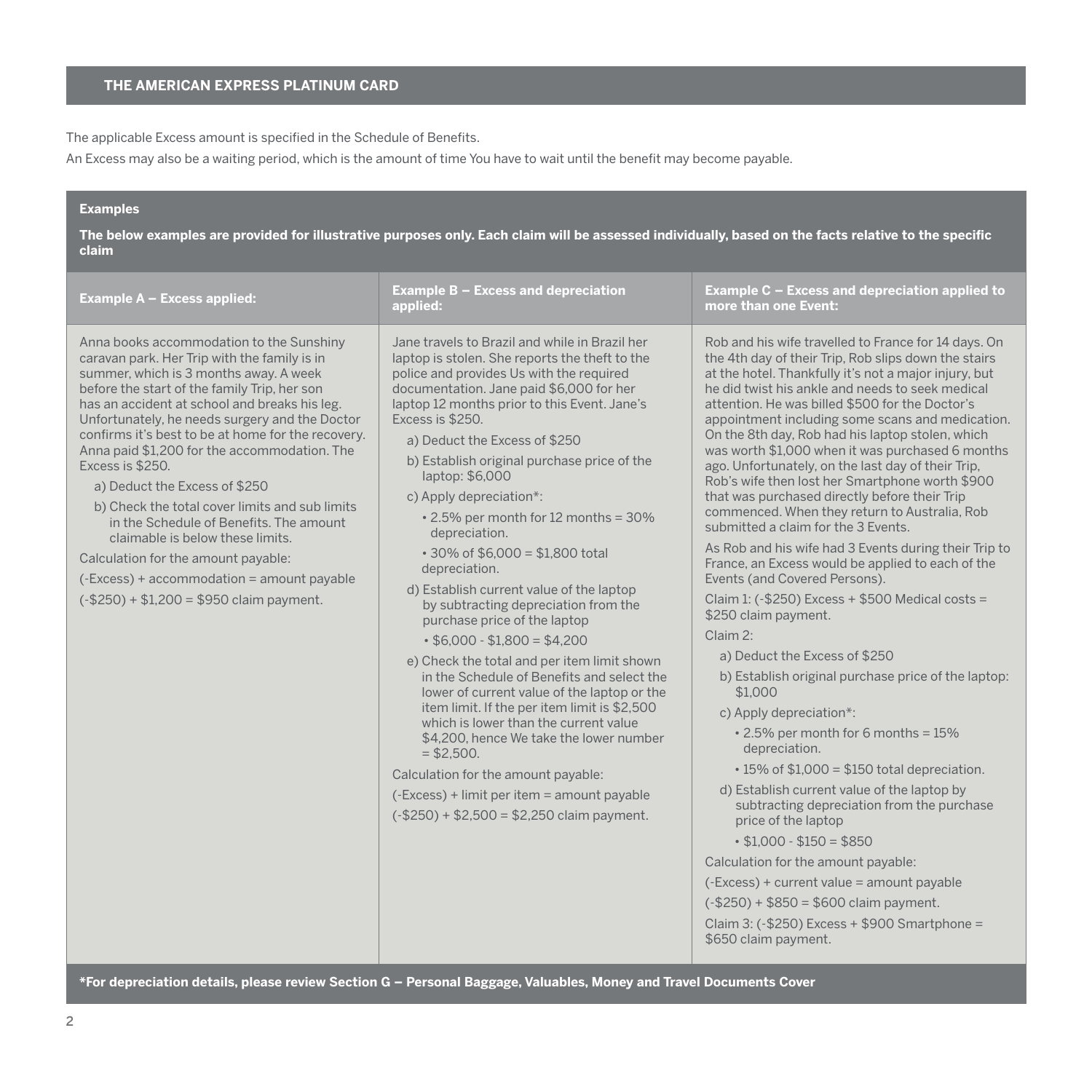The applicable Excess amount is specified in the Schedule of Benefits.

An Excess may also be a waiting period, which is the amount of time You have to wait until the benefit may become payable.

# **Examples**

**The below examples are provided for illustrative purposes only. Each claim will be assessed individually, based on the facts relative to the specific claim**

| Example A - Excess applied:                                                                                                                                                                                                                                                                                                                                                                                                                                                                                                                                                                                                                                                                                           | Example B - Excess and depreciation<br>applied:                                                                                                                                                                                                                                                                                                                                                                                                                                                                                                                                                                                                                                                                                                                                                                                                                                                                                                                                                                                                                                                                 | Example C - Excess and depreciation applied to<br>more than one Event:                                                                                                                                                                                                                                                                                                                                                                                                                                                                                                                                                                                                                                                                                                                                                                                                                                                                                                                                                                                                                                                                                                                                                                                                                                                                                                                                                                                                                                                                              |
|-----------------------------------------------------------------------------------------------------------------------------------------------------------------------------------------------------------------------------------------------------------------------------------------------------------------------------------------------------------------------------------------------------------------------------------------------------------------------------------------------------------------------------------------------------------------------------------------------------------------------------------------------------------------------------------------------------------------------|-----------------------------------------------------------------------------------------------------------------------------------------------------------------------------------------------------------------------------------------------------------------------------------------------------------------------------------------------------------------------------------------------------------------------------------------------------------------------------------------------------------------------------------------------------------------------------------------------------------------------------------------------------------------------------------------------------------------------------------------------------------------------------------------------------------------------------------------------------------------------------------------------------------------------------------------------------------------------------------------------------------------------------------------------------------------------------------------------------------------|-----------------------------------------------------------------------------------------------------------------------------------------------------------------------------------------------------------------------------------------------------------------------------------------------------------------------------------------------------------------------------------------------------------------------------------------------------------------------------------------------------------------------------------------------------------------------------------------------------------------------------------------------------------------------------------------------------------------------------------------------------------------------------------------------------------------------------------------------------------------------------------------------------------------------------------------------------------------------------------------------------------------------------------------------------------------------------------------------------------------------------------------------------------------------------------------------------------------------------------------------------------------------------------------------------------------------------------------------------------------------------------------------------------------------------------------------------------------------------------------------------------------------------------------------------|
| Anna books accommodation to the Sunshiny<br>caravan park. Her Trip with the family is in<br>summer, which is 3 months away. A week<br>before the start of the family Trip, her son<br>has an accident at school and breaks his leg.<br>Unfortunately, he needs surgery and the Doctor<br>confirms it's best to be at home for the recovery.<br>Anna paid \$1,200 for the accommodation. The<br>Excess is \$250.<br>a) Deduct the Excess of \$250<br>b) Check the total cover limits and sub limits<br>in the Schedule of Benefits. The amount<br>claimable is below these limits.<br>Calculation for the amount payable:<br>(-Excess) + accommodation = amount payable<br>$(-\$250) + \$1,200 = \$950$ claim payment. | Jane travels to Brazil and while in Brazil her<br>laptop is stolen. She reports the theft to the<br>police and provides Us with the required<br>documentation. Jane paid \$6,000 for her<br>laptop 12 months prior to this Event. Jane's<br>Excess is \$250.<br>a) Deduct the Excess of \$250<br>b) Establish original purchase price of the<br>laptop: \$6,000<br>c) Apply depreciation*:<br>. 2.5% per month for 12 months = 30%<br>depreciation.<br>$\cdot$ 30% of \$6.000 = \$1.800 total<br>depreciation.<br>d) Establish current value of the laptop<br>by subtracting depreciation from the<br>purchase price of the laptop<br>$\cdot$ \$6,000 - \$1,800 = \$4,200<br>e) Check the total and per item limit shown<br>in the Schedule of Benefits and select the<br>lower of current value of the laptop or the<br>item limit. If the per item limit is \$2,500<br>which is lower than the current value<br>\$4.200, hence We take the lower number<br>$= $2,500.$<br>Calculation for the amount payable:<br>(-Excess) + limit per item = amount payable<br>$(-\$250) + \$2,500 = \$2,250$ claim payment. | Rob and his wife travelled to France for 14 days. On<br>the 4th day of their Trip, Rob slips down the stairs<br>at the hotel. Thankfully it's not a major injury, but<br>he did twist his ankle and needs to seek medical<br>attention. He was billed \$500 for the Doctor's<br>appointment including some scans and medication.<br>On the 8th day, Rob had his laptop stolen, which<br>was worth \$1,000 when it was purchased 6 months<br>ago. Unfortunately, on the last day of their Trip.<br>Rob's wife then lost her Smartphone worth \$900<br>that was purchased directly before their Trip<br>commenced. When they return to Australia, Rob<br>submitted a claim for the 3 Events.<br>As Rob and his wife had 3 Events during their Trip to<br>France, an Excess would be applied to each of the<br>Events (and Covered Persons).<br>Claim 1: $(-\$250)$ Excess + \$500 Medical costs =<br>\$250 claim payment.<br>Claim 2:<br>a) Deduct the Excess of \$250<br>b) Establish original purchase price of the laptop:<br>\$1,000<br>c) Apply depreciation*:<br>. 2.5% per month for 6 months = 15%<br>depreciation.<br>$\cdot$ 15% of \$1,000 = \$150 total depreciation.<br>d) Establish current value of the laptop by<br>subtracting depreciation from the purchase<br>price of the laptop<br>$\cdot$ \$1.000 - \$150 = \$850<br>Calculation for the amount payable:<br>(-Excess) + current value = amount payable<br>$(-\$250) + \$850 = \$600$ claim payment.<br>Claim 3: $(-\$250)$ Excess + \$900 Smartphone =<br>\$650 claim payment. |

**\*For depreciation details, please review Section G – Personal Baggage, Valuables, Money and Travel Documents Cover**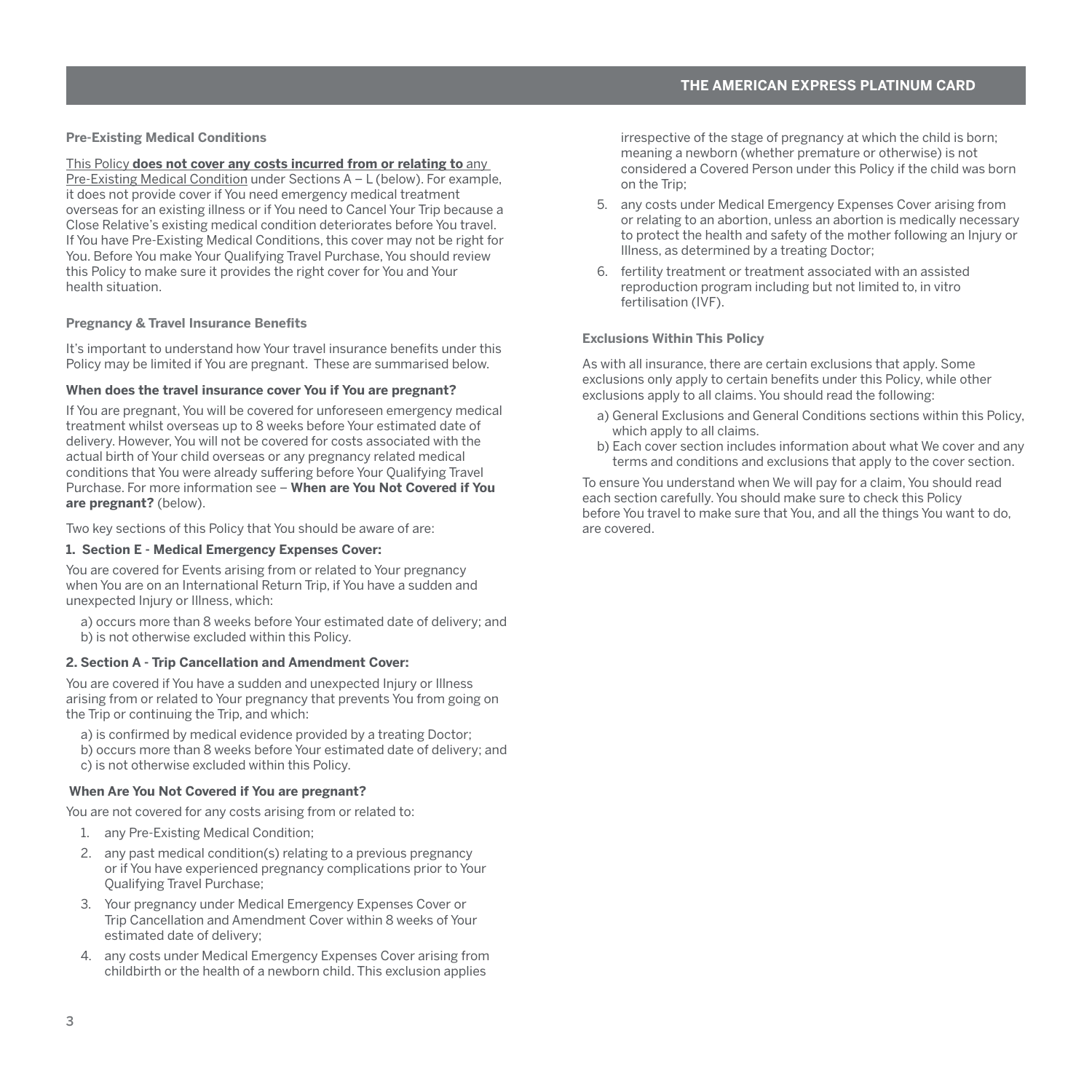#### <span id="page-4-0"></span>**Pre-Existing Medical Conditions**

#### This Policy **does not cover any costs incurred from or relating to** any

Pre-Existing Medical Condition under Sections A – L (below). For example, it does not provide cover if You need emergency medical treatment overseas for an existing illness or if You need to Cancel Your Trip because a Close Relative's existing medical condition deteriorates before You travel. If You have Pre-Existing Medical Conditions, this cover may not be right for You. Before You make Your Qualifying Travel Purchase, You should review this Policy to make sure it provides the right cover for You and Your health situation.

# **Pregnancy & Travel Insurance Benefits**

It's important to understand how Your travel insurance benefits under this Policy may be limited if You are pregnant. These are summarised below.

#### **When does the travel insurance cover You if You are pregnant?**

If You are pregnant, You will be covered for unforeseen emergency medical treatment whilst overseas up to 8 weeks before Your estimated date of delivery. However, You will not be covered for costs associated with the actual birth of Your child overseas or any pregnancy related medical conditions that You were already suffering before Your Qualifying Travel Purchase. For more information see – **When are You Not Covered if You are pregnant?** (below).

Two key sections of this Policy that You should be aware of are:

#### **1. Section E - Medical Emergency Expenses Cover:**

You are covered for Events arising from or related to Your pregnancy when You are on an International Return Trip, if You have a sudden and unexpected Injury or Illness, which:

a) occurs more than 8 weeks before Your estimated date of delivery; and b) is not otherwise excluded within this Policy.

#### **2. Section A - Trip Cancellation and Amendment Cover:**

You are covered if You have a sudden and unexpected Injury or Illness arising from or related to Your pregnancy that prevents You from going on the Trip or continuing the Trip, and which:

a) is confirmed by medical evidence provided by a treating Doctor; b) occurs more than 8 weeks before Your estimated date of delivery; and c) is not otherwise excluded within this Policy.

# **When Are You Not Covered if You are pregnant?**

You are not covered for any costs arising from or related to:

- 1. any Pre-Existing Medical Condition;
- 2. any past medical condition(s) relating to a previous pregnancy or if You have experienced pregnancy complications prior to Your Qualifying Travel Purchase;
- 3. Your pregnancy under Medical Emergency Expenses Cover or Trip Cancellation and Amendment Cover within 8 weeks of Your estimated date of delivery;
- 4. any costs under Medical Emergency Expenses Cover arising from childbirth or the health of a newborn child. This exclusion applies

irrespective of the stage of pregnancy at which the child is born; meaning a newborn (whether premature or otherwise) is not considered a Covered Person under this Policy if the child was born on the Trip;

- 5. any costs under Medical Emergency Expenses Cover arising from or relating to an abortion, unless an abortion is medically necessary to protect the health and safety of the mother following an Injury or Illness, as determined by a treating Doctor;
- 6. fertility treatment or treatment associated with an assisted reproduction program including but not limited to, in vitro fertilisation (IVF).

#### **Exclusions Within This Policy**

As with all insurance, there are certain exclusions that apply. Some exclusions only apply to certain benefits under this Policy, while other exclusions apply to all claims. You should read the following:

- a) General Exclusions and General Conditions sections within this Policy, which apply to all claims.
- b) Each cover section includes information about what We cover and any terms and conditions and exclusions that apply to the cover section.

To ensure You understand when We will pay for a claim, You should read each section carefully. You should make sure to check this Policy before You travel to make sure that You, and all the things You want to do, are covered.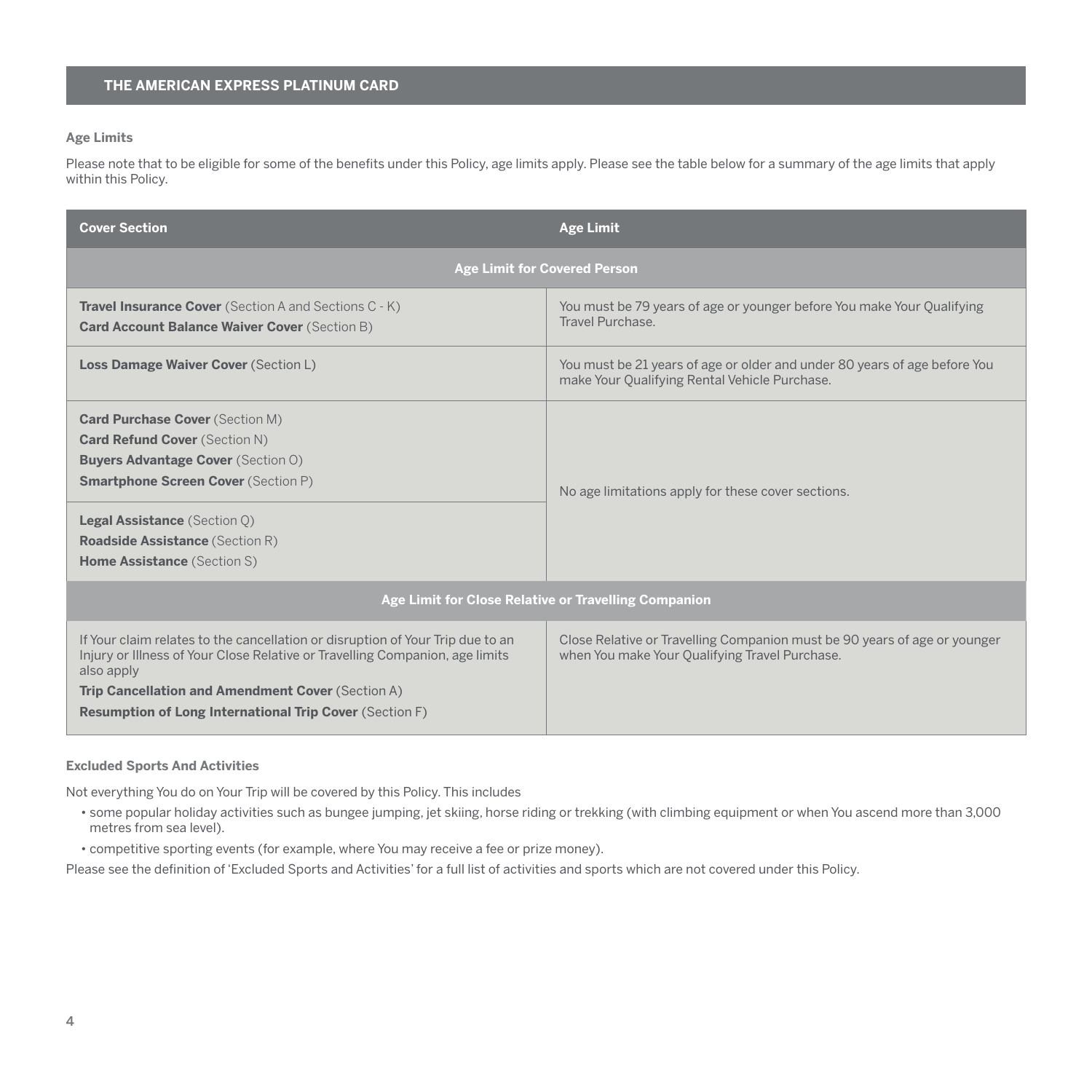# <span id="page-5-0"></span>**Age Limits**

Please note that to be eligible for some of the benefits under this Policy, age limits apply. Please see the table below for a summary of the age limits that apply within this Policy.

| <b>Cover Section</b>                                                                                                                                                                                                                                                                                | <b>Age Limit</b>                                                                                                            |  |
|-----------------------------------------------------------------------------------------------------------------------------------------------------------------------------------------------------------------------------------------------------------------------------------------------------|-----------------------------------------------------------------------------------------------------------------------------|--|
| <b>Age Limit for Covered Person</b>                                                                                                                                                                                                                                                                 |                                                                                                                             |  |
| <b>Travel Insurance Cover</b> (Section A and Sections C - K)<br><b>Card Account Balance Waiver Cover (Section B)</b>                                                                                                                                                                                | You must be 79 years of age or younger before You make Your Qualifying<br>Travel Purchase                                   |  |
| <b>Loss Damage Waiver Cover (Section L)</b>                                                                                                                                                                                                                                                         | You must be 21 years of age or older and under 80 years of age before You<br>make Your Qualifying Rental Vehicle Purchase.  |  |
| <b>Card Purchase Cover (Section M)</b><br><b>Card Refund Cover (Section N)</b><br><b>Buyers Advantage Cover (Section O)</b><br><b>Smartphone Screen Cover (Section P)</b><br><b>Legal Assistance (Section O)</b><br><b>Roadside Assistance (Section R)</b><br><b>Home Assistance (Section S)</b>    | No age limitations apply for these cover sections.                                                                          |  |
| Age Limit for Close Relative or Travelling Companion                                                                                                                                                                                                                                                |                                                                                                                             |  |
| If Your claim relates to the cancellation or disruption of Your Trip due to an<br>Injury or Illness of Your Close Relative or Travelling Companion, age limits<br>also apply<br>Trip Cancellation and Amendment Cover (Section A)<br><b>Resumption of Long International Trip Cover (Section F)</b> | Close Relative or Travelling Companion must be 90 years of age or younger<br>when You make Your Qualifying Travel Purchase. |  |

#### **Excluded Sports And Activities**

Not everything You do on Your Trip will be covered by this Policy. This includes

- some popular holiday activities such as bungee jumping, jet skiing, horse riding or trekking (with climbing equipment or when You ascend more than 3,000 metres from sea level).
- competitive sporting events (for example, where You may receive a fee or prize money).

Please see the definition of 'Excluded Sports and Activities' for a full list of activities and sports which are not covered under this Policy.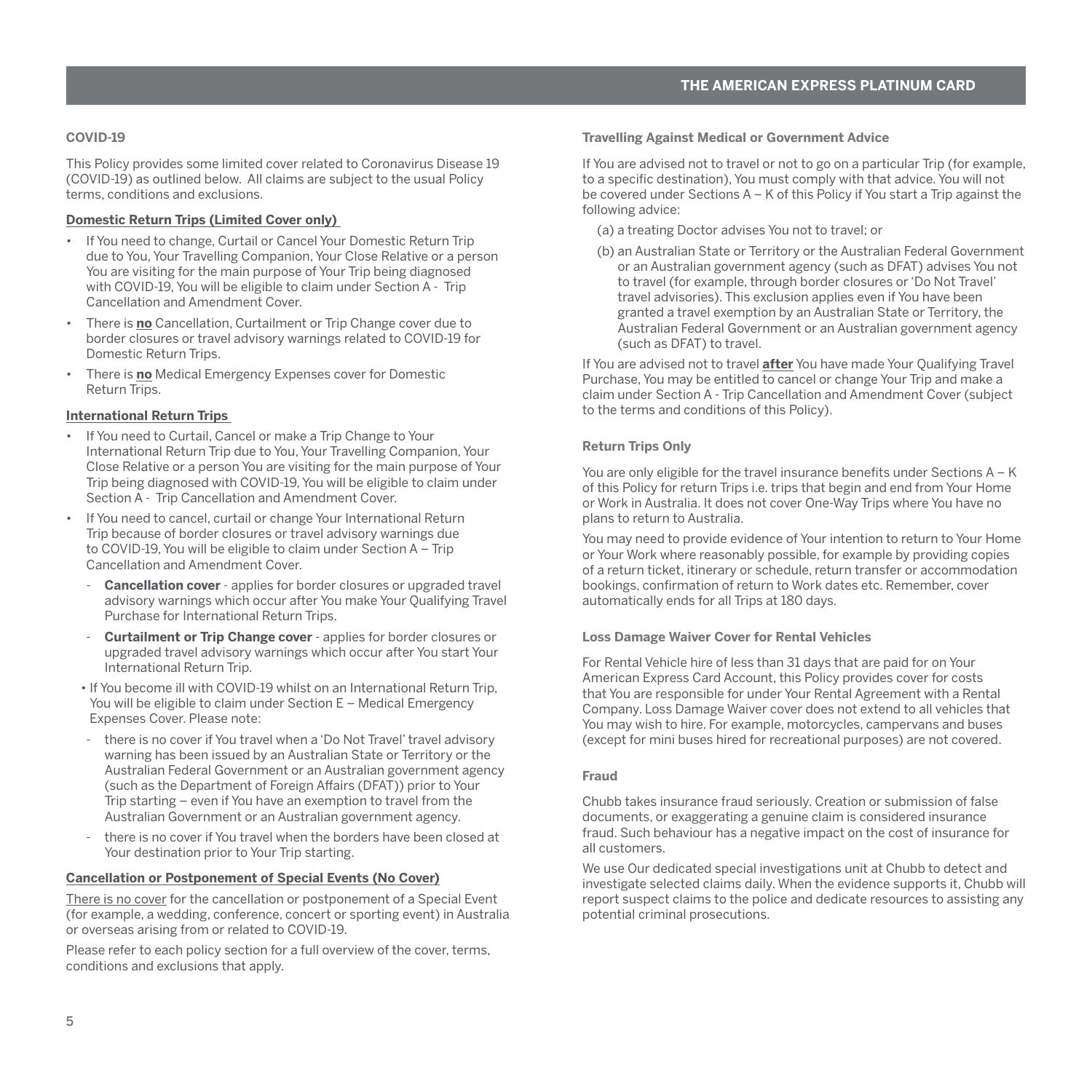# <span id="page-6-0"></span>**COVID-19**

This Policy provides some limited cover related to Coronavirus Disease 19 (COVID-19) as outlined below. All claims are subject to the usual Policy terms, conditions and exclusions.

## **Domestic Return Trips (Limited Cover only)**

- If You need to change, Curtail or Cancel Your Domestic Return Trip due to You, Your Travelling Companion, Your Close Relative or a person You are visiting for the main purpose of Your Trip being diagnosed with COVID-19, You will be eligible to claim under Section A - Trip Cancellation and Amendment Cover.
- There is **no** Cancellation, Curtailment or Trip Change cover due to border closures or travel advisory warnings related to COVID-19 for Domestic Return Trips.
- There is **no** Medical Emergency Expenses cover for Domestic Return Trips.

#### **International Return Trips**

- If You need to Curtail, Cancel or make a Trip Change to Your International Return Trip due to You, Your Travelling Companion, Your Close Relative or a person You are visiting for the main purpose of Your Trip being diagnosed with COVID-19, You will be eligible to claim under Section A - Trip Cancellation and Amendment Cover.
- If You need to cancel, curtail or change Your International Return Trip because of border closures or travel advisory warnings due to COVID-19, You will be eligible to claim under Section A – Trip Cancellation and Amendment Cover.
	- **Cancellation cover** applies for border closures or upgraded travel advisory warnings which occur after You make Your Qualifying Travel Purchase for International Return Trips.
	- **Curtailment or Trip Change cover** applies for border closures or upgraded travel advisory warnings which occur after You start Your International Return Trip.
	- If You become ill with COVID-19 whilst on an International Return Trip, You will be eligible to claim under Section E – Medical Emergency Expenses Cover. Please note:
	- there is no cover if You travel when a 'Do Not Travel' travel advisory warning has been issued by an Australian State or Territory or the Australian Federal Government or an Australian government agency (such as the Department of Foreign Affairs (DFAT)) prior to Your Trip starting – even if You have an exemption to travel from the Australian Government or an Australian government agency.
	- there is no cover if You travel when the borders have been closed at Your destination prior to Your Trip starting.

# **Cancellation or Postponement of Special Events (No Cover)**

There is no cover for the cancellation or postponement of a Special Event (for example, a wedding, conference, concert or sporting event) in Australia or overseas arising from or related to COVID-19.

Please refer to each policy section for a full overview of the cover, terms conditions and exclusions that apply.

**Travelling Against Medical or Government Advice**

If You are advised not to travel or not to go on a particular Trip (for example, to a specific destination), You must comply with that advice. You will not be covered under Sections A – K of this Policy if You start a Trip against the following advice:

- (a) a treating Doctor advises You not to travel; or
- (b) an Australian State or Territory or the Australian Federal Government or an Australian government agency (such as DFAT) advises You not to travel (for example, through border closures or 'Do Not Travel' travel advisories). This exclusion applies even if You have been granted a travel exemption by an Australian State or Territory, the Australian Federal Government or an Australian government agency (such as DFAT) to travel.

If You are advised not to travel **after** You have made Your Qualifying Travel Purchase, You may be entitled to cancel or change Your Trip and make a claim under Section A - Trip Cancellation and Amendment Cover (subject to the terms and conditions of this Policy).

#### **Return Trips Only**

You are only eligible for the travel insurance benefits under Sections A – K of this Policy for return Trips i.e. trips that begin and end from Your Home or Work in Australia. It does not cover One-Way Trips where You have no plans to return to Australia.

You may need to provide evidence of Your intention to return to Your Home or Your Work where reasonably possible, for example by providing copies of a return ticket, itinerary or schedule, return transfer or accommodation bookings, confirmation of return to Work dates etc. Remember, cover automatically ends for all Trips at 180 days.

#### **Loss Damage Waiver Cover for Rental Vehicles**

For Rental Vehicle hire of less than 31 days that are paid for on Your American Express Card Account, this Policy provides cover for costs that You are responsible for under Your Rental Agreement with a Rental Company. Loss Damage Waiver cover does not extend to all vehicles that You may wish to hire. For example, motorcycles, campervans and buses (except for mini buses hired for recreational purposes) are not covered.

#### **Fraud**

Chubb takes insurance fraud seriously. Creation or submission of false documents, or exaggerating a genuine claim is considered insurance fraud. Such behaviour has a negative impact on the cost of insurance for all customers.

We use Our dedicated special investigations unit at Chubb to detect and investigate selected claims daily. When the evidence supports it, Chubb will report suspect claims to the police and dedicate resources to assisting any potential criminal prosecutions.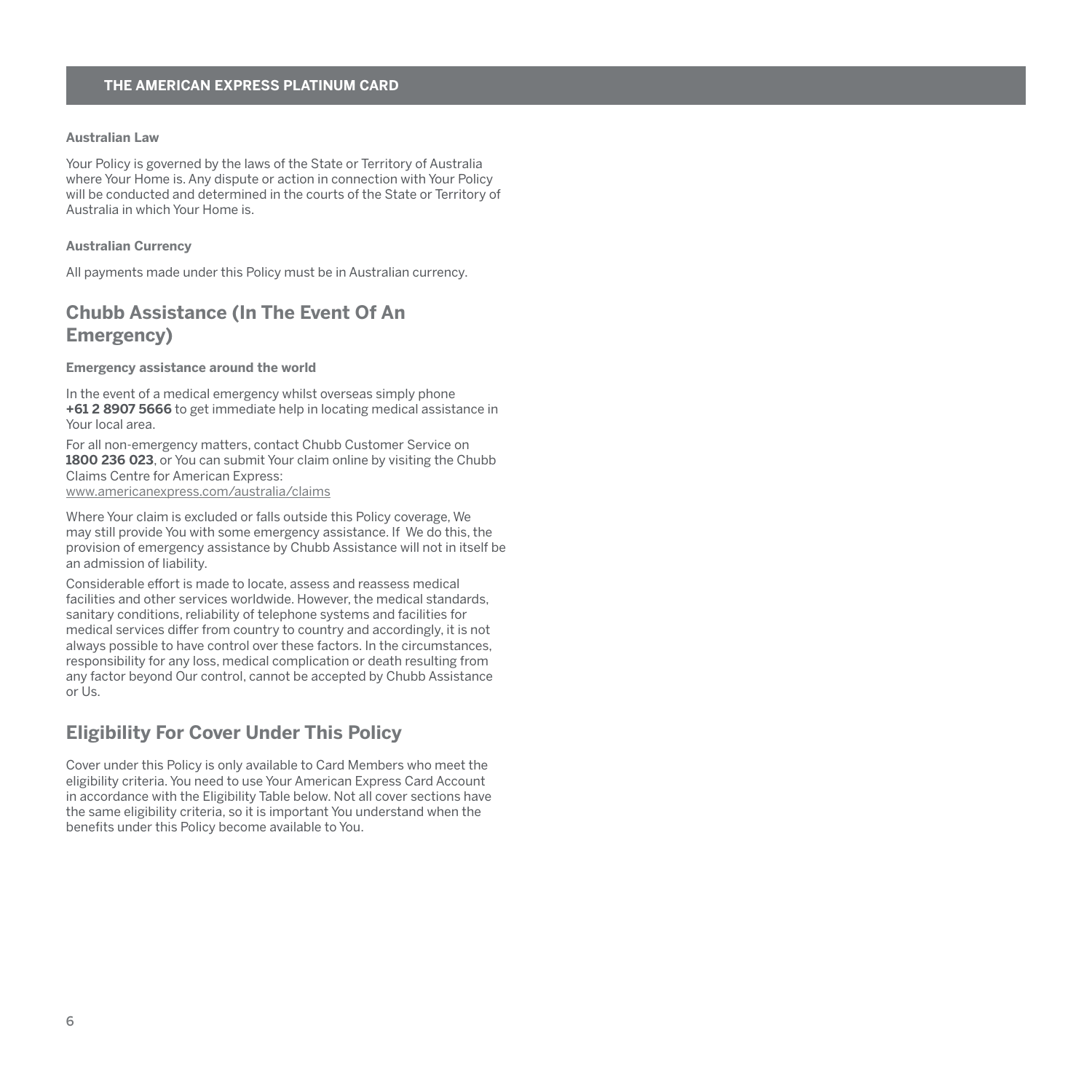## <span id="page-7-0"></span>**Australian Law**

Your Policy is governed by the laws of the State or Territory of Australia where Your Home is. Any dispute or action in connection with Your Policy will be conducted and determined in the courts of the State or Territory of Australia in which Your Home is.

#### **Australian Currency**

All payments made under this Policy must be in Australian currency.

# **Chubb Assistance (In The Event Of An Emergency)**

#### **Emergency assistance around the world**

In the event of a medical emergency whilst overseas simply phone **+61 2 8907 5666** to get immediate help in locating medical assistance in Your local area.

For all non-emergency matters, contact Chubb Customer Service on **1800 236 023**, or You can submit Your claim online by visiting the Chubb Claims Centre for American Express:

[www.americanexpress.com/australia/claims](http://www.americanexpress.com/australia/claims)

Where Your claim is excluded or falls outside this Policy coverage, We may still provide You with some emergency assistance. If We do this, the provision of emergency assistance by Chubb Assistance will not in itself be an admission of liability.

Considerable effort is made to locate, assess and reassess medical facilities and other services worldwide. However, the medical standards, sanitary conditions, reliability of telephone systems and facilities for medical services differ from country to country and accordingly, it is not always possible to have control over these factors. In the circumstances, responsibility for any loss, medical complication or death resulting from any factor beyond Our control, cannot be accepted by Chubb Assistance or Us.

# **Eligibility For Cover Under This Policy**

Cover under this Policy is only available to Card Members who meet the eligibility criteria. You need to use Your American Express Card Account in accordance with the Eligibility Table below. Not all cover sections have the same eligibility criteria, so it is important You understand when the benefits under this Policy become available to You.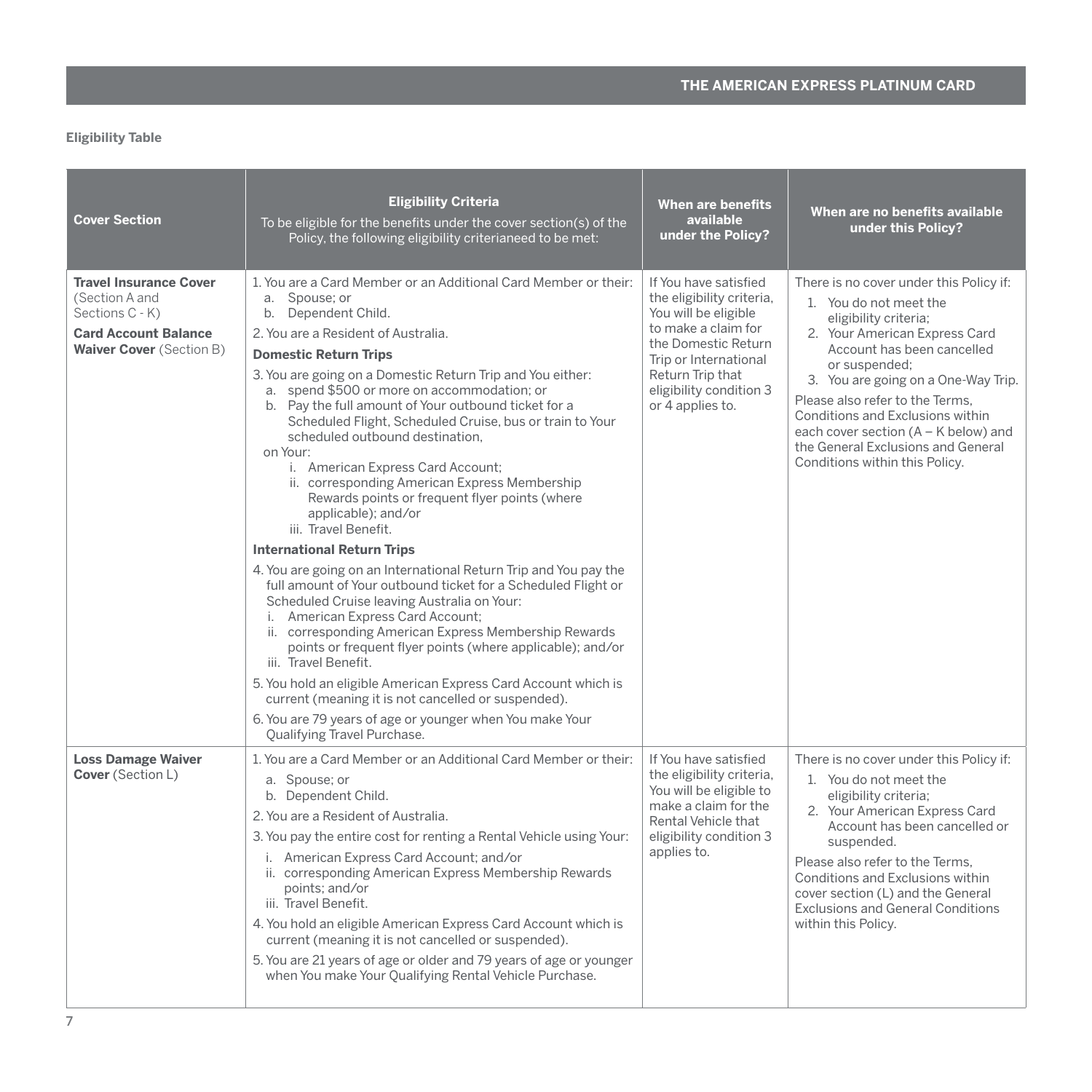# <span id="page-8-0"></span>**Eligibility Table**

| <b>Cover Section</b>                                                                                                                 | <b>Eligibility Criteria</b><br>To be eligible for the benefits under the cover section(s) of the<br>Policy, the following eligibility criterianeed to be met:                                                                                                                                                                                                                                                                                                                                                                                                                                                                                                                                                                                                                                                                                                                                                                                                                                                                                                                                                                                                                                                                                                                             | When are benefits<br>available<br>under the Policy?                                                                                                                                                                  | When are no benefits available<br>under this Policy?                                                                                                                                                                                                                                                                                                                                                     |
|--------------------------------------------------------------------------------------------------------------------------------------|-------------------------------------------------------------------------------------------------------------------------------------------------------------------------------------------------------------------------------------------------------------------------------------------------------------------------------------------------------------------------------------------------------------------------------------------------------------------------------------------------------------------------------------------------------------------------------------------------------------------------------------------------------------------------------------------------------------------------------------------------------------------------------------------------------------------------------------------------------------------------------------------------------------------------------------------------------------------------------------------------------------------------------------------------------------------------------------------------------------------------------------------------------------------------------------------------------------------------------------------------------------------------------------------|----------------------------------------------------------------------------------------------------------------------------------------------------------------------------------------------------------------------|----------------------------------------------------------------------------------------------------------------------------------------------------------------------------------------------------------------------------------------------------------------------------------------------------------------------------------------------------------------------------------------------------------|
| <b>Travel Insurance Cover</b><br>(Section A and<br>Sections C - K)<br><b>Card Account Balance</b><br><b>Waiver Cover (Section B)</b> | 1. You are a Card Member or an Additional Card Member or their:<br>a. Spouse: or<br>Dependent Child.<br>b.<br>2. You are a Resident of Australia.<br><b>Domestic Return Trips</b><br>3. You are going on a Domestic Return Trip and You either:<br>a. spend \$500 or more on accommodation; or<br>b. Pay the full amount of Your outbound ticket for a<br>Scheduled Flight, Scheduled Cruise, bus or train to Your<br>scheduled outbound destination.<br>on Your:<br>i. American Express Card Account;<br>ii. corresponding American Express Membership<br>Rewards points or frequent flyer points (where<br>applicable); and/or<br>iii. Travel Benefit.<br><b>International Return Trips</b><br>4. You are going on an International Return Trip and You pay the<br>full amount of Your outbound ticket for a Scheduled Flight or<br>Scheduled Cruise leaving Australia on Your:<br>i. American Express Card Account;<br>ii. corresponding American Express Membership Rewards<br>points or frequent flyer points (where applicable); and/or<br>iii. Travel Benefit.<br>5. You hold an eligible American Express Card Account which is<br>current (meaning it is not cancelled or suspended).<br>6. You are 79 years of age or younger when You make Your<br>Qualifying Travel Purchase. | If You have satisfied<br>the eligibility criteria,<br>You will be eligible<br>to make a claim for<br>the Domestic Return<br>Trip or International<br>Return Trip that<br>eligibility condition 3<br>or 4 applies to. | There is no cover under this Policy if:<br>1. You do not meet the<br>eligibility criteria;<br>2. Your American Express Card<br>Account has been cancelled<br>or suspended;<br>3. You are going on a One-Way Trip.<br>Please also refer to the Terms.<br>Conditions and Exclusions within<br>each cover section (A - K below) and<br>the General Exclusions and General<br>Conditions within this Policy. |
| <b>Loss Damage Waiver</b><br>Cover (Section L)                                                                                       | 1. You are a Card Member or an Additional Card Member or their:<br>a. Spouse; or<br>b. Dependent Child.<br>2. You are a Resident of Australia.<br>3. You pay the entire cost for renting a Rental Vehicle using Your:<br>i. American Express Card Account; and/or<br>ii. corresponding American Express Membership Rewards<br>points; and/or<br>iii. Travel Benefit.<br>4. You hold an eligible American Express Card Account which is<br>current (meaning it is not cancelled or suspended).<br>5. You are 21 years of age or older and 79 years of age or younger<br>when You make Your Qualifying Rental Vehicle Purchase.                                                                                                                                                                                                                                                                                                                                                                                                                                                                                                                                                                                                                                                             | If You have satisfied<br>the eligibility criteria,<br>You will be eligible to<br>make a claim for the<br>Rental Vehicle that<br>eligibility condition 3<br>applies to.                                               | There is no cover under this Policy if:<br>1. You do not meet the<br>eligibility criteria;<br>2. Your American Express Card<br>Account has been cancelled or<br>suspended.<br>Please also refer to the Terms.<br>Conditions and Exclusions within<br>cover section (L) and the General<br><b>Exclusions and General Conditions</b><br>within this Policy.                                                |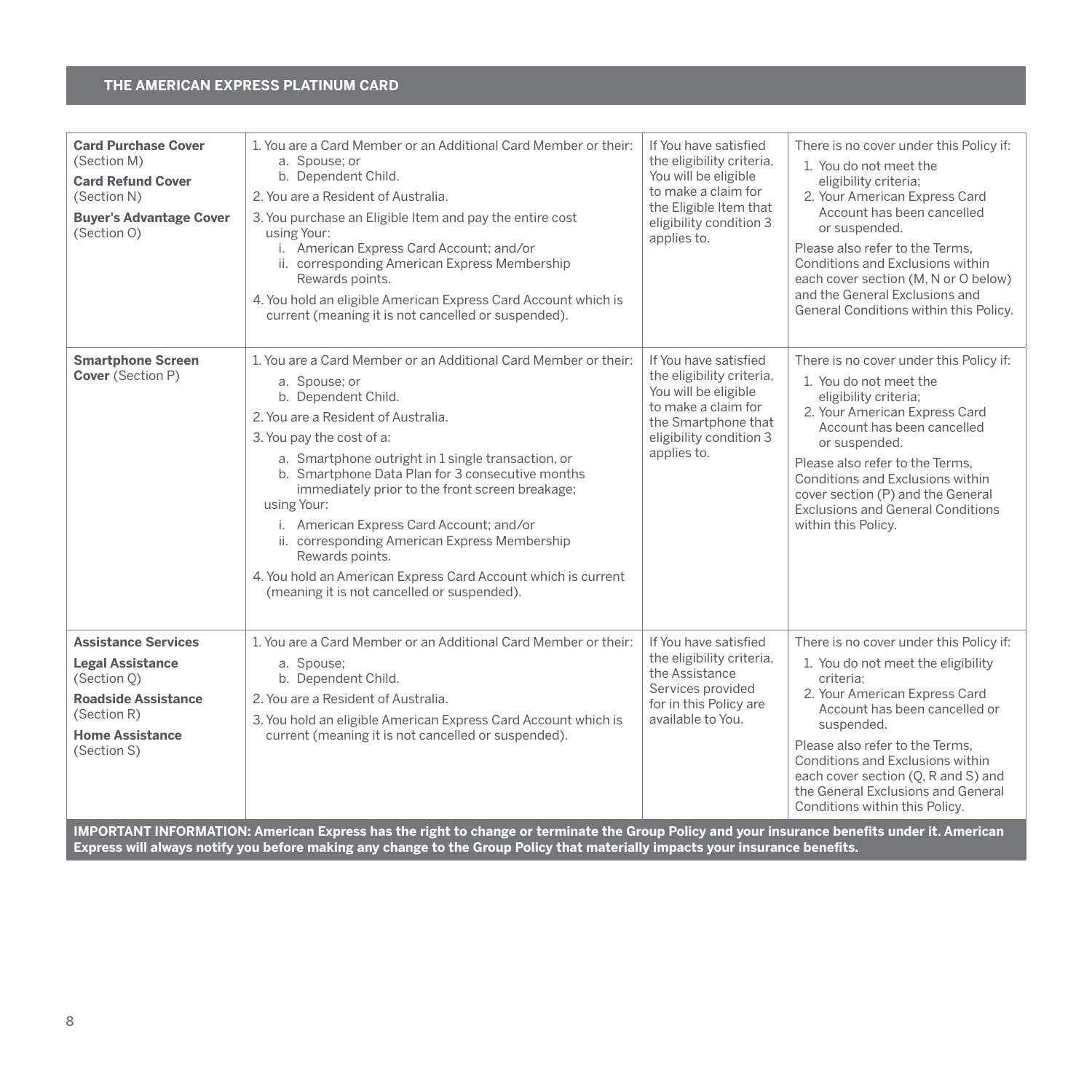| <b>Card Purchase Cover</b><br>(Section M)<br><b>Card Refund Cover</b><br>(Section N)<br><b>Buyer's Advantage Cover</b><br>(Section O)                                                     | 1. You are a Card Member or an Additional Card Member or their:<br>a. Spouse; or<br>b. Dependent Child.<br>2. You are a Resident of Australia.<br>3. You purchase an Eligible Item and pay the entire cost<br>using Your:<br>i. American Express Card Account; and/or<br>ii. corresponding American Express Membership<br>Rewards points.<br>4. You hold an eligible American Express Card Account which is<br>current (meaning it is not cancelled or suspended).                                                                                                                      | If You have satisfied<br>the eligibility criteria,<br>You will be eligible<br>to make a claim for<br>the Eligible Item that<br>eligibility condition 3<br>applies to. | There is no cover under this Policy if:<br>1. You do not meet the<br>eligibility criteria;<br>2. Your American Express Card<br>Account has been cancelled<br>or suspended.<br>Please also refer to the Terms.<br>Conditions and Exclusions within<br>each cover section (M, N or O below)<br>and the General Exclusions and<br>General Conditions within this Policy. |
|-------------------------------------------------------------------------------------------------------------------------------------------------------------------------------------------|-----------------------------------------------------------------------------------------------------------------------------------------------------------------------------------------------------------------------------------------------------------------------------------------------------------------------------------------------------------------------------------------------------------------------------------------------------------------------------------------------------------------------------------------------------------------------------------------|-----------------------------------------------------------------------------------------------------------------------------------------------------------------------|-----------------------------------------------------------------------------------------------------------------------------------------------------------------------------------------------------------------------------------------------------------------------------------------------------------------------------------------------------------------------|
| <b>Smartphone Screen</b><br>Cover (Section P)                                                                                                                                             | 1. You are a Card Member or an Additional Card Member or their:<br>a. Spouse; or<br>b. Dependent Child.<br>2. You are a Resident of Australia.<br>3. You pay the cost of a:<br>a. Smartphone outright in 1 single transaction, or<br>b. Smartphone Data Plan for 3 consecutive months<br>immediately prior to the front screen breakage;<br>using Your:<br>i. American Express Card Account; and/or<br>ii. corresponding American Express Membership<br>Rewards points.<br>4. You hold an American Express Card Account which is current<br>(meaning it is not cancelled or suspended). | If You have satisfied<br>the eligibility criteria,<br>You will be eligible<br>to make a claim for<br>the Smartphone that<br>eligibility condition 3<br>applies to.    | There is no cover under this Policy if:<br>1. You do not meet the<br>eligibility criteria;<br>2. Your American Express Card<br>Account has been cancelled<br>or suspended.<br>Please also refer to the Terms.<br>Conditions and Exclusions within<br>cover section (P) and the General<br><b>Exclusions and General Conditions</b><br>within this Policy.             |
| <b>Assistance Services</b><br><b>Legal Assistance</b><br>(Section O)<br><b>Roadside Assistance</b><br>(Section R)<br><b>Home Assistance</b><br>(Section S)<br><b>IBORTIVE INFORMATION</b> | 1. You are a Card Member or an Additional Card Member or their:<br>a. Spouse;<br>b. Dependent Child.<br>2. You are a Resident of Australia.<br>3. You hold an eligible American Express Card Account which is<br>current (meaning it is not cancelled or suspended).                                                                                                                                                                                                                                                                                                                    | If You have satisfied<br>the eligibility criteria,<br>the Assistance<br>Services provided<br>for in this Policy are<br>available to You.                              | There is no cover under this Policy if:<br>1. You do not meet the eligibility<br>criteria:<br>2. Your American Express Card<br>Account has been cancelled or<br>suspended.<br>Please also refer to the Terms.<br>Conditions and Exclusions within<br>each cover section (Q, R and S) and<br>the General Exclusions and General<br>Conditions within this Policy.      |

**IMPORTANT INFORMATION: American Express has the right to change or terminate the Group Policy and your insurance benefits under it. American Express will always notify you before making any change to the Group Policy that materially impacts your insurance benefits.**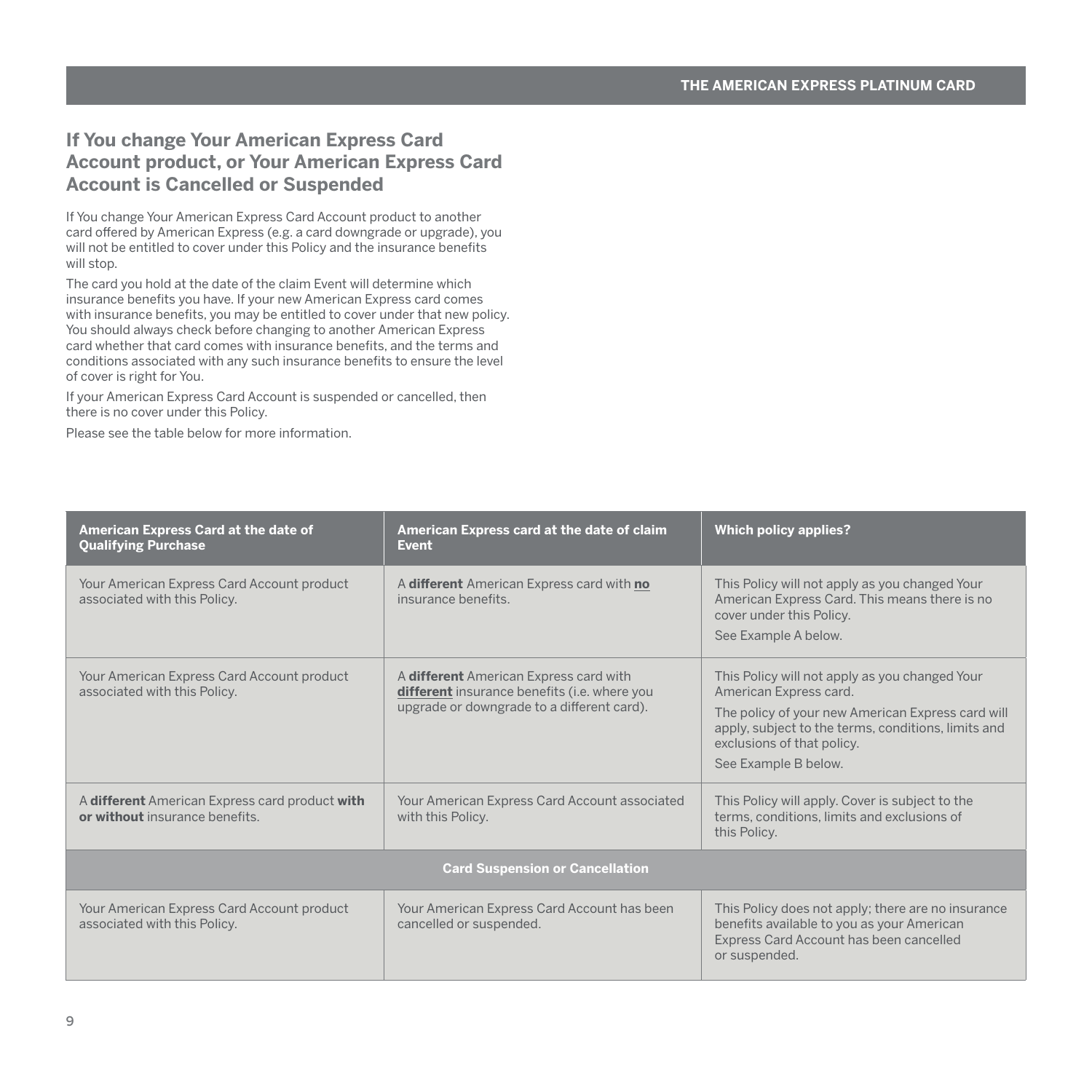# <span id="page-10-0"></span>**If You change Your American Express Card Account product, or Your American Express Card Account is Cancelled or Suspended**

If You change Your American Express Card Account product to another card offered by American Express (e.g. a card downgrade or upgrade), you will not be entitled to cover under this Policy and the insurance benefits will stop.

The card you hold at the date of the claim Event will determine which insurance benefits you have. If your new American Express card comes with insurance benefits, you may be entitled to cover under that new policy. You should always check before changing to another American Express card whether that card comes with insurance benefits, and the terms and conditions associated with any such insurance benefits to ensure the level of cover is right for You.

If your American Express Card Account is suspended or cancelled, then there is no cover under this Policy.

Please see the table below for more information.

| American Express Card at the date of<br><b>Qualifying Purchase</b>              | American Express card at the date of claim<br><b>Event</b>                                                                           | <b>Which policy applies?</b>                                                                                                                                                                                                               |
|---------------------------------------------------------------------------------|--------------------------------------------------------------------------------------------------------------------------------------|--------------------------------------------------------------------------------------------------------------------------------------------------------------------------------------------------------------------------------------------|
| Your American Express Card Account product<br>associated with this Policy.      | A different American Express card with no<br>insurance benefits                                                                      | This Policy will not apply as you changed Your<br>American Express Card. This means there is no<br>cover under this Policy.<br>See Example A below.                                                                                        |
| Your American Express Card Account product<br>associated with this Policy.      | A different American Express card with<br>different insurance benefits (i.e. where you<br>upgrade or downgrade to a different card). | This Policy will not apply as you changed Your<br>American Express card.<br>The policy of your new American Express card will<br>apply, subject to the terms, conditions, limits and<br>exclusions of that policy.<br>See Example B below. |
| A different American Express card product with<br>or without insurance benefits | Your American Express Card Account associated<br>with this Policy.                                                                   | This Policy will apply. Cover is subject to the<br>terms, conditions, limits and exclusions of<br>this Policy.                                                                                                                             |
| <b>Card Suspension or Cancellation</b>                                          |                                                                                                                                      |                                                                                                                                                                                                                                            |
| Your American Express Card Account product<br>associated with this Policy.      | Your American Express Card Account has been<br>cancelled or suspended.                                                               | This Policy does not apply; there are no insurance<br>benefits available to you as your American<br>Express Card Account has been cancelled<br>or suspended.                                                                               |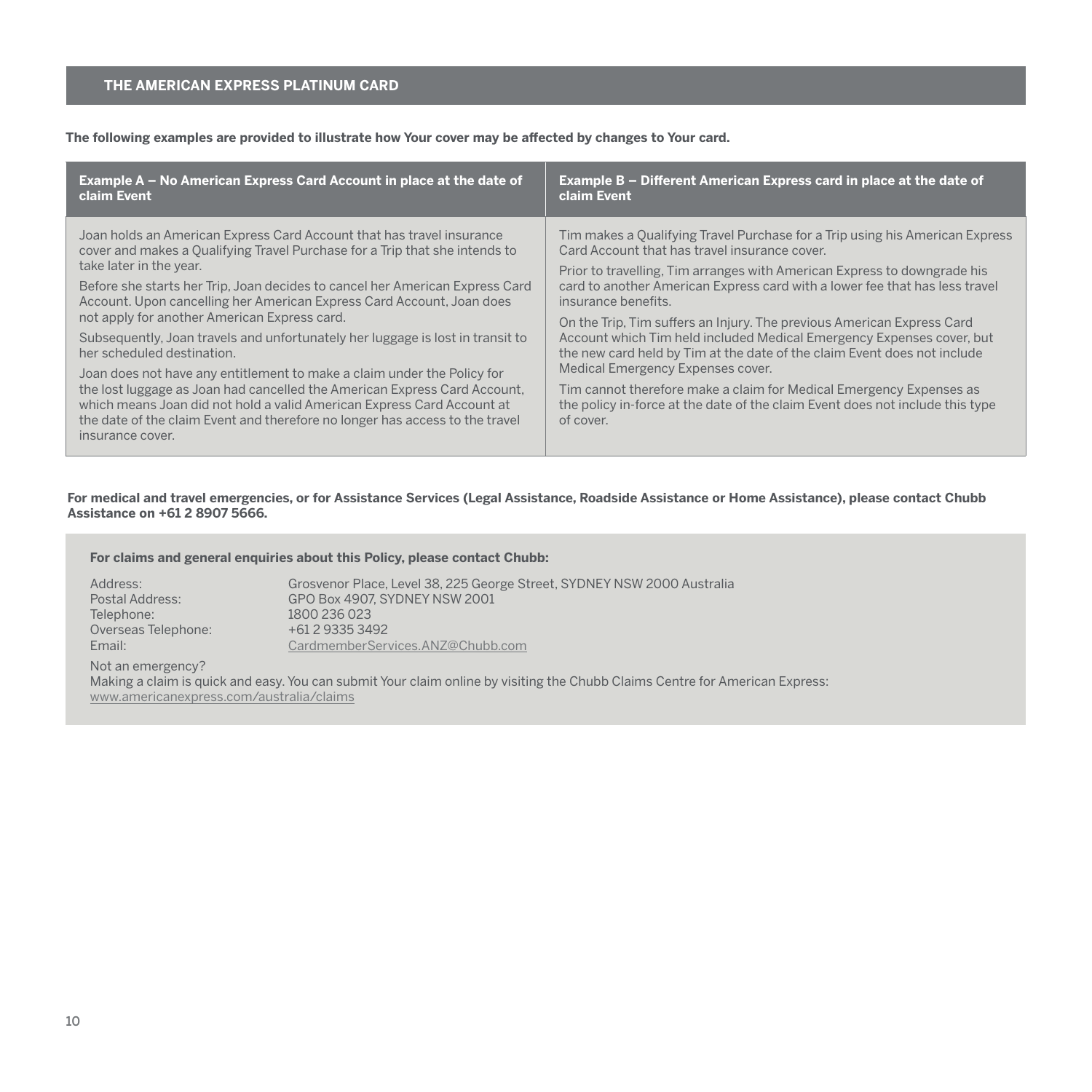**The following examples are provided to illustrate how Your cover may be affected by changes to Your card.**

| Example A – No American Express Card Account in place at the date of                                                                                                                                                                                                                                                                                                                                                                                                                                                                                                                                                                                                                                                                                                                                                                           | Example B – Different American Express card in place at the date of                                                                                                                                                                                                                                                                                                                                                                                                                                                                                                                                                                                                                                                                                      |
|------------------------------------------------------------------------------------------------------------------------------------------------------------------------------------------------------------------------------------------------------------------------------------------------------------------------------------------------------------------------------------------------------------------------------------------------------------------------------------------------------------------------------------------------------------------------------------------------------------------------------------------------------------------------------------------------------------------------------------------------------------------------------------------------------------------------------------------------|----------------------------------------------------------------------------------------------------------------------------------------------------------------------------------------------------------------------------------------------------------------------------------------------------------------------------------------------------------------------------------------------------------------------------------------------------------------------------------------------------------------------------------------------------------------------------------------------------------------------------------------------------------------------------------------------------------------------------------------------------------|
| claim Event                                                                                                                                                                                                                                                                                                                                                                                                                                                                                                                                                                                                                                                                                                                                                                                                                                    | claim Event                                                                                                                                                                                                                                                                                                                                                                                                                                                                                                                                                                                                                                                                                                                                              |
| Joan holds an American Express Card Account that has travel insurance<br>cover and makes a Qualifying Travel Purchase for a Trip that she intends to<br>take later in the year.<br>Before she starts her Trip, Joan decides to cancel her American Express Card<br>Account. Upon cancelling her American Express Card Account, Joan does<br>not apply for another American Express card.<br>Subsequently, Joan travels and unfortunately her luggage is lost in transit to<br>her scheduled destination.<br>Joan does not have any entitlement to make a claim under the Policy for<br>the lost luggage as Joan had cancelled the American Express Card Account.<br>which means Joan did not hold a valid American Express Card Account at<br>the date of the claim Event and therefore no longer has access to the travel<br>insurance cover. | Tim makes a Qualifying Travel Purchase for a Trip using his American Express<br>Card Account that has travel insurance cover.<br>Prior to travelling, Tim arranges with American Express to downgrade his<br>card to another American Express card with a lower fee that has less travel<br>insurance benefits.<br>On the Trip, Tim suffers an Injury. The previous American Express Card<br>Account which Tim held included Medical Emergency Expenses cover, but<br>the new card held by Tim at the date of the claim Event does not include<br>Medical Emergency Expenses cover.<br>Tim cannot therefore make a claim for Medical Emergency Expenses as<br>the policy in-force at the date of the claim Event does not include this type<br>of cover. |

# **For medical and travel emergencies, or for Assistance Services (Legal Assistance, Roadside Assistance or Home Assistance), please contact Chubb Assistance on +61 2 8907 5666.**

# **For claims and general enquiries about this Policy, please contact Chubb:**

| Address:            | Grosvenor Place, Level 38, 225 George Street, SYDNEY NSW 2000 Australia |
|---------------------|-------------------------------------------------------------------------|
| Postal Address:     | GPO Box 4907, SYDNEY NSW 2001                                           |
| Telephone:          | 1800 236 023                                                            |
| Overseas Telephone: | +61 2 9335 3492                                                         |
| Email:              | CardmemberServices.ANZ@Chubb.com                                        |

Not an emergency?

Making a claim is quick and easy. You can submit Your claim online by visiting the Chubb Claims Centre for American Express: [www.americanexpress.com/australia/claims](http://www.americanexpress.com/australia/claims)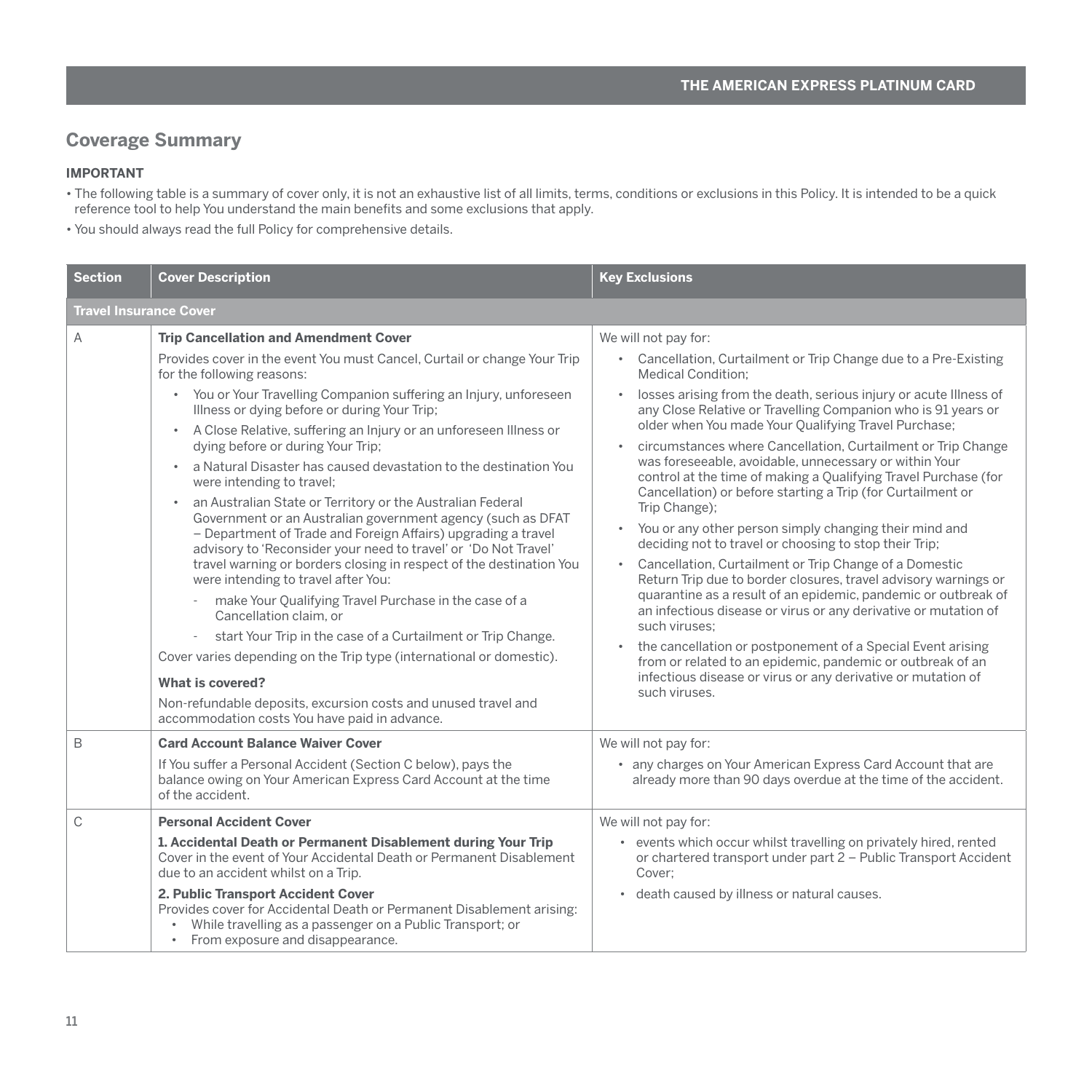# <span id="page-12-0"></span>**Coverage Summary**

# **IMPORTANT**

- The following table is a summary of cover only, it is not an exhaustive list of all limits, terms, conditions or exclusions in this Policy. It is intended to be a quick reference tool to help You understand the main benefits and some exclusions that apply.
- You should always read the full Policy for comprehensive details.

| <b>Section</b>                | <b>Cover Description</b>                                                                                                                                                                                                                                                                                                                                                                                                                                                                                                                                                                                                                                                                                                                                                                                                                                                                                                                                                                                                                                                                                                                                                                                                                                             | <b>Key Exclusions</b>                                                                                                                                                                                                                                                                                                                                                                                                                                                                                                                                                                                                                                                                                                                                                                                                                                                                                                                                                                                                                                                                                                                                                                                                                               |  |
|-------------------------------|----------------------------------------------------------------------------------------------------------------------------------------------------------------------------------------------------------------------------------------------------------------------------------------------------------------------------------------------------------------------------------------------------------------------------------------------------------------------------------------------------------------------------------------------------------------------------------------------------------------------------------------------------------------------------------------------------------------------------------------------------------------------------------------------------------------------------------------------------------------------------------------------------------------------------------------------------------------------------------------------------------------------------------------------------------------------------------------------------------------------------------------------------------------------------------------------------------------------------------------------------------------------|-----------------------------------------------------------------------------------------------------------------------------------------------------------------------------------------------------------------------------------------------------------------------------------------------------------------------------------------------------------------------------------------------------------------------------------------------------------------------------------------------------------------------------------------------------------------------------------------------------------------------------------------------------------------------------------------------------------------------------------------------------------------------------------------------------------------------------------------------------------------------------------------------------------------------------------------------------------------------------------------------------------------------------------------------------------------------------------------------------------------------------------------------------------------------------------------------------------------------------------------------------|--|
| <b>Travel Insurance Cover</b> |                                                                                                                                                                                                                                                                                                                                                                                                                                                                                                                                                                                                                                                                                                                                                                                                                                                                                                                                                                                                                                                                                                                                                                                                                                                                      |                                                                                                                                                                                                                                                                                                                                                                                                                                                                                                                                                                                                                                                                                                                                                                                                                                                                                                                                                                                                                                                                                                                                                                                                                                                     |  |
| A                             | <b>Trip Cancellation and Amendment Cover</b><br>Provides cover in the event You must Cancel, Curtail or change Your Trip<br>for the following reasons:<br>• You or Your Travelling Companion suffering an Injury, unforeseen<br>Illness or dying before or during Your Trip;<br>• A Close Relative, suffering an Injury or an unforeseen Illness or<br>dying before or during Your Trip;<br>a Natural Disaster has caused devastation to the destination You<br>$\bullet$<br>were intending to travel;<br>an Australian State or Territory or the Australian Federal<br>$\bullet$<br>Government or an Australian government agency (such as DFAT<br>- Department of Trade and Foreign Affairs) upgrading a travel<br>advisory to 'Reconsider your need to travel' or 'Do Not Travel'<br>travel warning or borders closing in respect of the destination You<br>were intending to travel after You:<br>make Your Qualifying Travel Purchase in the case of a<br>Cancellation claim, or<br>start Your Trip in the case of a Curtailment or Trip Change.<br>Cover varies depending on the Trip type (international or domestic).<br>What is covered?<br>Non-refundable deposits, excursion costs and unused travel and<br>accommodation costs You have paid in advance. | We will not pay for:<br>Cancellation, Curtailment or Trip Change due to a Pre-Existing<br>$\bullet$<br>Medical Condition:<br>losses arising from the death, serious injury or acute Illness of<br>$\bullet$<br>any Close Relative or Travelling Companion who is 91 years or<br>older when You made Your Qualifying Travel Purchase;<br>circumstances where Cancellation, Curtailment or Trip Change<br>was foreseeable, avoidable, unnecessary or within Your<br>control at the time of making a Qualifying Travel Purchase (for<br>Cancellation) or before starting a Trip (for Curtailment or<br>Trip Change);<br>You or any other person simply changing their mind and<br>deciding not to travel or choosing to stop their Trip;<br>Cancellation, Curtailment or Trip Change of a Domestic<br>$\bullet$<br>Return Trip due to border closures, travel advisory warnings or<br>quarantine as a result of an epidemic, pandemic or outbreak of<br>an infectious disease or virus or any derivative or mutation of<br>such viruses:<br>the cancellation or postponement of a Special Event arising<br>from or related to an epidemic, pandemic or outbreak of an<br>infectious disease or virus or any derivative or mutation of<br>such viruses. |  |
| B                             | <b>Card Account Balance Waiver Cover</b><br>If You suffer a Personal Accident (Section C below), pays the<br>balance owing on Your American Express Card Account at the time<br>of the accident.                                                                                                                                                                                                                                                                                                                                                                                                                                                                                                                                                                                                                                                                                                                                                                                                                                                                                                                                                                                                                                                                     | We will not pay for:<br>• any charges on Your American Express Card Account that are<br>already more than 90 days overdue at the time of the accident.                                                                                                                                                                                                                                                                                                                                                                                                                                                                                                                                                                                                                                                                                                                                                                                                                                                                                                                                                                                                                                                                                              |  |
| C                             | <b>Personal Accident Cover</b><br>1. Accidental Death or Permanent Disablement during Your Trip<br>Cover in the event of Your Accidental Death or Permanent Disablement<br>due to an accident whilst on a Trip.<br>2. Public Transport Accident Cover<br>Provides cover for Accidental Death or Permanent Disablement arising:<br>While travelling as a passenger on a Public Transport; or<br>• From exposure and disappearance.                                                                                                                                                                                                                                                                                                                                                                                                                                                                                                                                                                                                                                                                                                                                                                                                                                    | We will not pay for:<br>• events which occur whilst travelling on privately hired, rented<br>or chartered transport under part 2 - Public Transport Accident<br>Cover:<br>• death caused by illness or natural causes.                                                                                                                                                                                                                                                                                                                                                                                                                                                                                                                                                                                                                                                                                                                                                                                                                                                                                                                                                                                                                              |  |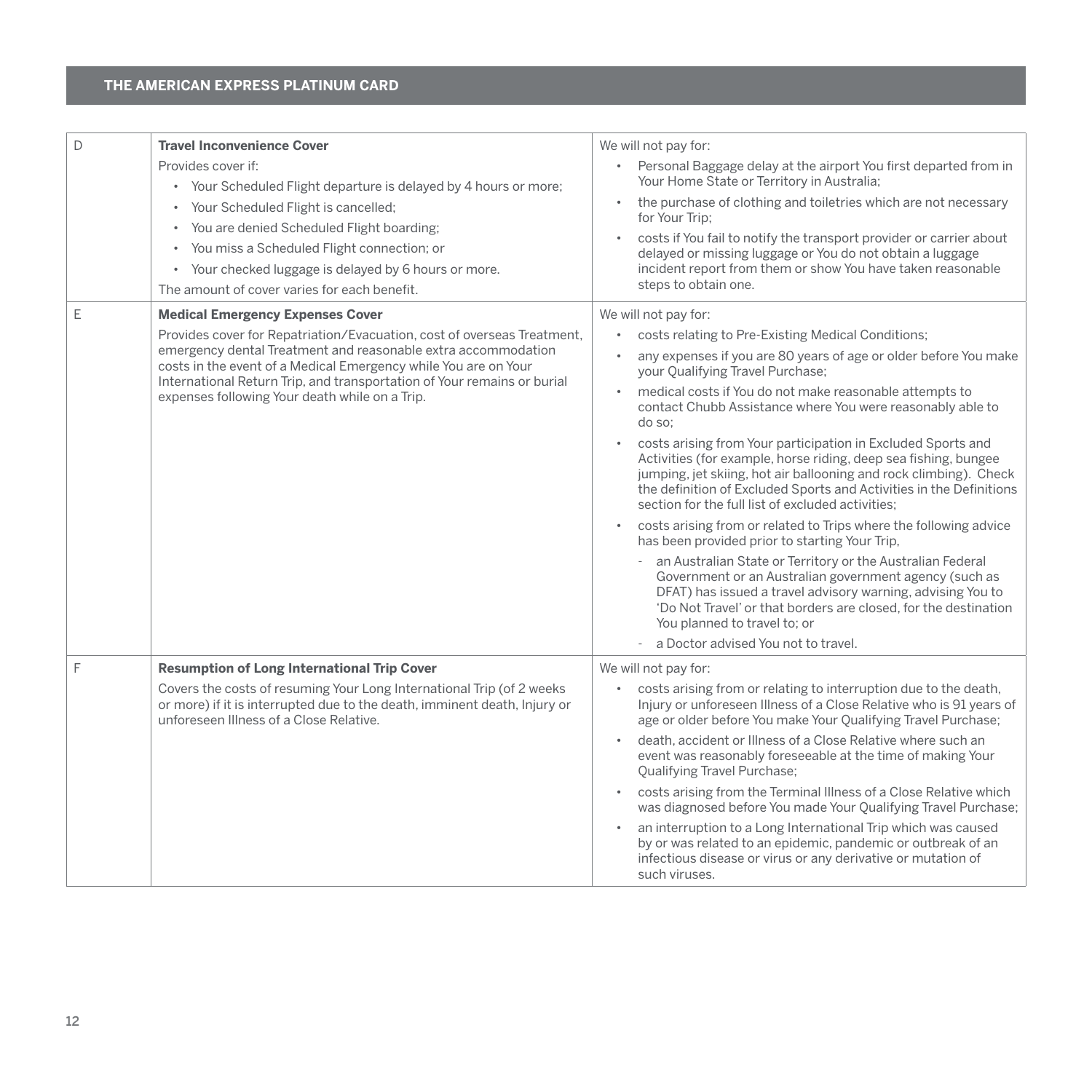| D | <b>Travel Inconvenience Cover</b><br>Provides cover if:<br>• Your Scheduled Flight departure is delayed by 4 hours or more;                                                                                                                                                                                                                                                         | We will not pay for:<br>• Personal Baggage delay at the airport You first departed from in<br>Your Home State or Territory in Australia;                                                                                                                                                                                                                                                                                                                                                                                                                                                                                                                                                                                                                                                                                                                                                                                                                                                                                    |
|---|-------------------------------------------------------------------------------------------------------------------------------------------------------------------------------------------------------------------------------------------------------------------------------------------------------------------------------------------------------------------------------------|-----------------------------------------------------------------------------------------------------------------------------------------------------------------------------------------------------------------------------------------------------------------------------------------------------------------------------------------------------------------------------------------------------------------------------------------------------------------------------------------------------------------------------------------------------------------------------------------------------------------------------------------------------------------------------------------------------------------------------------------------------------------------------------------------------------------------------------------------------------------------------------------------------------------------------------------------------------------------------------------------------------------------------|
|   | • Your Scheduled Flight is cancelled;<br>• You are denied Scheduled Flight boarding;<br>You miss a Scheduled Flight connection; or<br>$\bullet$                                                                                                                                                                                                                                     | the purchase of clothing and toiletries which are not necessary<br>$\bullet$<br>for Your Trip;<br>costs if You fail to notify the transport provider or carrier about<br>delayed or missing luggage or You do not obtain a luggage                                                                                                                                                                                                                                                                                                                                                                                                                                                                                                                                                                                                                                                                                                                                                                                          |
|   | • Your checked luggage is delayed by 6 hours or more.<br>The amount of cover varies for each benefit.                                                                                                                                                                                                                                                                               | incident report from them or show You have taken reasonable<br>steps to obtain one.                                                                                                                                                                                                                                                                                                                                                                                                                                                                                                                                                                                                                                                                                                                                                                                                                                                                                                                                         |
| E | <b>Medical Emergency Expenses Cover</b><br>Provides cover for Repatriation/Evacuation, cost of overseas Treatment,<br>emergency dental Treatment and reasonable extra accommodation<br>costs in the event of a Medical Emergency while You are on Your<br>International Return Trip, and transportation of Your remains or burial<br>expenses following Your death while on a Trip. | We will not pay for:<br>costs relating to Pre-Existing Medical Conditions;<br>$\bullet$<br>any expenses if you are 80 years of age or older before You make<br>$\bullet$<br>your Qualifying Travel Purchase;<br>medical costs if You do not make reasonable attempts to<br>$\bullet$<br>contact Chubb Assistance where You were reasonably able to<br>do so:<br>costs arising from Your participation in Excluded Sports and<br>$\bullet$<br>Activities (for example, horse riding, deep sea fishing, bungee<br>jumping, jet skiing, hot air ballooning and rock climbing). Check<br>the definition of Excluded Sports and Activities in the Definitions<br>section for the full list of excluded activities:<br>costs arising from or related to Trips where the following advice<br>has been provided prior to starting Your Trip.<br>an Australian State or Territory or the Australian Federal<br>Government or an Australian government agency (such as<br>DFAT) has issued a travel advisory warning, advising You to |
|   |                                                                                                                                                                                                                                                                                                                                                                                     | 'Do Not Travel' or that borders are closed, for the destination<br>You planned to travel to; or<br>a Doctor advised You not to travel.                                                                                                                                                                                                                                                                                                                                                                                                                                                                                                                                                                                                                                                                                                                                                                                                                                                                                      |
| F | <b>Resumption of Long International Trip Cover</b>                                                                                                                                                                                                                                                                                                                                  | We will not pay for:                                                                                                                                                                                                                                                                                                                                                                                                                                                                                                                                                                                                                                                                                                                                                                                                                                                                                                                                                                                                        |
|   | Covers the costs of resuming Your Long International Trip (of 2 weeks<br>or more) if it is interrupted due to the death, imminent death, Injury or<br>unforeseen Illness of a Close Relative.                                                                                                                                                                                       | costs arising from or relating to interruption due to the death,<br>$\bullet$<br>Injury or unforeseen Illness of a Close Relative who is 91 years of<br>age or older before You make Your Qualifying Travel Purchase;<br>death, accident or Illness of a Close Relative where such an<br>$\bullet$                                                                                                                                                                                                                                                                                                                                                                                                                                                                                                                                                                                                                                                                                                                          |
|   |                                                                                                                                                                                                                                                                                                                                                                                     | event was reasonably foreseeable at the time of making Your<br><b>Qualifying Travel Purchase:</b><br>costs arising from the Terminal Illness of a Close Relative which<br>was diagnosed before You made Your Qualifying Travel Purchase;                                                                                                                                                                                                                                                                                                                                                                                                                                                                                                                                                                                                                                                                                                                                                                                    |
|   |                                                                                                                                                                                                                                                                                                                                                                                     | an interruption to a Long International Trip which was caused<br>$\bullet$<br>by or was related to an epidemic, pandemic or outbreak of an<br>infectious disease or virus or any derivative or mutation of<br>such viruses.                                                                                                                                                                                                                                                                                                                                                                                                                                                                                                                                                                                                                                                                                                                                                                                                 |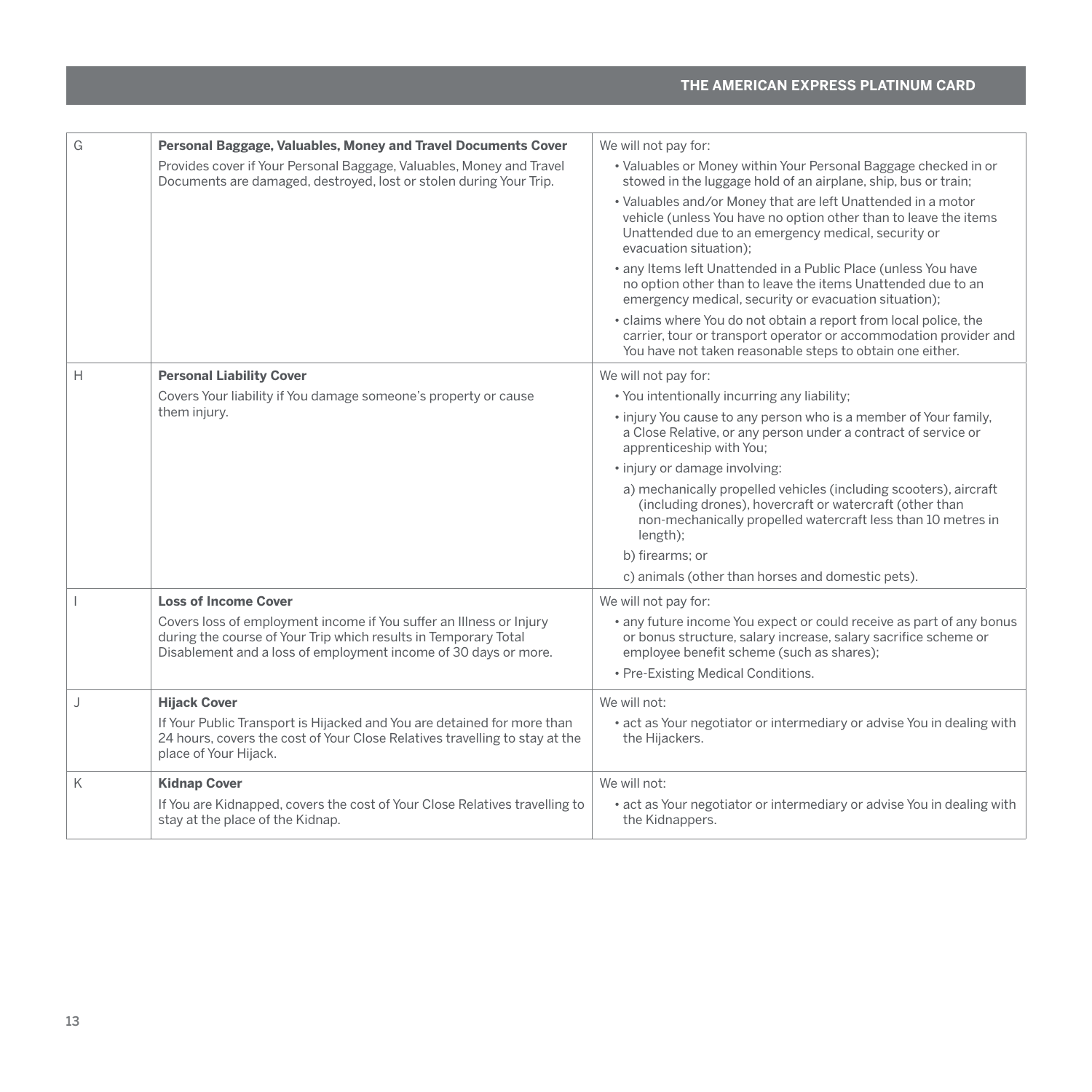| G              | Personal Baggage, Valuables, Money and Travel Documents Cover                                                                                                                                             | We will not pay for:                                                                                                                                                                                              |
|----------------|-----------------------------------------------------------------------------------------------------------------------------------------------------------------------------------------------------------|-------------------------------------------------------------------------------------------------------------------------------------------------------------------------------------------------------------------|
|                | Provides cover if Your Personal Baggage, Valuables, Money and Travel<br>Documents are damaged, destroyed, lost or stolen during Your Trip.                                                                | • Valuables or Money within Your Personal Baggage checked in or<br>stowed in the luggage hold of an airplane, ship, bus or train;                                                                                 |
|                |                                                                                                                                                                                                           | • Valuables and/or Money that are left Unattended in a motor<br>vehicle (unless You have no option other than to leave the items<br>Unattended due to an emergency medical, security or<br>evacuation situation); |
|                |                                                                                                                                                                                                           | · any Items left Unattended in a Public Place (unless You have<br>no option other than to leave the items Unattended due to an<br>emergency medical, security or evacuation situation);                           |
|                |                                                                                                                                                                                                           | • claims where You do not obtain a report from local police, the<br>carrier, tour or transport operator or accommodation provider and<br>You have not taken reasonable steps to obtain one either.                |
| Н              | <b>Personal Liability Cover</b>                                                                                                                                                                           | We will not pay for:                                                                                                                                                                                              |
|                | Covers Your liability if You damage someone's property or cause                                                                                                                                           | • You intentionally incurring any liability;                                                                                                                                                                      |
|                | them injury.                                                                                                                                                                                              | • injury You cause to any person who is a member of Your family,<br>a Close Relative, or any person under a contract of service or<br>apprenticeship with You;                                                    |
|                |                                                                                                                                                                                                           | · injury or damage involving:                                                                                                                                                                                     |
|                |                                                                                                                                                                                                           | a) mechanically propelled vehicles (including scooters), aircraft<br>(including drones), hovercraft or watercraft (other than<br>non-mechanically propelled watercraft less than 10 metres in<br>length);         |
|                |                                                                                                                                                                                                           | b) firearms: or                                                                                                                                                                                                   |
|                |                                                                                                                                                                                                           | c) animals (other than horses and domestic pets).                                                                                                                                                                 |
| $\overline{1}$ | <b>Loss of Income Cover</b>                                                                                                                                                                               | We will not pay for:                                                                                                                                                                                              |
|                | Covers loss of employment income if You suffer an Illness or Injury<br>during the course of Your Trip which results in Temporary Total<br>Disablement and a loss of employment income of 30 days or more. | • any future income You expect or could receive as part of any bonus<br>or bonus structure, salary increase, salary sacrifice scheme or<br>employee benefit scheme (such as shares);                              |
|                |                                                                                                                                                                                                           | • Pre-Existing Medical Conditions.                                                                                                                                                                                |
| J              | <b>Hijack Cover</b>                                                                                                                                                                                       | We will not:                                                                                                                                                                                                      |
|                | If Your Public Transport is Hijacked and You are detained for more than<br>24 hours, covers the cost of Your Close Relatives travelling to stay at the<br>place of Your Hijack.                           | • act as Your negotiator or intermediary or advise You in dealing with<br>the Hijackers.                                                                                                                          |
| K              | <b>Kidnap Cover</b>                                                                                                                                                                                       | We will not:                                                                                                                                                                                                      |
|                | If You are Kidnapped, covers the cost of Your Close Relatives travelling to<br>stay at the place of the Kidnap.                                                                                           | • act as Your negotiator or intermediary or advise You in dealing with<br>the Kidnappers.                                                                                                                         |
|                |                                                                                                                                                                                                           |                                                                                                                                                                                                                   |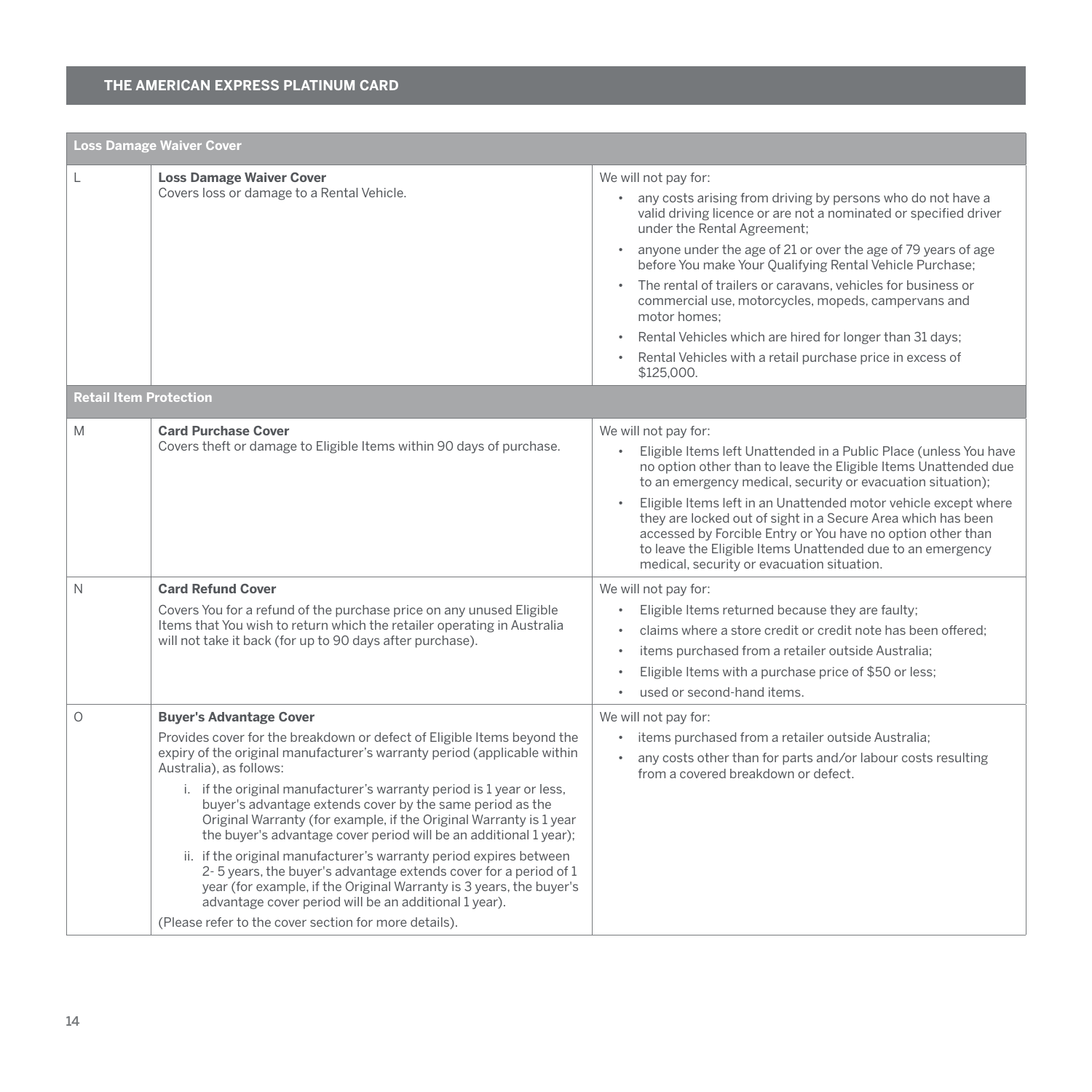|                               | <b>Loss Damage Waiver Cover</b>                                                                                                                                                                                                                                                                                                                                                                                                                                                                                                                                                                                                                                                                                                                                                                                                     |                                                                                                                                                                                                                                                                                                                                                                                                                                                                                                                                                                                                     |  |  |
|-------------------------------|-------------------------------------------------------------------------------------------------------------------------------------------------------------------------------------------------------------------------------------------------------------------------------------------------------------------------------------------------------------------------------------------------------------------------------------------------------------------------------------------------------------------------------------------------------------------------------------------------------------------------------------------------------------------------------------------------------------------------------------------------------------------------------------------------------------------------------------|-----------------------------------------------------------------------------------------------------------------------------------------------------------------------------------------------------------------------------------------------------------------------------------------------------------------------------------------------------------------------------------------------------------------------------------------------------------------------------------------------------------------------------------------------------------------------------------------------------|--|--|
| L                             | <b>Loss Damage Waiver Cover</b><br>Covers loss or damage to a Rental Vehicle.                                                                                                                                                                                                                                                                                                                                                                                                                                                                                                                                                                                                                                                                                                                                                       | We will not pay for:<br>any costs arising from driving by persons who do not have a<br>valid driving licence or are not a nominated or specified driver<br>under the Rental Agreement;<br>anyone under the age of 21 or over the age of 79 years of age<br>before You make Your Qualifying Rental Vehicle Purchase;<br>• The rental of trailers or caravans, vehicles for business or<br>commercial use, motorcycles, mopeds, campervans and<br>motor homes:<br>Rental Vehicles which are hired for longer than 31 days;<br>Rental Vehicles with a retail purchase price in excess of<br>\$125,000. |  |  |
| <b>Retail Item Protection</b> |                                                                                                                                                                                                                                                                                                                                                                                                                                                                                                                                                                                                                                                                                                                                                                                                                                     |                                                                                                                                                                                                                                                                                                                                                                                                                                                                                                                                                                                                     |  |  |
| M                             | <b>Card Purchase Cover</b><br>Covers theft or damage to Eligible Items within 90 days of purchase.                                                                                                                                                                                                                                                                                                                                                                                                                                                                                                                                                                                                                                                                                                                                  | We will not pay for:<br>$\bullet$<br>Eligible Items left Unattended in a Public Place (unless You have<br>no option other than to leave the Eligible Items Unattended due<br>to an emergency medical, security or evacuation situation);<br>Eligible Items left in an Unattended motor vehicle except where<br>they are locked out of sight in a Secure Area which has been<br>accessed by Forcible Entry or You have no option other than<br>to leave the Eligible Items Unattended due to an emergency<br>medical, security or evacuation situation.                                              |  |  |
| N                             | <b>Card Refund Cover</b><br>Covers You for a refund of the purchase price on any unused Eligible<br>Items that You wish to return which the retailer operating in Australia<br>will not take it back (for up to 90 days after purchase).                                                                                                                                                                                                                                                                                                                                                                                                                                                                                                                                                                                            | We will not pay for:<br>Eligible Items returned because they are faulty;<br>claims where a store credit or credit note has been offered:<br>$\bullet$<br>items purchased from a retailer outside Australia;<br>$\bullet$<br>Eligible Items with a purchase price of \$50 or less;<br>$\bullet$<br>used or second-hand items<br>$\bullet$                                                                                                                                                                                                                                                            |  |  |
| $\circ$                       | <b>Buyer's Advantage Cover</b><br>Provides cover for the breakdown or defect of Eligible Items beyond the<br>expiry of the original manufacturer's warranty period (applicable within<br>Australia), as follows:<br>i. if the original manufacturer's warranty period is 1 year or less,<br>buyer's advantage extends cover by the same period as the<br>Original Warranty (for example, if the Original Warranty is 1 year<br>the buyer's advantage cover period will be an additional 1 year);<br>ii. if the original manufacturer's warranty period expires between<br>2-5 years, the buyer's advantage extends cover for a period of 1<br>year (for example, if the Original Warranty is 3 years, the buyer's<br>advantage cover period will be an additional 1 year).<br>(Please refer to the cover section for more details). | We will not pay for:<br>items purchased from a retailer outside Australia;<br>any costs other than for parts and/or labour costs resulting<br>$\bullet$<br>from a covered breakdown or defect.                                                                                                                                                                                                                                                                                                                                                                                                      |  |  |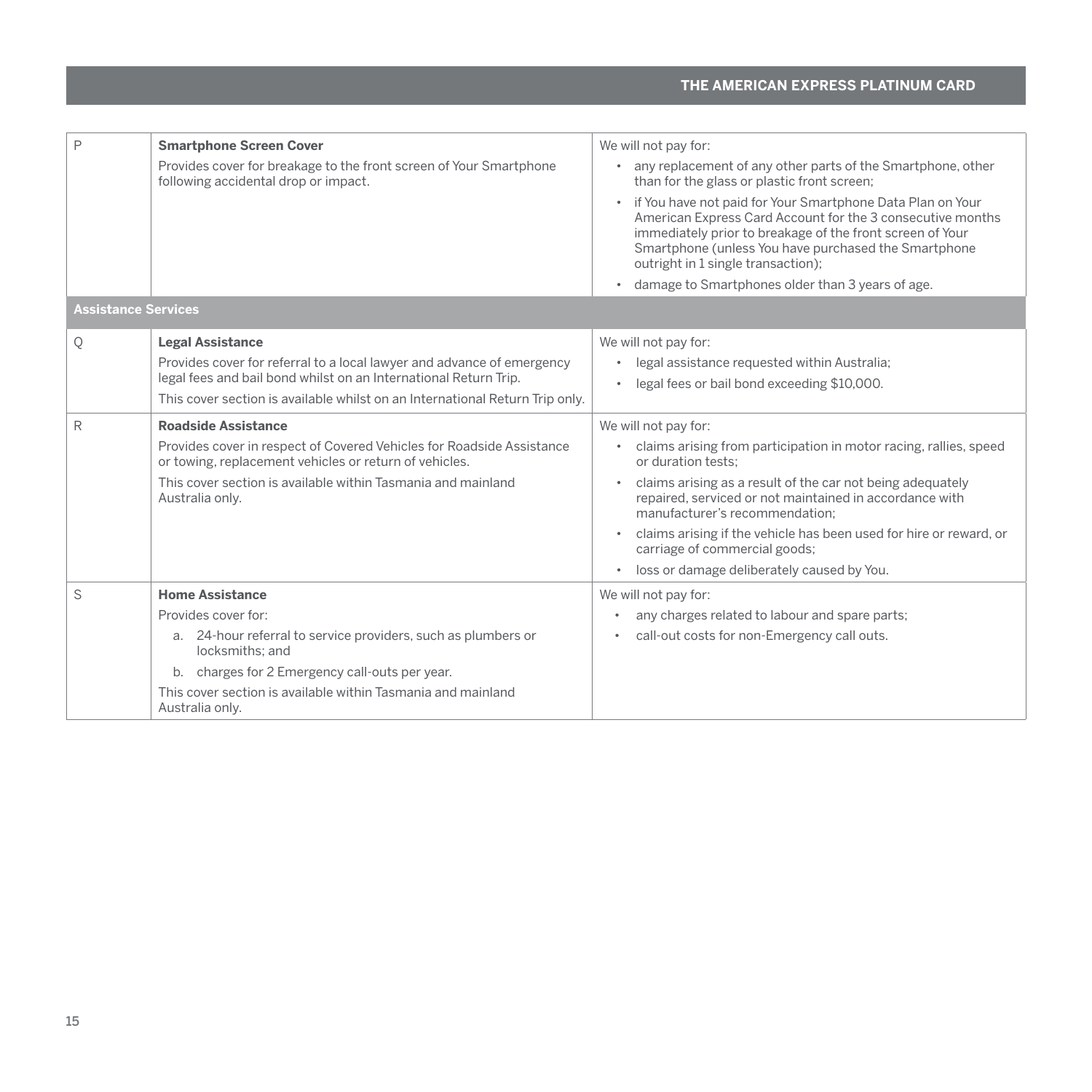| P                          | <b>Smartphone Screen Cover</b>                                                                                                  | We will not pay for:                                                                                                                                                                                                                                                                  |
|----------------------------|---------------------------------------------------------------------------------------------------------------------------------|---------------------------------------------------------------------------------------------------------------------------------------------------------------------------------------------------------------------------------------------------------------------------------------|
|                            | Provides cover for breakage to the front screen of Your Smartphone<br>following accidental drop or impact.                      | any replacement of any other parts of the Smartphone, other<br>than for the glass or plastic front screen;                                                                                                                                                                            |
|                            |                                                                                                                                 | • if You have not paid for Your Smartphone Data Plan on Your<br>American Express Card Account for the 3 consecutive months<br>immediately prior to breakage of the front screen of Your<br>Smartphone (unless You have purchased the Smartphone<br>outright in 1 single transaction); |
|                            |                                                                                                                                 | damage to Smartphones older than 3 years of age.                                                                                                                                                                                                                                      |
| <b>Assistance Services</b> |                                                                                                                                 |                                                                                                                                                                                                                                                                                       |
| Q                          | <b>Legal Assistance</b>                                                                                                         | We will not pay for:                                                                                                                                                                                                                                                                  |
|                            | Provides cover for referral to a local lawyer and advance of emergency                                                          | legal assistance requested within Australia;                                                                                                                                                                                                                                          |
|                            | legal fees and bail bond whilst on an International Return Trip.                                                                | legal fees or bail bond exceeding \$10,000.                                                                                                                                                                                                                                           |
|                            | This cover section is available whilst on an International Return Trip only.                                                    |                                                                                                                                                                                                                                                                                       |
| R                          | <b>Roadside Assistance</b>                                                                                                      | We will not pay for:                                                                                                                                                                                                                                                                  |
|                            | Provides cover in respect of Covered Vehicles for Roadside Assistance<br>or towing, replacement vehicles or return of vehicles. | claims arising from participation in motor racing, rallies, speed<br>or duration tests:                                                                                                                                                                                               |
|                            | This cover section is available within Tasmania and mainland<br>Australia only.                                                 | claims arising as a result of the car not being adequately<br>repaired, serviced or not maintained in accordance with<br>manufacturer's recommendation:                                                                                                                               |
|                            |                                                                                                                                 | claims arising if the vehicle has been used for hire or reward, or<br>carriage of commercial goods;                                                                                                                                                                                   |
|                            |                                                                                                                                 | loss or damage deliberately caused by You.<br>$\bullet$                                                                                                                                                                                                                               |
| S                          | <b>Home Assistance</b>                                                                                                          | We will not pay for:                                                                                                                                                                                                                                                                  |
|                            | Provides cover for:                                                                                                             | any charges related to labour and spare parts;<br>٠                                                                                                                                                                                                                                   |
|                            | a. 24-hour referral to service providers, such as plumbers or<br>locksmiths: and                                                | call-out costs for non-Emergency call outs.                                                                                                                                                                                                                                           |
|                            | b. charges for 2 Emergency call-outs per year.                                                                                  |                                                                                                                                                                                                                                                                                       |
|                            | This cover section is available within Tasmania and mainland<br>Australia only.                                                 |                                                                                                                                                                                                                                                                                       |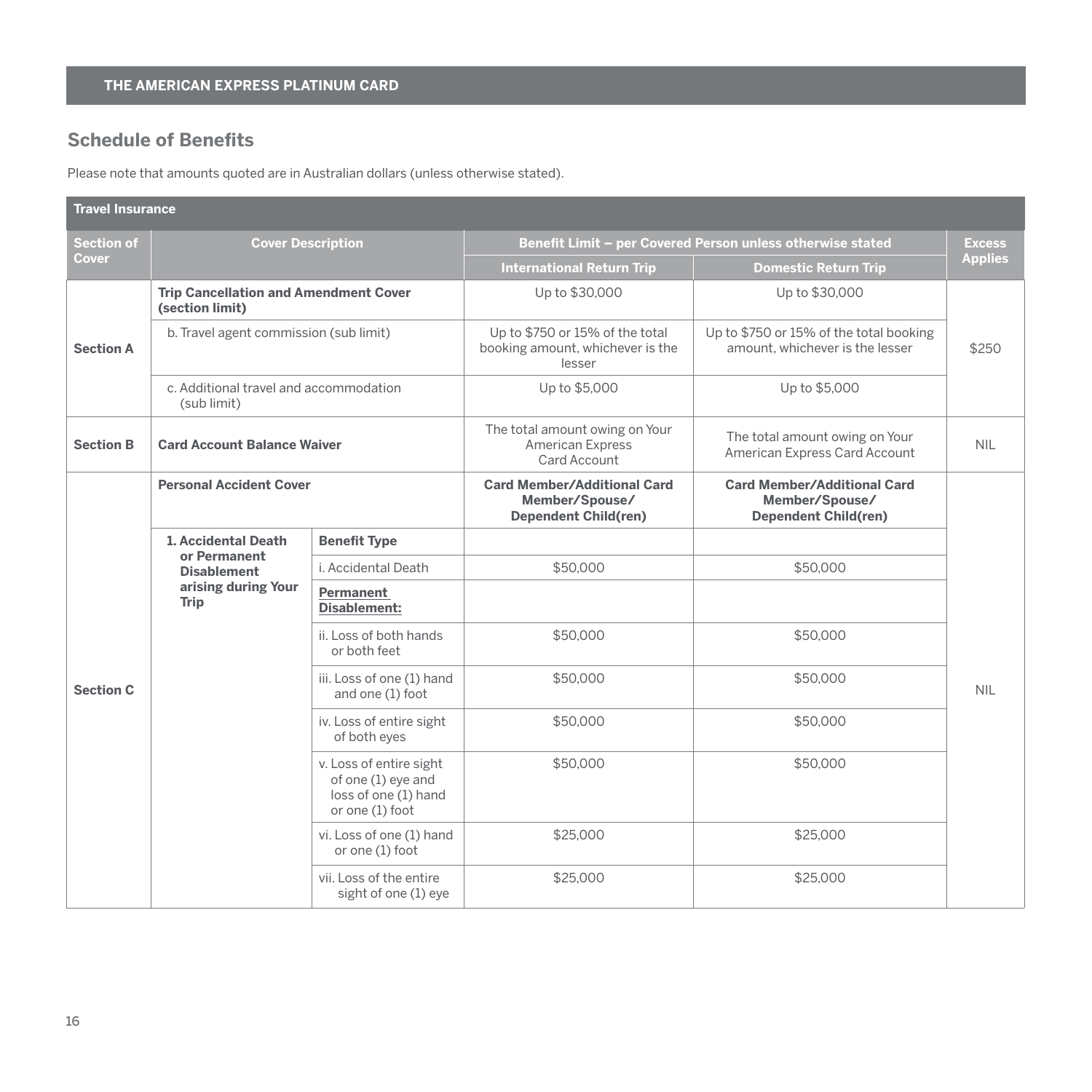# <span id="page-17-0"></span>**Schedule of Benefits**

Please note that amounts quoted are in Australian dollars (unless otherwise stated).

| <b>Travel Insurance</b> |                                                                 |                                                                                          |                                                                                     |                                                                                     |                |  |
|-------------------------|-----------------------------------------------------------------|------------------------------------------------------------------------------------------|-------------------------------------------------------------------------------------|-------------------------------------------------------------------------------------|----------------|--|
| <b>Section of</b>       | <b>Cover Description</b>                                        |                                                                                          | Benefit Limit - per Covered Person unless otherwise stated                          |                                                                                     | <b>Excess</b>  |  |
| Cover                   |                                                                 |                                                                                          | <b>International Return Trip</b>                                                    | <b>Domestic Return Trip</b>                                                         | <b>Applies</b> |  |
|                         | <b>Trip Cancellation and Amendment Cover</b><br>(section limit) |                                                                                          | Up to \$30,000                                                                      | Up to \$30,000                                                                      |                |  |
| <b>Section A</b>        | b. Travel agent commission (sub limit)                          |                                                                                          | Up to \$750 or 15% of the total<br>booking amount, whichever is the<br>lesser       | Up to \$750 or 15% of the total booking<br>amount, whichever is the lesser          | \$250          |  |
|                         | c. Additional travel and accommodation<br>(sub limit)           |                                                                                          | Up to \$5,000                                                                       | Up to \$5,000                                                                       |                |  |
| <b>Section B</b>        | <b>Card Account Balance Waiver</b>                              |                                                                                          | The total amount owing on Your<br>American Express<br>Card Account                  | The total amount owing on Your<br>American Express Card Account                     | <b>NIL</b>     |  |
|                         | <b>Personal Accident Cover</b>                                  |                                                                                          | <b>Card Member/Additional Card</b><br>Member/Spouse/<br><b>Dependent Child(ren)</b> | <b>Card Member/Additional Card</b><br>Member/Spouse/<br><b>Dependent Child(ren)</b> |                |  |
|                         | 1. Accidental Death                                             | <b>Benefit Type</b>                                                                      |                                                                                     |                                                                                     |                |  |
|                         | or Permanent<br><b>Disablement</b>                              | i. Accidental Death                                                                      | \$50,000                                                                            | \$50,000                                                                            |                |  |
|                         | arising during Your<br><b>Trip</b>                              | Permanent<br>Disablement:                                                                |                                                                                     |                                                                                     |                |  |
|                         |                                                                 | ii. Loss of both hands<br>or both feet                                                   | \$50,000                                                                            | \$50,000                                                                            |                |  |
| <b>Section C</b>        |                                                                 | iii. Loss of one (1) hand<br>and one (1) foot                                            | \$50,000                                                                            | \$50,000                                                                            | <b>NIL</b>     |  |
|                         |                                                                 | iv. Loss of entire sight<br>of both eyes                                                 | \$50,000                                                                            | \$50,000                                                                            |                |  |
|                         |                                                                 | v. Loss of entire sight<br>of one (1) eye and<br>loss of one (1) hand<br>or one (1) foot | \$50,000                                                                            | \$50,000                                                                            |                |  |
|                         |                                                                 | vi. Loss of one (1) hand<br>or one (1) foot                                              | \$25,000                                                                            | \$25,000                                                                            |                |  |
|                         |                                                                 | vii. Loss of the entire<br>sight of one (1) eye                                          | \$25,000                                                                            | \$25,000                                                                            |                |  |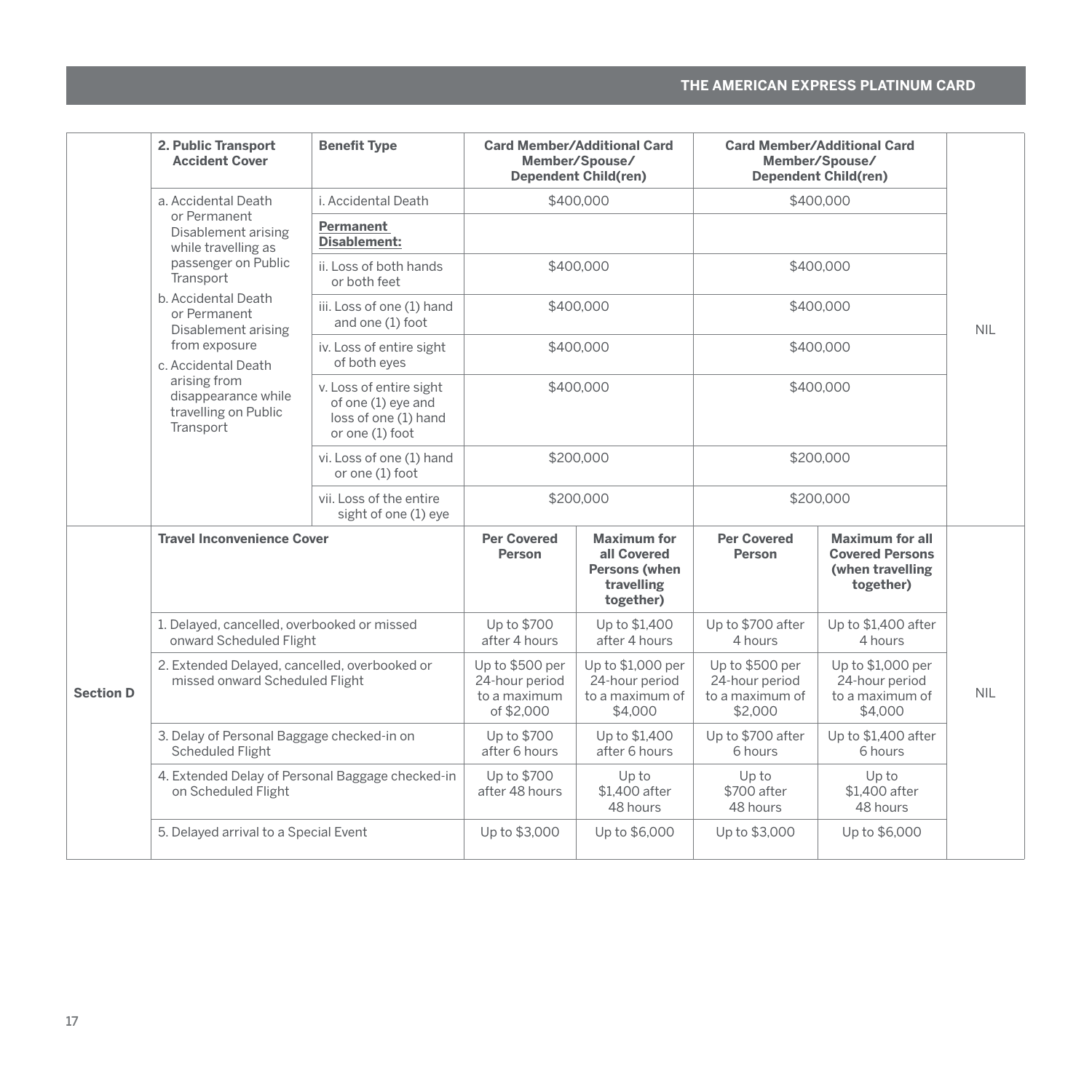|                  | 2. Public Transport<br><b>Accident Cover</b>                                    | <b>Benefit Type</b>                                                                      |                                                                 | <b>Card Member/Additional Card</b><br>Member/Spouse/<br><b>Dependent Child(ren)</b> |                                                                 | <b>Card Member/Additional Card</b><br>Member/Spouse/<br><b>Dependent Child(ren)</b> |            |
|------------------|---------------------------------------------------------------------------------|------------------------------------------------------------------------------------------|-----------------------------------------------------------------|-------------------------------------------------------------------------------------|-----------------------------------------------------------------|-------------------------------------------------------------------------------------|------------|
|                  | a. Accidental Death                                                             | i. Accidental Death                                                                      |                                                                 | \$400,000                                                                           |                                                                 | \$400.000                                                                           |            |
|                  | or Permanent<br>Disablement arising<br>while travelling as                      | Permanent<br><b>Disablement:</b>                                                         |                                                                 |                                                                                     |                                                                 |                                                                                     |            |
|                  | passenger on Public<br>Transport                                                | ii. Loss of both hands<br>or both feet                                                   |                                                                 | \$400.000                                                                           |                                                                 | \$400.000                                                                           |            |
|                  | b. Accidental Death<br>or Permanent<br>Disablement arising                      | iii. Loss of one (1) hand<br>and one (1) foot                                            |                                                                 | \$400,000                                                                           |                                                                 | \$400,000                                                                           | <b>NIL</b> |
|                  | from exposure<br>c. Accidental Death                                            | iv. Loss of entire sight<br>of both eyes                                                 |                                                                 | \$400,000                                                                           |                                                                 | \$400.000                                                                           |            |
|                  | arising from<br>disappearance while<br>travelling on Public<br>Transport        | v. Loss of entire sight<br>of one (1) eye and<br>loss of one (1) hand<br>or one (1) foot |                                                                 | \$400,000                                                                           |                                                                 | \$400.000                                                                           |            |
|                  |                                                                                 | vi. Loss of one (1) hand<br>or one (1) foot                                              |                                                                 | \$200,000                                                                           |                                                                 | \$200.000                                                                           |            |
|                  |                                                                                 | vii. Loss of the entire<br>sight of one (1) eye                                          |                                                                 | \$200.000                                                                           |                                                                 | \$200.000                                                                           |            |
|                  | <b>Travel Inconvenience Cover</b>                                               |                                                                                          | <b>Per Covered</b><br>Person                                    | <b>Maximum for</b><br>all Covered<br>Persons (when<br>travelling<br>together)       | <b>Per Covered</b><br>Person                                    | <b>Maximum for all</b><br><b>Covered Persons</b><br>(when travelling<br>together)   |            |
| <b>Section D</b> | 1. Delayed, cancelled, overbooked or missed<br>onward Scheduled Flight          |                                                                                          | Up to \$700<br>after 4 hours                                    | Up to \$1.400<br>after 4 hours                                                      | Up to \$700 after<br>4 hours                                    | Up to \$1,400 after<br>4 hours                                                      |            |
|                  | 2. Extended Delayed, cancelled, overbooked or<br>missed onward Scheduled Flight |                                                                                          | Up to \$500 per<br>24-hour period<br>to a maximum<br>of \$2,000 | Up to \$1,000 per<br>24-hour period<br>to a maximum of<br>\$4,000                   | Up to \$500 per<br>24-hour period<br>to a maximum of<br>\$2,000 | Up to \$1,000 per<br>24-hour period<br>to a maximum of<br>\$4,000                   | <b>NIL</b> |
|                  | 3. Delay of Personal Baggage checked-in on<br><b>Scheduled Flight</b>           |                                                                                          | Up to \$700<br>after 6 hours                                    | Up to \$1.400<br>after 6 hours                                                      | Up to \$700 after<br>6 hours                                    | Up to \$1,400 after<br>6 hours                                                      |            |
|                  | 4. Extended Delay of Personal Baggage checked-in<br>on Scheduled Flight         |                                                                                          | Up to \$700<br>after 48 hours                                   | Up to<br>\$1.400 after<br>48 hours                                                  | Up to<br>\$700 after<br>48 hours                                | Up to<br>\$1.400 after<br>48 hours                                                  |            |
|                  | 5. Delayed arrival to a Special Event                                           |                                                                                          | Up to \$3,000                                                   | Up to \$6,000                                                                       | Up to \$3,000                                                   | Up to \$6,000                                                                       |            |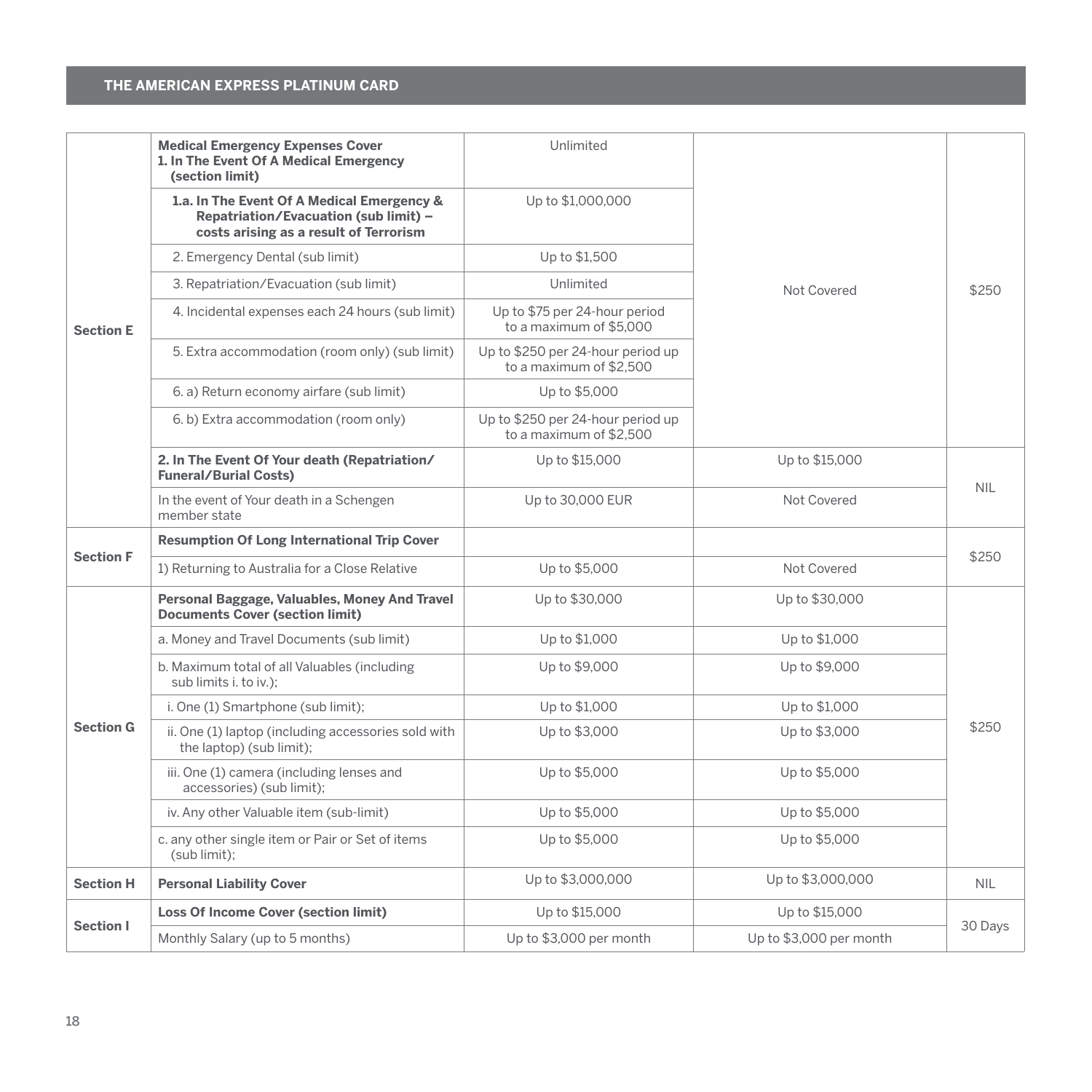|                  | <b>Medical Emergency Expenses Cover</b><br>1. In The Event Of A Medical Emergency<br>(section limit)                          | Unlimited                                                    |                         |            |  |
|------------------|-------------------------------------------------------------------------------------------------------------------------------|--------------------------------------------------------------|-------------------------|------------|--|
|                  | 1.a. In The Event Of A Medical Emergency &<br>Repatriation/Evacuation (sub limit) -<br>costs arising as a result of Terrorism | Up to \$1,000,000                                            |                         |            |  |
|                  | 2. Emergency Dental (sub limit)                                                                                               | Up to \$1,500                                                |                         |            |  |
|                  | 3. Repatriation/Evacuation (sub limit)                                                                                        | Unlimited                                                    | Not Covered             | \$250      |  |
| <b>Section E</b> | 4. Incidental expenses each 24 hours (sub limit)                                                                              | Up to \$75 per 24-hour period<br>to a maximum of \$5,000     |                         |            |  |
|                  | 5. Extra accommodation (room only) (sub limit)                                                                                | Up to \$250 per 24-hour period up<br>to a maximum of \$2.500 |                         |            |  |
|                  | 6. a) Return economy airfare (sub limit)                                                                                      | Up to \$5,000                                                |                         |            |  |
|                  | 6. b) Extra accommodation (room only)                                                                                         | Up to \$250 per 24-hour period up<br>to a maximum of \$2.500 |                         |            |  |
|                  | 2. In The Event Of Your death (Repatriation/<br><b>Funeral/Burial Costs)</b>                                                  | Up to \$15,000                                               | Up to \$15,000          | <b>NIL</b> |  |
|                  | In the event of Your death in a Schengen<br>member state                                                                      | Up to 30,000 EUR                                             | Not Covered             |            |  |
|                  | <b>Resumption Of Long International Trip Cover</b>                                                                            |                                                              |                         |            |  |
| <b>Section F</b> | 1) Returning to Australia for a Close Relative                                                                                | Up to \$5,000                                                | Not Covered             | \$250      |  |
|                  | Personal Baggage, Valuables, Money And Travel<br><b>Documents Cover (section limit)</b>                                       | Up to \$30,000                                               | Up to \$30,000          |            |  |
|                  | a. Money and Travel Documents (sub limit)                                                                                     | Up to \$1,000                                                | Up to \$1,000           |            |  |
|                  | b. Maximum total of all Valuables (including<br>sub limits i. to iv.);                                                        | Up to \$9,000                                                | Up to \$9,000           |            |  |
|                  | i. One (1) Smartphone (sub limit);                                                                                            | Up to \$1,000                                                | Up to \$1,000           |            |  |
| <b>Section G</b> | ii. One (1) laptop (including accessories sold with<br>the laptop) (sub limit);                                               | Up to \$3,000                                                | Up to \$3,000           | \$250      |  |
|                  | iii. One (1) camera (including lenses and<br>accessories) (sub limit);                                                        | Up to \$5,000                                                | Up to \$5,000           |            |  |
|                  | iv. Any other Valuable item (sub-limit)                                                                                       | Up to \$5,000                                                | Up to \$5,000           |            |  |
|                  | c. any other single item or Pair or Set of items<br>(sub limit);                                                              | Up to \$5,000                                                | Up to \$5,000           |            |  |
| <b>Section H</b> | <b>Personal Liability Cover</b>                                                                                               | Up to \$3,000,000                                            | Up to \$3,000,000       | <b>NIL</b> |  |
|                  | <b>Loss Of Income Cover (section limit)</b>                                                                                   | Up to \$15,000                                               | Up to \$15,000          |            |  |
| Section I        | Monthly Salary (up to 5 months)                                                                                               | Up to \$3,000 per month                                      | Up to \$3,000 per month | 30 Days    |  |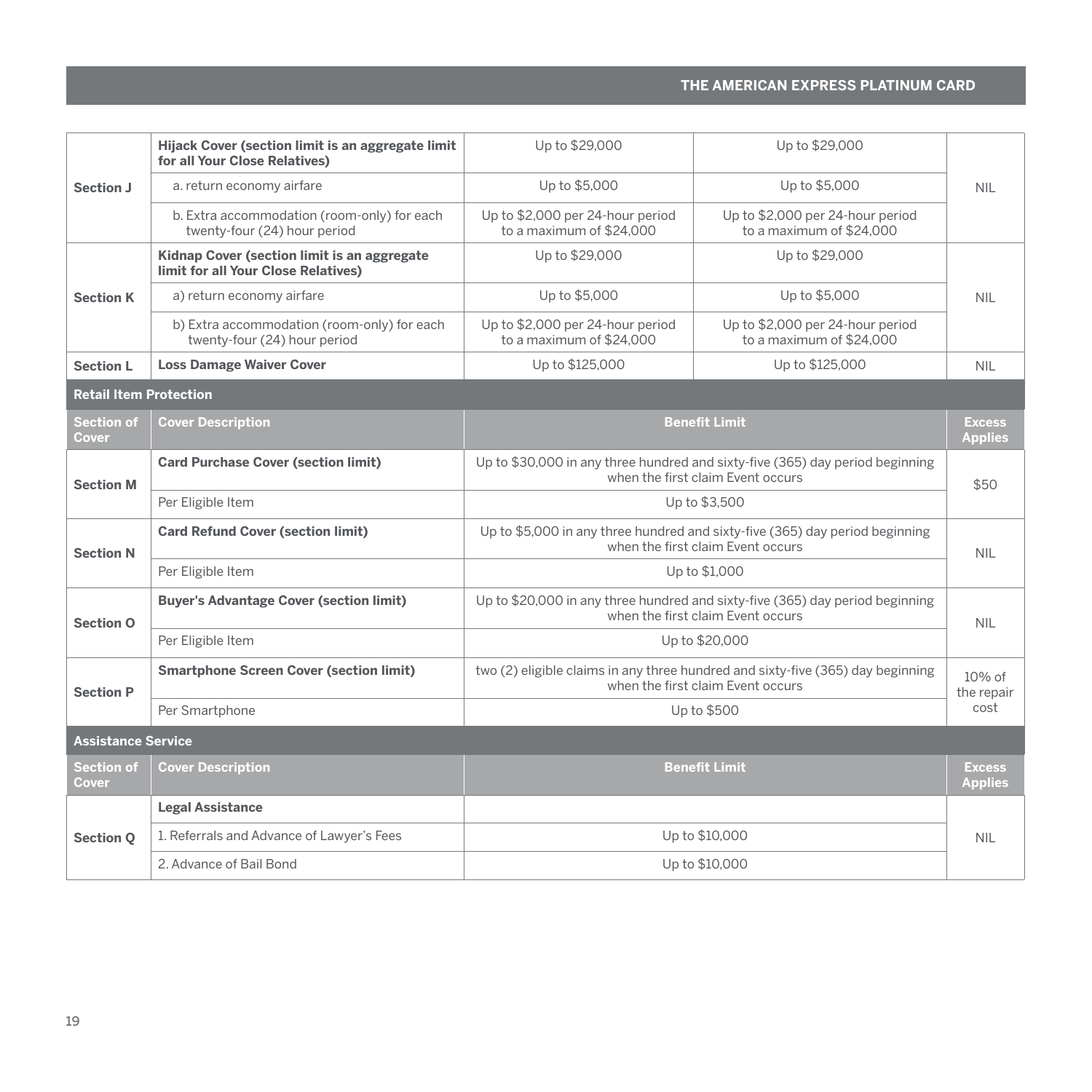| Section J                     | Hijack Cover (section limit is an aggregate limit<br>for all Your Close Relatives) | Up to \$29,000                                                                                                       | Up to \$29,000                                               |                                 |
|-------------------------------|------------------------------------------------------------------------------------|----------------------------------------------------------------------------------------------------------------------|--------------------------------------------------------------|---------------------------------|
|                               | a. return economy airfare                                                          | Up to \$5,000                                                                                                        | Up to \$5,000                                                | <b>NIL</b>                      |
|                               | b. Extra accommodation (room-only) for each<br>twenty-four (24) hour period        | Up to \$2,000 per 24-hour period<br>to a maximum of \$24,000                                                         | Up to \$2,000 per 24-hour period<br>to a maximum of \$24,000 |                                 |
|                               | Kidnap Cover (section limit is an aggregate<br>limit for all Your Close Relatives) | Up to \$29,000                                                                                                       | Up to \$29,000                                               |                                 |
| <b>Section K</b>              | a) return economy airfare                                                          | Up to \$5,000                                                                                                        | Up to \$5,000                                                | <b>NIL</b>                      |
|                               | b) Extra accommodation (room-only) for each<br>twenty-four (24) hour period        | Up to \$2,000 per 24-hour period<br>to a maximum of \$24,000                                                         | Up to \$2,000 per 24-hour period<br>to a maximum of \$24,000 |                                 |
| <b>Section L</b>              | <b>Loss Damage Waiver Cover</b>                                                    | Up to \$125,000                                                                                                      | Up to \$125,000                                              | <b>NIL</b>                      |
| <b>Retail Item Protection</b> |                                                                                    |                                                                                                                      |                                                              |                                 |
| Section of<br>Cover           | <b>Cover Description</b>                                                           |                                                                                                                      | <b>Benefit Limit</b>                                         | <b>Excess</b><br><b>Applies</b> |
| <b>Section M</b>              | <b>Card Purchase Cover (section limit)</b>                                         | Up to \$30,000 in any three hundred and sixty-five (365) day period beginning<br>when the first claim Event occurs   |                                                              | \$50                            |
|                               | Per Eligible Item                                                                  |                                                                                                                      | Up to \$3,500                                                |                                 |
| <b>Section N</b>              | <b>Card Refund Cover (section limit)</b>                                           | Up to \$5,000 in any three hundred and sixty-five (365) day period beginning<br>when the first claim Event occurs    |                                                              | <b>NIL</b>                      |
|                               | Per Eligible Item                                                                  |                                                                                                                      | Up to \$1,000                                                |                                 |
| Section O                     | <b>Buyer's Advantage Cover (section limit)</b>                                     | Up to \$20,000 in any three hundred and sixty-five (365) day period beginning<br>when the first claim Event occurs   |                                                              | <b>NIL</b>                      |
|                               | Per Eligible Item                                                                  | Up to \$20,000                                                                                                       |                                                              |                                 |
| <b>Section P</b>              | <b>Smartphone Screen Cover (section limit)</b>                                     | two (2) eligible claims in any three hundred and sixty-five (365) day beginning<br>when the first claim Event occurs |                                                              | $10%$ of<br>the repair          |
| Per Smartphone                |                                                                                    | Up to \$500                                                                                                          |                                                              | cost                            |
| <b>Assistance Service</b>     |                                                                                    |                                                                                                                      |                                                              |                                 |
| Section of<br>Cover           | <b>Cover Description</b>                                                           | <b>Benefit Limit</b>                                                                                                 |                                                              | <b>Excess</b><br><b>Applies</b> |
|                               | <b>Legal Assistance</b>                                                            |                                                                                                                      |                                                              |                                 |
| <b>Section O</b>              | 1. Referrals and Advance of Lawyer's Fees                                          |                                                                                                                      | Up to \$10,000                                               | <b>NIL</b>                      |
|                               | 2. Advance of Bail Bond                                                            |                                                                                                                      | Up to \$10,000                                               |                                 |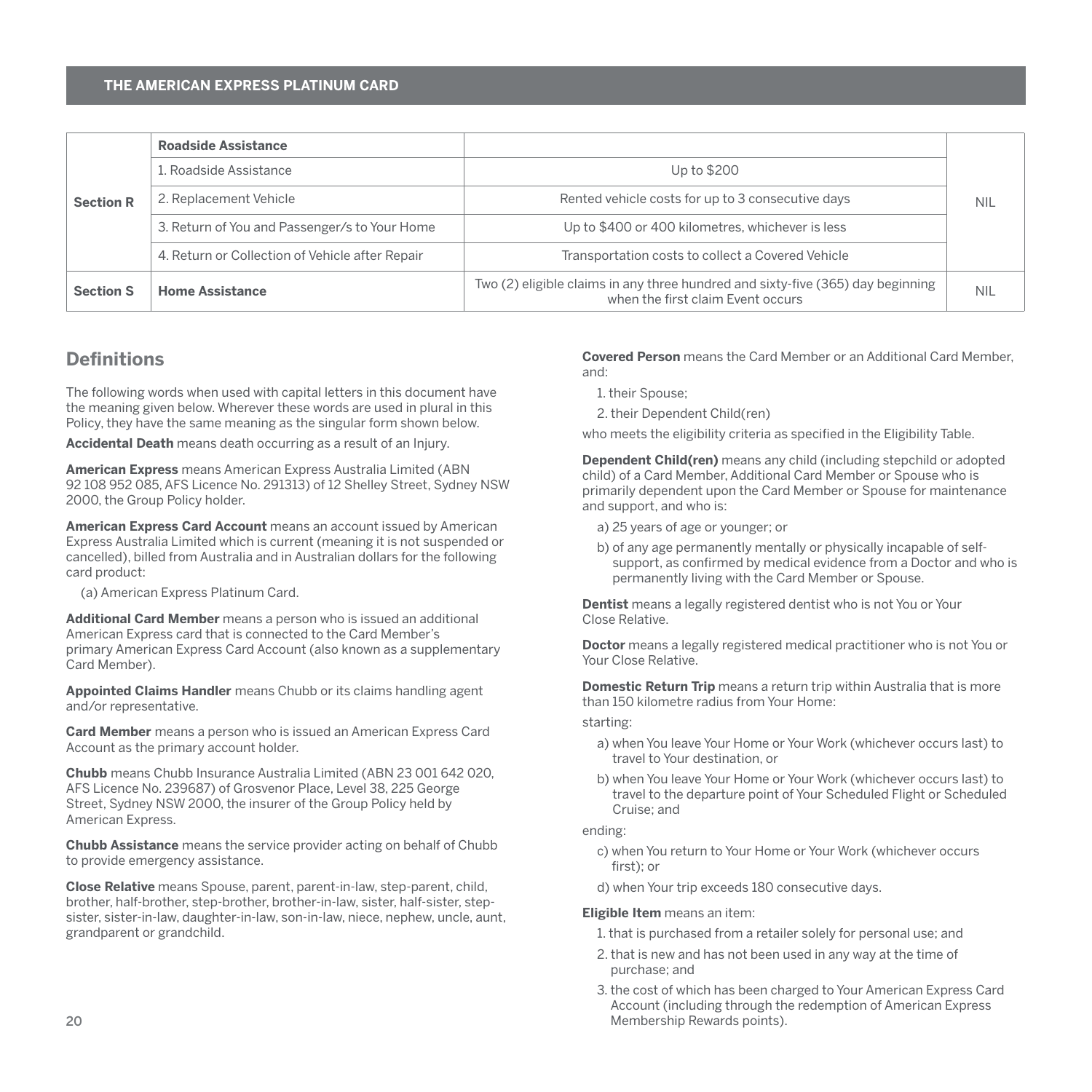<span id="page-21-0"></span>

|                  | Roadside Assistance                             |                                                                                                                      |            |
|------------------|-------------------------------------------------|----------------------------------------------------------------------------------------------------------------------|------------|
| <b>Section R</b> | 1. Roadside Assistance                          | Up to \$200                                                                                                          |            |
|                  | 2. Replacement Vehicle                          | Rented vehicle costs for up to 3 consecutive days                                                                    | <b>NIL</b> |
|                  | 3. Return of You and Passenger/s to Your Home   | Up to \$400 or 400 kilometres, whichever is less                                                                     |            |
|                  | 4. Return or Collection of Vehicle after Repair | Transportation costs to collect a Covered Vehicle                                                                    |            |
| <b>Section S</b> | <b>Home Assistance</b>                          | Two (2) eligible claims in any three hundred and sixty-five (365) day beginning<br>when the first claim Event occurs | <b>NIL</b> |

# **Definitions**

The following words when used with capital letters in this document have the meaning given below. Wherever these words are used in plural in this Policy, they have the same meaning as the singular form shown below.

**Accidental Death** means death occurring as a result of an Injury.

**American Express** means American Express Australia Limited (ABN 92 108 952 085, AFS Licence No. 291313) of 12 Shelley Street, Sydney NSW 2000, the Group Policy holder.

**American Express Card Account** means an account issued by American Express Australia Limited which is current (meaning it is not suspended or cancelled), billed from Australia and in Australian dollars for the following card product:

(a) American Express Platinum Card.

**Additional Card Member** means a person who is issued an additional American Express card that is connected to the Card Member's primary American Express Card Account (also known as a supplementary Card Member).

**Appointed Claims Handler** means Chubb or its claims handling agent and/or representative.

**Card Member** means a person who is issued an American Express Card Account as the primary account holder.

**Chubb** means Chubb Insurance Australia Limited (ABN 23 001 642 020, AFS Licence No. 239687) of Grosvenor Place, Level 38, 225 George Street, Sydney NSW 2000, the insurer of the Group Policy held by American Express.

**Chubb Assistance** means the service provider acting on behalf of Chubb to provide emergency assistance.

**Close Relative** means Spouse, parent, parent-in-law, step-parent, child, brother, half-brother, step-brother, brother-in-law, sister, half-sister, stepsister, sister-in-law, daughter-in-law, son-in-law, niece, nephew, uncle, aunt grandparent or grandchild.

**Covered Person** means the Card Member or an Additional Card Member, and:

- 1. their Spouse;
- 2. their Dependent Child(ren)

who meets the eligibility criteria as specified in the Eligibility Table.

**Dependent Child(ren)** means any child (including stepchild or adopted child) of a Card Member, Additional Card Member or Spouse who is primarily dependent upon the Card Member or Spouse for maintenance and support, and who is:

- a) 25 years of age or younger; or
- b) of any age permanently mentally or physically incapable of selfsupport, as confirmed by medical evidence from a Doctor and who is permanently living with the Card Member or Spouse.

**Dentist** means a legally registered dentist who is not You or Your Close Relative.

**Doctor** means a legally registered medical practitioner who is not You or Your Close Relative.

**Domestic Return Trip** means a return trip within Australia that is more than 150 kilometre radius from Your Home:

starting:

- a) when You leave Your Home or Your Work (whichever occurs last) to travel to Your destination, or
- b) when You leave Your Home or Your Work (whichever occurs last) to travel to the departure point of Your Scheduled Flight or Scheduled Cruise; and

#### ending:

- c) when You return to Your Home or Your Work (whichever occurs first); or
- d) when Your trip exceeds 180 consecutive days.

#### **Eligible Item** means an item:

- 1. that is purchased from a retailer solely for personal use; and
- 2. that is new and has not been used in any way at the time of purchase; and
- 3. the cost of which has been charged to Your American Express Card Account (including through the redemption of American Express Membership Rewards points).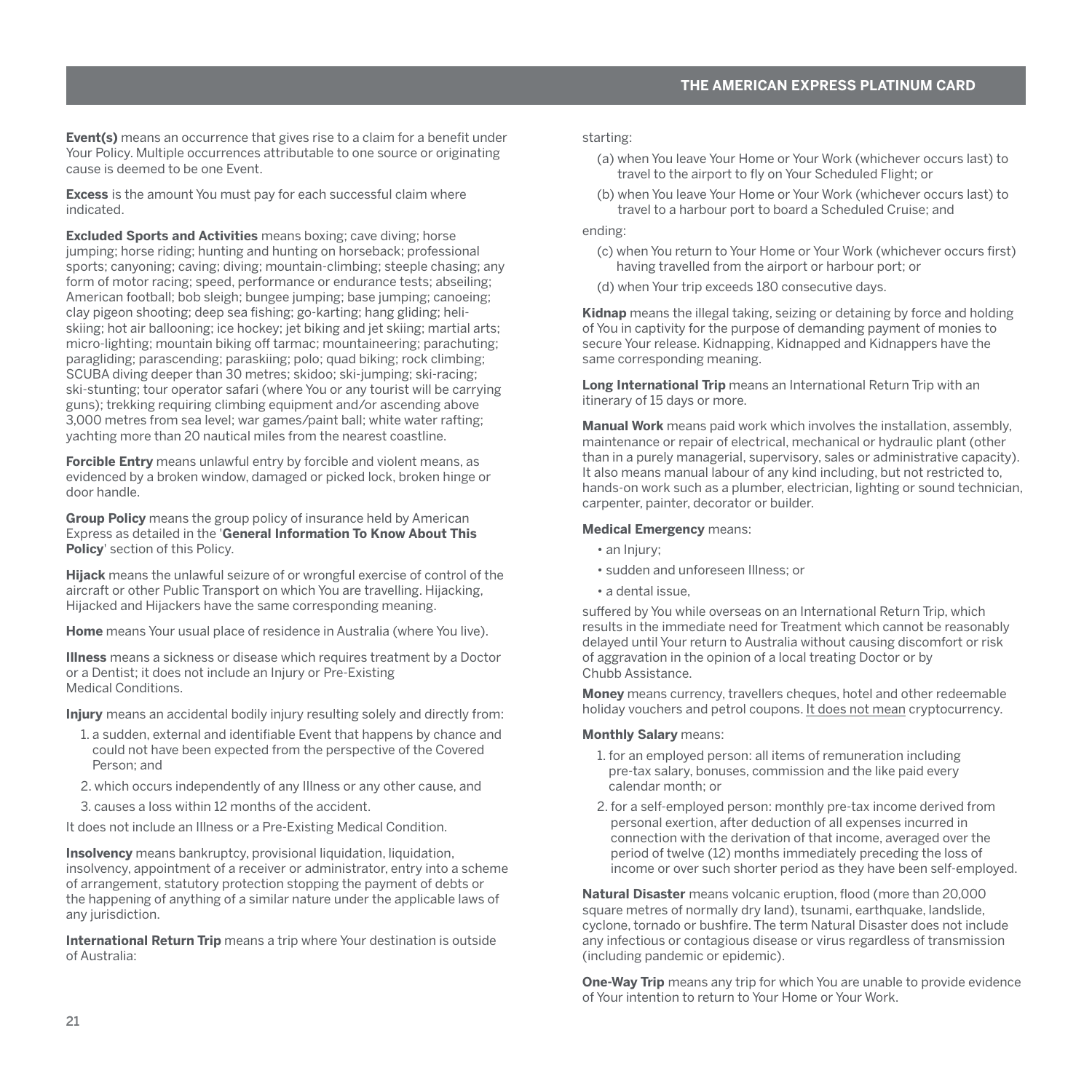**Event(s)** means an occurrence that gives rise to a claim for a benefit under Your Policy. Multiple occurrences attributable to one source or originating cause is deemed to be one Event.

**Excess** is the amount You must pay for each successful claim where indicated.

**Excluded Sports and Activities** means boxing; cave diving; horse jumping; horse riding; hunting and hunting on horseback; professional sports; canyoning; caving; diving; mountain-climbing; steeple chasing; any form of motor racing; speed, performance or endurance tests; abseiling; American football; bob sleigh; bungee jumping; base jumping; canoeing; clay pigeon shooting; deep sea fishing; go-karting; hang gliding; heliskiing; hot air ballooning; ice hockey; jet biking and jet skiing; martial arts; micro-lighting; mountain biking off tarmac; mountaineering; parachuting; paragliding; parascending; paraskiing; polo; quad biking; rock climbing; SCUBA diving deeper than 30 metres; skidoo; ski-jumping; ski-racing; ski-stunting; tour operator safari (where You or any tourist will be carrying guns); trekking requiring climbing equipment and/or ascending above 3,000 metres from sea level; war games/paint ball; white water rafting; yachting more than 20 nautical miles from the nearest coastline.

**Forcible Entry** means unlawful entry by forcible and violent means, as evidenced by a broken window, damaged or picked lock, broken hinge or door handle.

**Group Policy** means the group policy of insurance held by American Express as detailed in the '**General Information To Know About This Policy**' section of this Policy.

**Hijack** means the unlawful seizure of or wrongful exercise of control of the aircraft or other Public Transport on which You are travelling. Hijacking, Hijacked and Hijackers have the same corresponding meaning.

**Home** means Your usual place of residence in Australia (where You live).

**Illness** means a sickness or disease which requires treatment by a Doctor or a Dentist; it does not include an Injury or Pre-Existing Medical Conditions.

**Injury** means an accidental bodily injury resulting solely and directly from:

- 1. a sudden, external and identifiable Event that happens by chance and could not have been expected from the perspective of the Covered Person; and
- 2. which occurs independently of any Illness or any other cause, and
- 3. causes a loss within 12 months of the accident.

It does not include an Illness or a Pre-Existing Medical Condition.

**Insolvency** means bankruptcy, provisional liquidation, liquidation, insolvency, appointment of a receiver or administrator, entry into a scheme of arrangement, statutory protection stopping the payment of debts or the happening of anything of a similar nature under the applicable laws of any jurisdiction.

**International Return Trip** means a trip where Your destination is outside of Australia:

starting:

- (a) when You leave Your Home or Your Work (whichever occurs last) to travel to the airport to fly on Your Scheduled Flight; or
- (b) when You leave Your Home or Your Work (whichever occurs last) to travel to a harbour port to board a Scheduled Cruise; and

#### ending:

- (c) when You return to Your Home or Your Work (whichever occurs first) having travelled from the airport or harbour port; or
- (d) when Your trip exceeds 180 consecutive days.

**Kidnap** means the illegal taking, seizing or detaining by force and holding of You in captivity for the purpose of demanding payment of monies to secure Your release. Kidnapping, Kidnapped and Kidnappers have the same corresponding meaning.

**Long International Trip** means an International Return Trip with an itinerary of 15 days or more.

**Manual Work** means paid work which involves the installation, assembly, maintenance or repair of electrical, mechanical or hydraulic plant (other than in a purely managerial, supervisory, sales or administrative capacity). It also means manual labour of any kind including, but not restricted to, hands-on work such as a plumber, electrician, lighting or sound technician, carpenter, painter, decorator or builder.

#### **Medical Emergency** means:

- an Injury:
- sudden and unforeseen Illness; or
- a dental issue,

suffered by You while overseas on an International Return Trip, which results in the immediate need for Treatment which cannot be reasonably delayed until Your return to Australia without causing discomfort or risk of aggravation in the opinion of a local treating Doctor or by Chubb Assistance.

**Money** means currency, travellers cheques, hotel and other redeemable holiday vouchers and petrol coupons. It does not mean cryptocurrency.

#### **Monthly Salary** means:

- 1. for an employed person: all items of remuneration including pre-tax salary, bonuses, commission and the like paid every calendar month; or
- 2. for a self-employed person: monthly pre-tax income derived from personal exertion, after deduction of all expenses incurred in connection with the derivation of that income, averaged over the period of twelve (12) months immediately preceding the loss of income or over such shorter period as they have been self-employed.

**Natural Disaster** means volcanic eruption, flood (more than 20,000 square metres of normally dry land), tsunami, earthquake, landslide, cyclone, tornado or bushfire. The term Natural Disaster does not include any infectious or contagious disease or virus regardless of transmission (including pandemic or epidemic).

**One-Way Trip** means any trip for which You are unable to provide evidence of Your intention to return to Your Home or Your Work.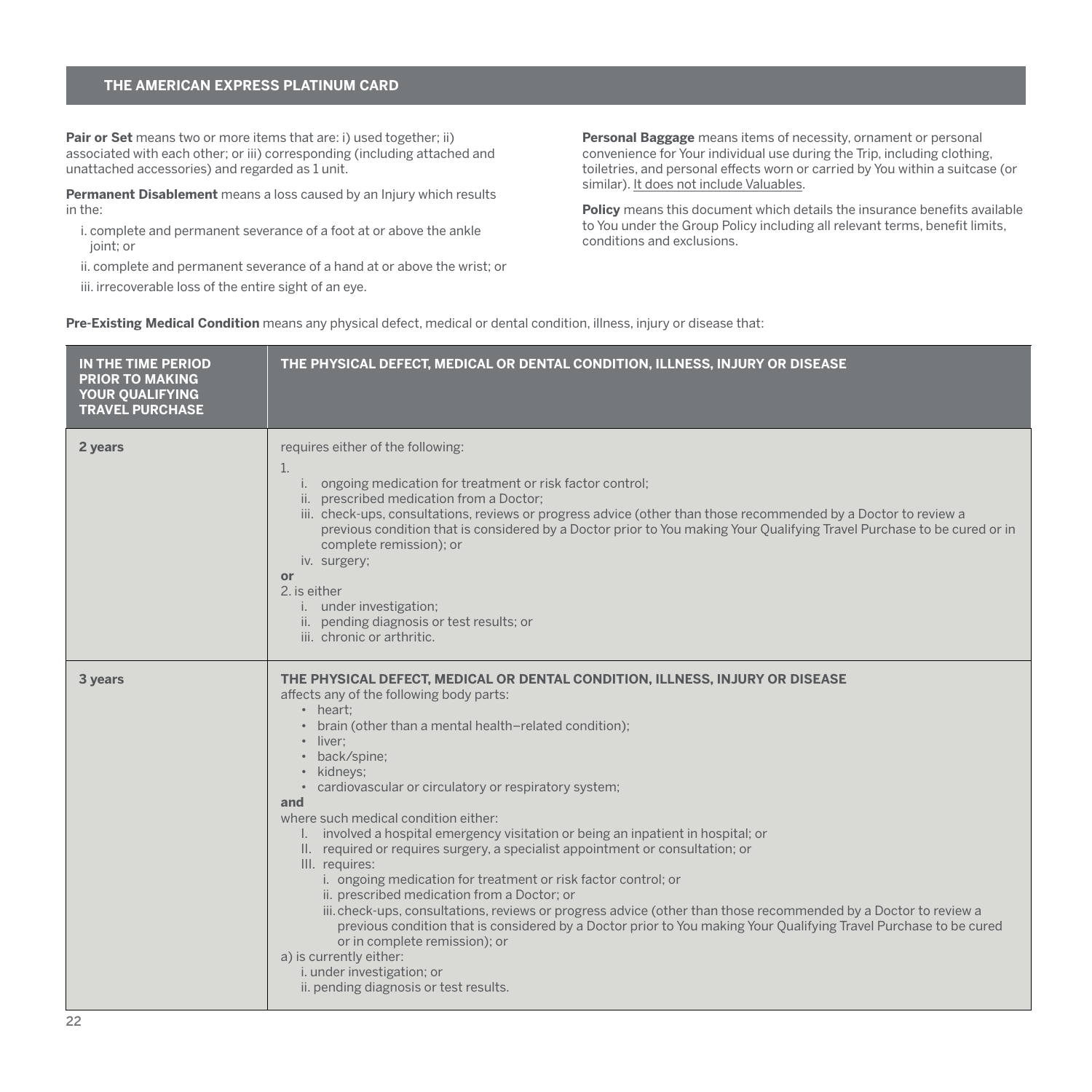Pair or Set means two or more items that are: i) used together; ii) associated with each other; or iii) corresponding (including attached and unattached accessories) and regarded as 1 unit.

**Permanent Disablement** means a loss caused by an Injury which results in the:

i. complete and permanent severance of a foot at or above the ankle joint; or

ii. complete and permanent severance of a hand at or above the wrist; or iii. irrecoverable loss of the entire sight of an eye.

**Personal Baggage** means items of necessity, ornament or personal convenience for Your individual use during the Trip, including clothing, toiletries, and personal effects worn or carried by You within a suitcase (or similar). It does not include Valuables.

**Policy** means this document which details the insurance benefits available to You under the Group Policy including all relevant terms, benefit limits, conditions and exclusions.

**Pre-Existing Medical Condition** means any physical defect, medical or dental condition, illness, injury or disease that:

| IN THE TIME PERIOD<br><b>PRIOR TO MAKING</b><br>YOUR QUALIFYING<br><b>TRAVEL PURCHASE</b> | THE PHYSICAL DEFECT, MEDICAL OR DENTAL CONDITION, ILLNESS, INJURY OR DISEASE                                                                                                                                                                                                                                                                                                                                                                                                                                                                                                                                                                                                                                                                                                                                                                                                                                                                                                                                                              |
|-------------------------------------------------------------------------------------------|-------------------------------------------------------------------------------------------------------------------------------------------------------------------------------------------------------------------------------------------------------------------------------------------------------------------------------------------------------------------------------------------------------------------------------------------------------------------------------------------------------------------------------------------------------------------------------------------------------------------------------------------------------------------------------------------------------------------------------------------------------------------------------------------------------------------------------------------------------------------------------------------------------------------------------------------------------------------------------------------------------------------------------------------|
| 2 years                                                                                   | requires either of the following:<br>1.<br>i. ongoing medication for treatment or risk factor control;<br>ii. prescribed medication from a Doctor;<br>iii. check-ups, consultations, reviews or progress advice (other than those recommended by a Doctor to review a<br>previous condition that is considered by a Doctor prior to You making Your Qualifying Travel Purchase to be cured or in<br>complete remission); or<br>iv. surgery;<br>or<br>2. is either<br>i. under investigation;<br>ii. pending diagnosis or test results; or<br>iii. chronic or arthritic.                                                                                                                                                                                                                                                                                                                                                                                                                                                                   |
| 3 years                                                                                   | THE PHYSICAL DEFECT, MEDICAL OR DENTAL CONDITION, ILLNESS, INJURY OR DISEASE<br>affects any of the following body parts:<br>• heart:<br>• brain (other than a mental health-related condition);<br>· liver:<br>• back/spine:<br>• kidneys;<br>• cardiovascular or circulatory or respiratory system;<br>and<br>where such medical condition either:<br>I. involved a hospital emergency visitation or being an inpatient in hospital; or<br>II. required or requires surgery, a specialist appointment or consultation; or<br>III. requires:<br>i. ongoing medication for treatment or risk factor control; or<br>ii. prescribed medication from a Doctor; or<br>iii. check-ups, consultations, reviews or progress advice (other than those recommended by a Doctor to review a<br>previous condition that is considered by a Doctor prior to You making Your Qualifying Travel Purchase to be cured<br>or in complete remission); or<br>a) is currently either:<br>i. under investigation; or<br>ii. pending diagnosis or test results. |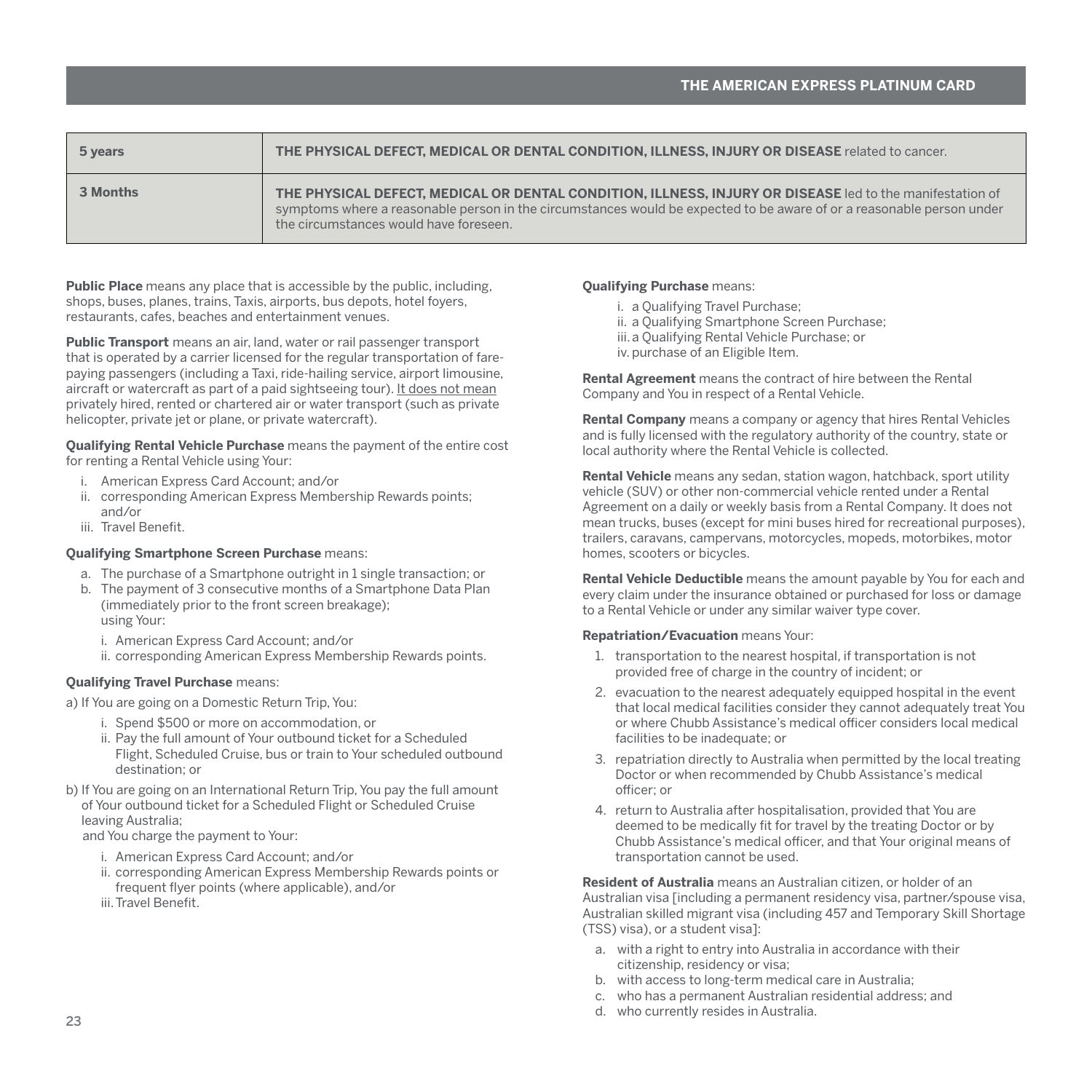| 5 years  | THE PHYSICAL DEFECT, MEDICAL OR DENTAL CONDITION, ILLNESS, INJURY OR DISEASE related to cancer.                                                                                                                                                                             |
|----------|-----------------------------------------------------------------------------------------------------------------------------------------------------------------------------------------------------------------------------------------------------------------------------|
| 3 Months | THE PHYSICAL DEFECT. MEDICAL OR DENTAL CONDITION. ILLNESS. INJURY OR DISEASE led to the manifestation of<br>symptoms where a reasonable person in the circumstances would be expected to be aware of or a reasonable person under<br>the circumstances would have foreseen. |

**Public Place** means any place that is accessible by the public, including, shops, buses, planes, trains, Taxis, airports, bus depots, hotel foyers, restaurants, cafes, beaches and entertainment venues.

**Public Transport** means an air, land, water or rail passenger transport that is operated by a carrier licensed for the regular transportation of farepaying passengers (including a Taxi, ride-hailing service, airport limousine, aircraft or watercraft as part of a paid sightseeing tour). It does not mean privately hired, rented or chartered air or water transport (such as private helicopter, private jet or plane, or private watercraft).

**Qualifying Rental Vehicle Purchase** means the payment of the entire cost for renting a Rental Vehicle using Your:

- i. American Express Card Account; and/or
- ii. corresponding American Express Membership Rewards points; and/or
- iii. Travel Benefit.

#### **Qualifying Smartphone Screen Purchase** means:

- a. The purchase of a Smartphone outright in 1 single transaction; or
- b. The payment of 3 consecutive months of a Smartphone Data Plan (immediately prior to the front screen breakage); using Your:
	- i. American Express Card Account; and/or
	- ii. corresponding American Express Membership Rewards points.

#### **Qualifying Travel Purchase** means:

a) If You are going on a Domestic Return Trip, You:

- i. Spend \$500 or more on accommodation, or
- ii. Pay the full amount of Your outbound ticket for a Scheduled Flight, Scheduled Cruise, bus or train to Your scheduled outbound destination; or
- b) If You are going on an International Return Trip, You pay the full amount of Your outbound ticket for a Scheduled Flight or Scheduled Cruise leaving Australia;

and You charge the payment to Your:

- i. American Express Card Account; and/or
- ii. corresponding American Express Membership Rewards points or frequent flyer points (where applicable), and/or

iii.Travel Benefit.

#### **Qualifying Purchase** means:

- i. a Qualifying Travel Purchase;
- ii. a Qualifying Smartphone Screen Purchase;
- iii.a Qualifying Rental Vehicle Purchase; or
- iv. purchase of an Eligible Item.

**Rental Agreement** means the contract of hire between the Rental Company and You in respect of a Rental Vehicle.

**Rental Company** means a company or agency that hires Rental Vehicles and is fully licensed with the regulatory authority of the country, state or local authority where the Rental Vehicle is collected.

**Rental Vehicle** means any sedan, station wagon, hatchback, sport utility vehicle (SUV) or other non-commercial vehicle rented under a Rental Agreement on a daily or weekly basis from a Rental Company. It does not mean trucks, buses (except for mini buses hired for recreational purposes), trailers, caravans, campervans, motorcycles, mopeds, motorbikes, motor homes, scooters or bicycles.

**Rental Vehicle Deductible** means the amount payable by You for each and every claim under the insurance obtained or purchased for loss or damage to a Rental Vehicle or under any similar waiver type cover.

#### **Repatriation/Evacuation** means Your:

- 1. transportation to the nearest hospital, if transportation is not provided free of charge in the country of incident; or
- 2. evacuation to the nearest adequately equipped hospital in the event that local medical facilities consider they cannot adequately treat You or where Chubb Assistance's medical officer considers local medical facilities to be inadequate; or
- 3. repatriation directly to Australia when permitted by the local treating Doctor or when recommended by Chubb Assistance's medical officer; or
- 4. return to Australia after hospitalisation, provided that You are deemed to be medically fit for travel by the treating Doctor or by Chubb Assistance's medical officer, and that Your original means of transportation cannot be used.

**Resident of Australia** means an Australian citizen, or holder of an Australian visa lincluding a permanent residency visa, partner/spouse visa. Australian skilled migrant visa (including 457 and Temporary Skill Shortage (TSS) visa), or a student visa]:

- a. with a right to entry into Australia in accordance with their citizenship, residency or visa;
- b. with access to long-term medical care in Australia;
- c. who has a permanent Australian residential address; and
- d. who currently resides in Australia.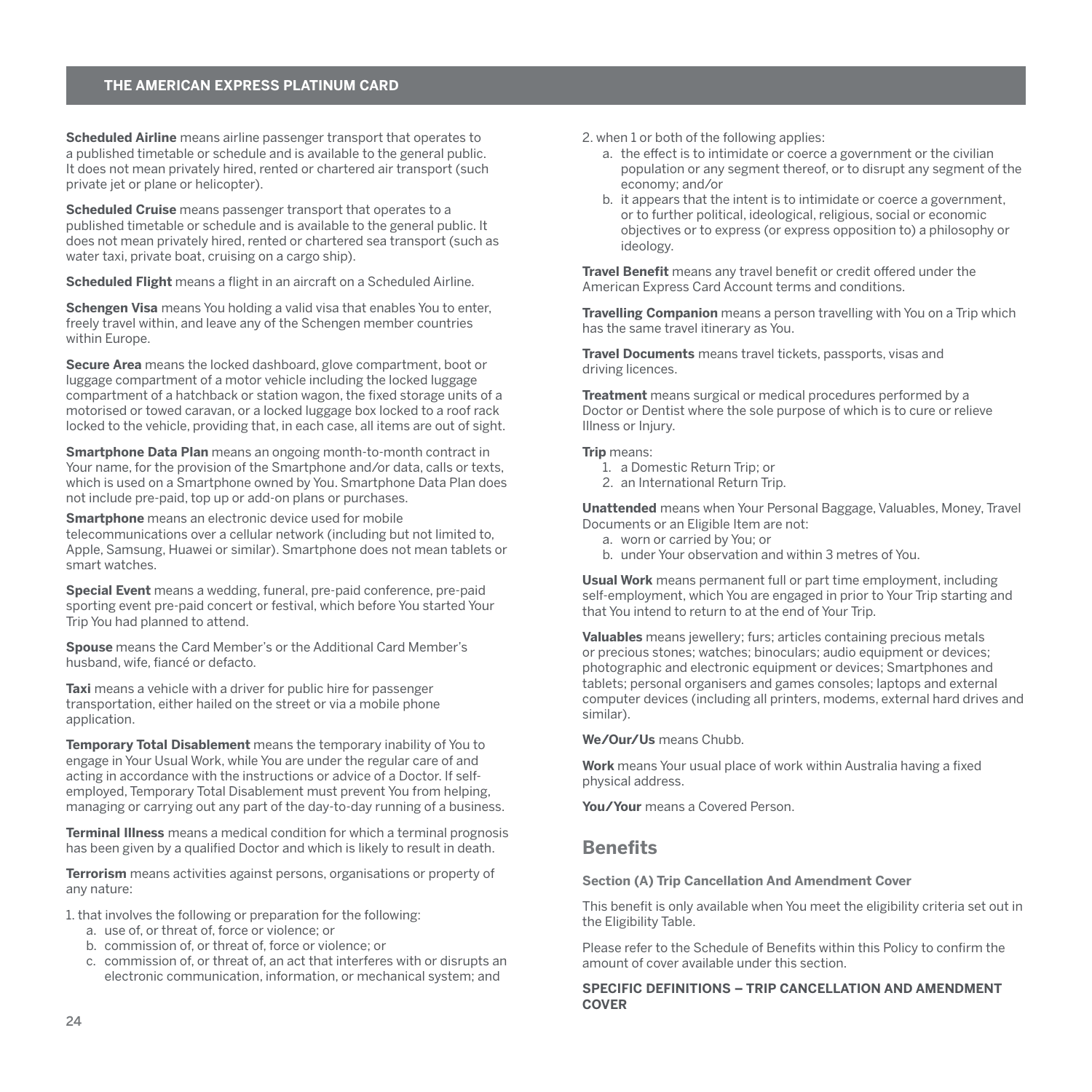<span id="page-25-0"></span>**Scheduled Airline** means airline passenger transport that operates to a published timetable or schedule and is available to the general public. It does not mean privately hired, rented or chartered air transport (such private jet or plane or helicopter).

**Scheduled Cruise** means passenger transport that operates to a published timetable or schedule and is available to the general public. It does not mean privately hired, rented or chartered sea transport (such as water taxi, private boat, cruising on a cargo ship).

**Scheduled Flight** means a flight in an aircraft on a Scheduled Airline.

**Schengen Visa** means You holding a valid visa that enables You to enter, freely travel within, and leave any of the Schengen member countries within Europe.

**Secure Area** means the locked dashboard, glove compartment, boot or luggage compartment of a motor vehicle including the locked luggage compartment of a hatchback or station wagon, the fixed storage units of a motorised or towed caravan, or a locked luggage box locked to a roof rack locked to the vehicle, providing that, in each case, all items are out of sight.

**Smartphone Data Plan** means an ongoing month-to-month contract in Your name, for the provision of the Smartphone and/or data, calls or texts, which is used on a Smartphone owned by You. Smartphone Data Plan does not include pre-paid, top up or add-on plans or purchases.

**Smartphone** means an electronic device used for mobile telecommunications over a cellular network (including but not limited to, Apple, Samsung, Huawei or similar). Smartphone does not mean tablets or smart watches.

**Special Event** means a wedding, funeral, pre-paid conference, pre-paid sporting event pre-paid concert or festival, which before You started Your Trip You had planned to attend.

**Spouse** means the Card Member's or the Additional Card Member's husband, wife, fiancé or defacto.

**Taxi** means a vehicle with a driver for public hire for passenger transportation, either hailed on the street or via a mobile phone application.

**Temporary Total Disablement** means the temporary inability of You to engage in Your Usual Work, while You are under the regular care of and acting in accordance with the instructions or advice of a Doctor. If selfemployed, Temporary Total Disablement must prevent You from helping, managing or carrying out any part of the day-to-day running of a business.

**Terminal Illness** means a medical condition for which a terminal prognosis has been given by a qualified Doctor and which is likely to result in death.

**Terrorism** means activities against persons, organisations or property of any nature:

1. that involves the following or preparation for the following:

- a. use of, or threat of, force or violence; or
- b. commission of, or threat of, force or violence; or
- c. commission of, or threat of, an act that interferes with or disrupts an electronic communication, information, or mechanical system; and

2. when 1 or both of the following applies:

- a. the effect is to intimidate or coerce a government or the civilian population or any segment thereof, or to disrupt any segment of the economy; and/or
- b. it appears that the intent is to intimidate or coerce a government, or to further political, ideological, religious, social or economic objectives or to express (or express opposition to) a philosophy or ideology.

**Travel Benefit** means any travel benefit or credit offered under the American Express Card Account terms and conditions.

**Travelling Companion** means a person travelling with You on a Trip which has the same travel itinerary as You.

**Travel Documents** means travel tickets, passports, visas and driving licences.

**Treatment** means surgical or medical procedures performed by a Doctor or Dentist where the sole purpose of which is to cure or relieve Illness or Injury.

**Trip** means:

- 1. a Domestic Return Trip; or
- 2. an International Return Trip.

**Unattended** means when Your Personal Baggage, Valuables, Money, Travel Documents or an Eligible Item are not:

- a. worn or carried by You; or
- b. under Your observation and within 3 metres of You.

**Usual Work** means permanent full or part time employment, including self-employment, which You are engaged in prior to Your Trip starting and that You intend to return to at the end of Your Trip.

**Valuables** means jewellery; furs; articles containing precious metals or precious stones; watches; binoculars; audio equipment or devices; photographic and electronic equipment or devices; Smartphones and tablets; personal organisers and games consoles; laptops and external computer devices (including all printers, modems, external hard drives and similar).

**We/Our/Us** means Chubb.

**Work** means Your usual place of work within Australia having a fixed physical address.

**You/Your** means a Covered Person.

# **Benefits**

#### **Section (A) Trip Cancellation And Amendment Cover**

This benefit is only available when You meet the eligibility criteria set out in the Eligibility Table.

Please refer to the Schedule of Benefits within this Policy to confirm the amount of cover available under this section.

# **SPECIFIC DEFINITIONS – TRIP CANCELLATION AND AMENDMENT COVER**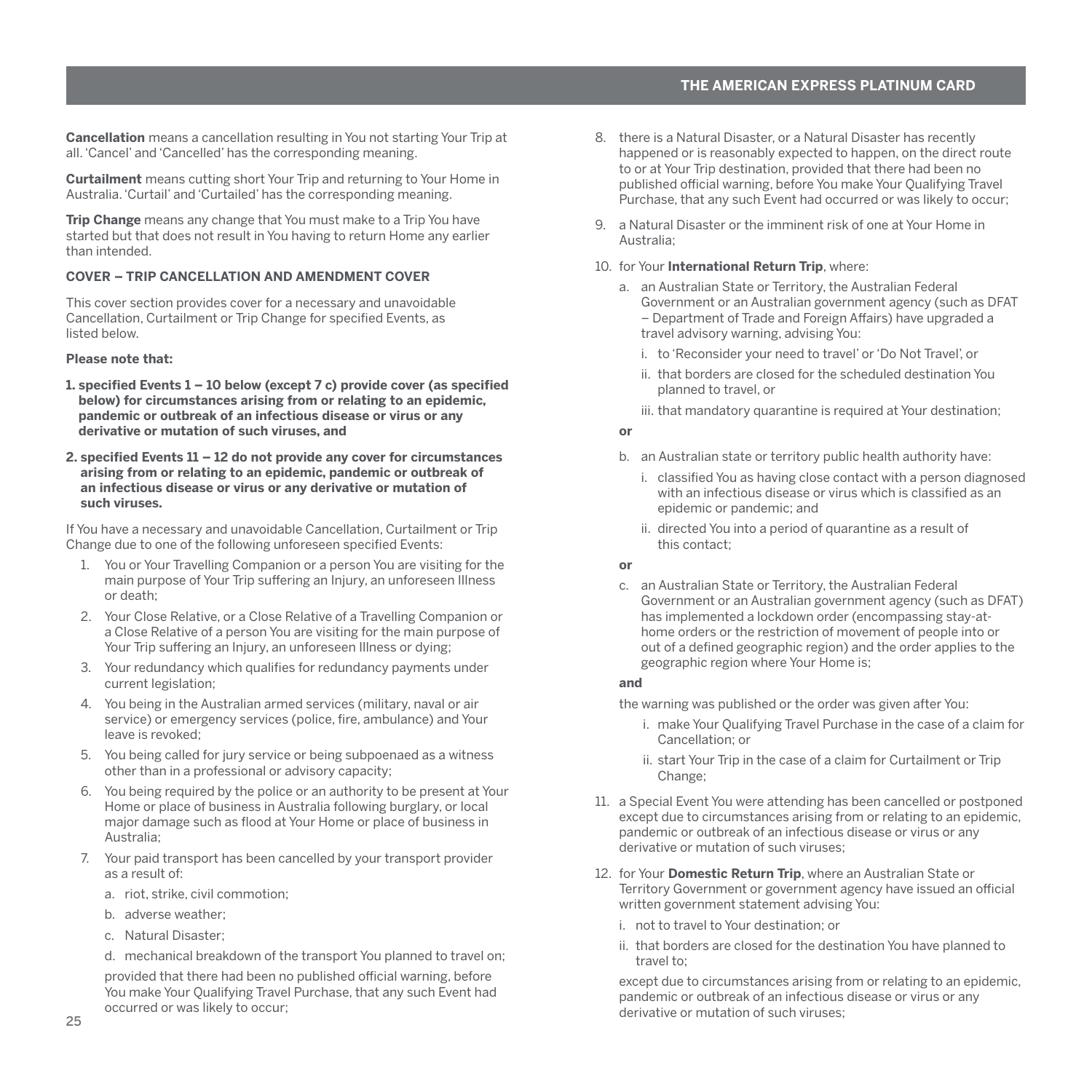**Cancellation** means a cancellation resulting in You not starting Your Trip at all. 'Cancel' and 'Cancelled' has the corresponding meaning.

**Curtailment** means cutting short Your Trip and returning to Your Home in Australia. 'Curtail' and 'Curtailed' has the corresponding meaning.

**Trip Change** means any change that You must make to a Trip You have started but that does not result in You having to return Home any earlier than intended.

#### **COVER – TRIP CANCELLATION AND AMENDMENT COVER**

This cover section provides cover for a necessary and unavoidable Cancellation, Curtailment or Trip Change for specified Events, as listed below.

# **Please note that:**

- **1. specified Events 1 10 below (except 7 c) provide cover (as specified below) for circumstances arising from or relating to an epidemic, pandemic or outbreak of an infectious disease or virus or any derivative or mutation of such viruses, and**
- **2. specified Events 11 12 do not provide any cover for circumstances arising from or relating to an epidemic, pandemic or outbreak of an infectious disease or virus or any derivative or mutation of such viruses.**

If You have a necessary and unavoidable Cancellation, Curtailment or Trip Change due to one of the following unforeseen specified Events:

- 1. You or Your Travelling Companion or a person You are visiting for the main purpose of Your Trip suffering an Injury, an unforeseen Illness or death;
- 2. Your Close Relative, or a Close Relative of a Travelling Companion or a Close Relative of a person You are visiting for the main purpose of Your Trip suffering an Injury, an unforeseen Illness or dying;
- 3. Your redundancy which qualifies for redundancy payments under current legislation;
- 4. You being in the Australian armed services (military, naval or air service) or emergency services (police, fire, ambulance) and Your leave is revoked;
- 5. You being called for jury service or being subpoenaed as a witness other than in a professional or advisory capacity;
- 6. You being required by the police or an authority to be present at Your Home or place of business in Australia following burglary, or local major damage such as flood at Your Home or place of business in Australia;
- 7. Your paid transport has been cancelled by your transport provider as a result of:
	- a. riot, strike, civil commotion;
	- b. adverse weather;
	- c. Natural Disaster;

d. mechanical breakdown of the transport You planned to travel on; provided that there had been no published official warning, before You make Your Qualifying Travel Purchase, that any such Event had occurred or was likely to occur;

- 8. there is a Natural Disaster, or a Natural Disaster has recently happened or is reasonably expected to happen, on the direct route to or at Your Trip destination, provided that there had been no published official warning, before You make Your Qualifying Travel Purchase, that any such Event had occurred or was likely to occur;
- 9. a Natural Disaster or the imminent risk of one at Your Home in Australia;

#### 10. for Your **International Return Trip**, where:

- a. an Australian State or Territory, the Australian Federal Government or an Australian government agency (such as DFAT – Department of Trade and Foreign Affairs) have upgraded a travel advisory warning, advising You:
	- i. to 'Reconsider your need to travel' or 'Do Not Travel', or
	- ii. that borders are closed for the scheduled destination You planned to travel, or
	- iii. that mandatory quarantine is required at Your destination;

#### **or**

- b. an Australian state or territory public health authority have:
	- i. classified You as having close contact with a person diagnosed with an infectious disease or virus which is classified as an epidemic or pandemic; and
	- ii. directed You into a period of quarantine as a result of this contact;

# **or**

c. an Australian State or Territory, the Australian Federal Government or an Australian government agency (such as DFAT) has implemented a lockdown order (encompassing stay-athome orders or the restriction of movement of people into or out of a defined geographic region) and the order applies to the geographic region where Your Home is;

# **and**

the warning was published or the order was given after You:

- i. make Your Qualifying Travel Purchase in the case of a claim for Cancellation; or
- ii. start Your Trip in the case of a claim for Curtailment or Trip Change;
- 11. a Special Event You were attending has been cancelled or postponed except due to circumstances arising from or relating to an epidemic, pandemic or outbreak of an infectious disease or virus or any derivative or mutation of such viruses;
- 12. for Your **Domestic Return Trip**, where an Australian State or Territory Government or government agency have issued an official written government statement advising You:
	- i. not to travel to Your destination; or
	- ii. that borders are closed for the destination You have planned to travel to;

except due to circumstances arising from or relating to an epidemic, pandemic or outbreak of an infectious disease or virus or any derivative or mutation of such viruses;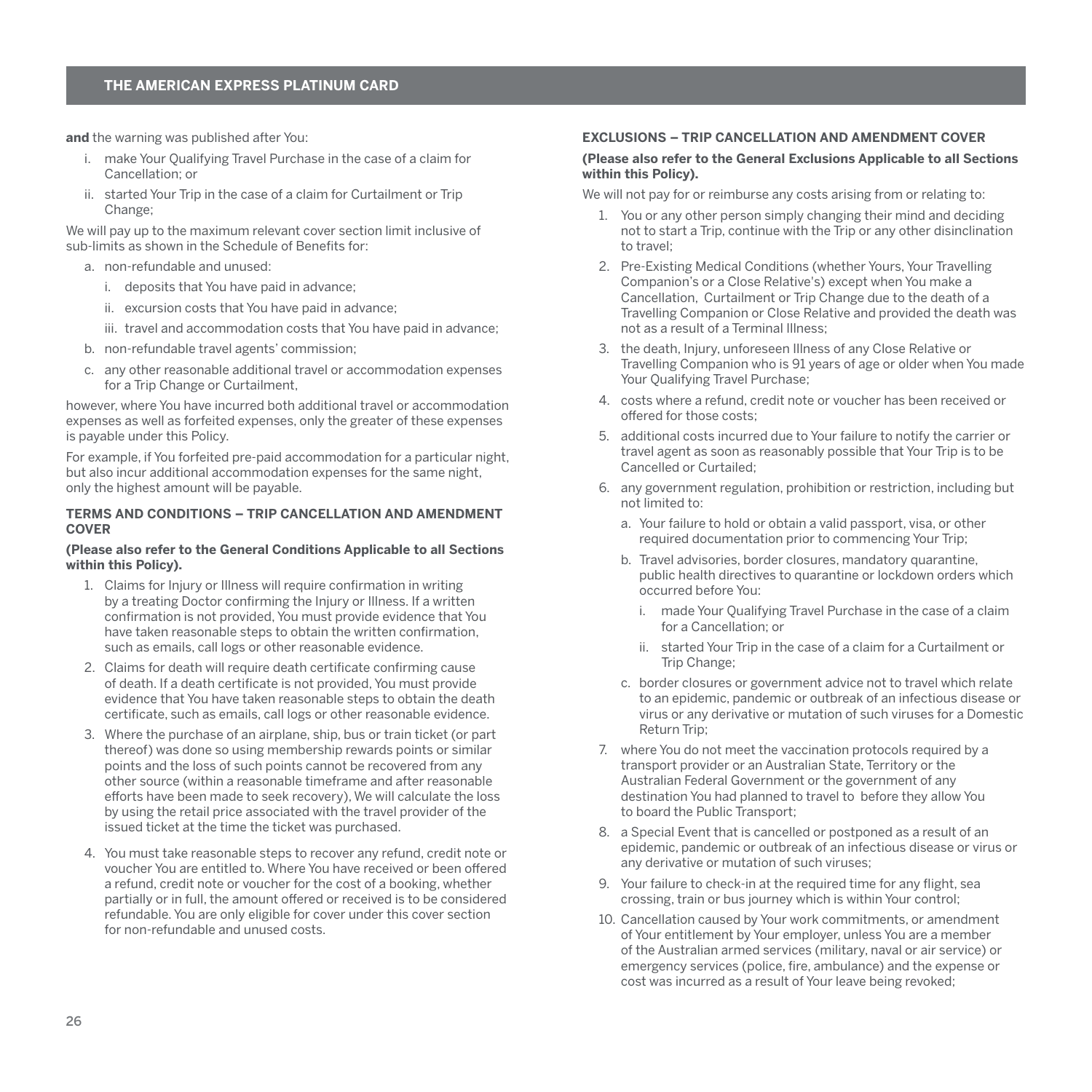**and** the warning was published after You:

- i. make Your Qualifying Travel Purchase in the case of a claim for Cancellation; or
- ii. started Your Trip in the case of a claim for Curtailment or Trip Change;

We will pay up to the maximum relevant cover section limit inclusive of sub-limits as shown in the Schedule of Benefits for:

- a. non-refundable and unused:
	- i. deposits that You have paid in advance;
	- ii. excursion costs that You have paid in advance;
	- iii. travel and accommodation costs that You have paid in advance;
- b. non-refundable travel agents' commission;
- c. any other reasonable additional travel or accommodation expenses for a Trip Change or Curtailment

however, where You have incurred both additional travel or accommodation expenses as well as forfeited expenses, only the greater of these expenses is payable under this Policy.

For example, if You forfeited pre-paid accommodation for a particular night, but also incur additional accommodation expenses for the same night, only the highest amount will be payable.

#### **TERMS AND CONDITIONS – TRIP CANCELLATION AND AMENDMENT COVER**

#### **(Please also refer to the General Conditions Applicable to all Sections within this Policy).**

- 1. Claims for Injury or Illness will require confirmation in writing by a treating Doctor confirming the Injury or Illness. If a written confirmation is not provided, You must provide evidence that You have taken reasonable steps to obtain the written confirmation, such as emails, call logs or other reasonable evidence.
- 2. Claims for death will require death certificate confirming cause of death. If a death certificate is not provided, You must provide evidence that You have taken reasonable steps to obtain the death certificate, such as emails, call logs or other reasonable evidence.
- 3. Where the purchase of an airplane, ship, bus or train ticket (or part thereof) was done so using membership rewards points or similar points and the loss of such points cannot be recovered from any other source (within a reasonable timeframe and after reasonable efforts have been made to seek recovery), We will calculate the loss by using the retail price associated with the travel provider of the issued ticket at the time the ticket was purchased.
- 4. You must take reasonable steps to recover any refund, credit note or voucher You are entitled to. Where You have received or been offered a refund, credit note or voucher for the cost of a booking, whether partially or in full, the amount offered or received is to be considered refundable. You are only eligible for cover under this cover section for non-refundable and unused costs.

# **EXCLUSIONS – TRIP CANCELLATION AND AMENDMENT COVER**

#### **(Please also refer to the General Exclusions Applicable to all Sections within this Policy).**

We will not pay for or reimburse any costs arising from or relating to:

- 1. You or any other person simply changing their mind and deciding not to start a Trip, continue with the Trip or any other disinclination to travel;
- 2. Pre-Existing Medical Conditions (whether Yours, Your Travelling Companion's or a Close Relative's) except when You make a Cancellation, Curtailment or Trip Change due to the death of a Travelling Companion or Close Relative and provided the death was not as a result of a Terminal Illness;
- 3. the death, Injury, unforeseen Illness of any Close Relative or Travelling Companion who is 91 years of age or older when You made Your Qualifying Travel Purchase:
- 4. costs where a refund, credit note or voucher has been received or offered for those costs;
- 5. additional costs incurred due to Your failure to notify the carrier or travel agent as soon as reasonably possible that Your Trip is to be Cancelled or Curtailed;
- 6. any government regulation, prohibition or restriction, including but not limited to:
	- a. Your failure to hold or obtain a valid passport, visa, or other required documentation prior to commencing Your Trip;
	- b. Travel advisories, border closures, mandatory quarantine, public health directives to quarantine or lockdown orders which occurred before You:
		- made Your Qualifying Travel Purchase in the case of a claim for a Cancellation; or
		- ii. started Your Trip in the case of a claim for a Curtailment or Trip Change;
	- c. border closures or government advice not to travel which relate to an epidemic, pandemic or outbreak of an infectious disease or virus or any derivative or mutation of such viruses for a Domestic Return Trip;
- 7. where You do not meet the vaccination protocols required by a transport provider or an Australian State, Territory or the Australian Federal Government or the government of any destination You had planned to travel to before they allow You to board the Public Transport;
- 8. a Special Event that is cancelled or postponed as a result of an epidemic, pandemic or outbreak of an infectious disease or virus or any derivative or mutation of such viruses;
- 9. Your failure to check-in at the required time for any flight, sea crossing, train or bus journey which is within Your control;
- 10. Cancellation caused by Your work commitments, or amendment of Your entitlement by Your employer, unless You are a member of the Australian armed services (military, naval or air service) or emergency services (police, fire, ambulance) and the expense or cost was incurred as a result of Your leave being revoked;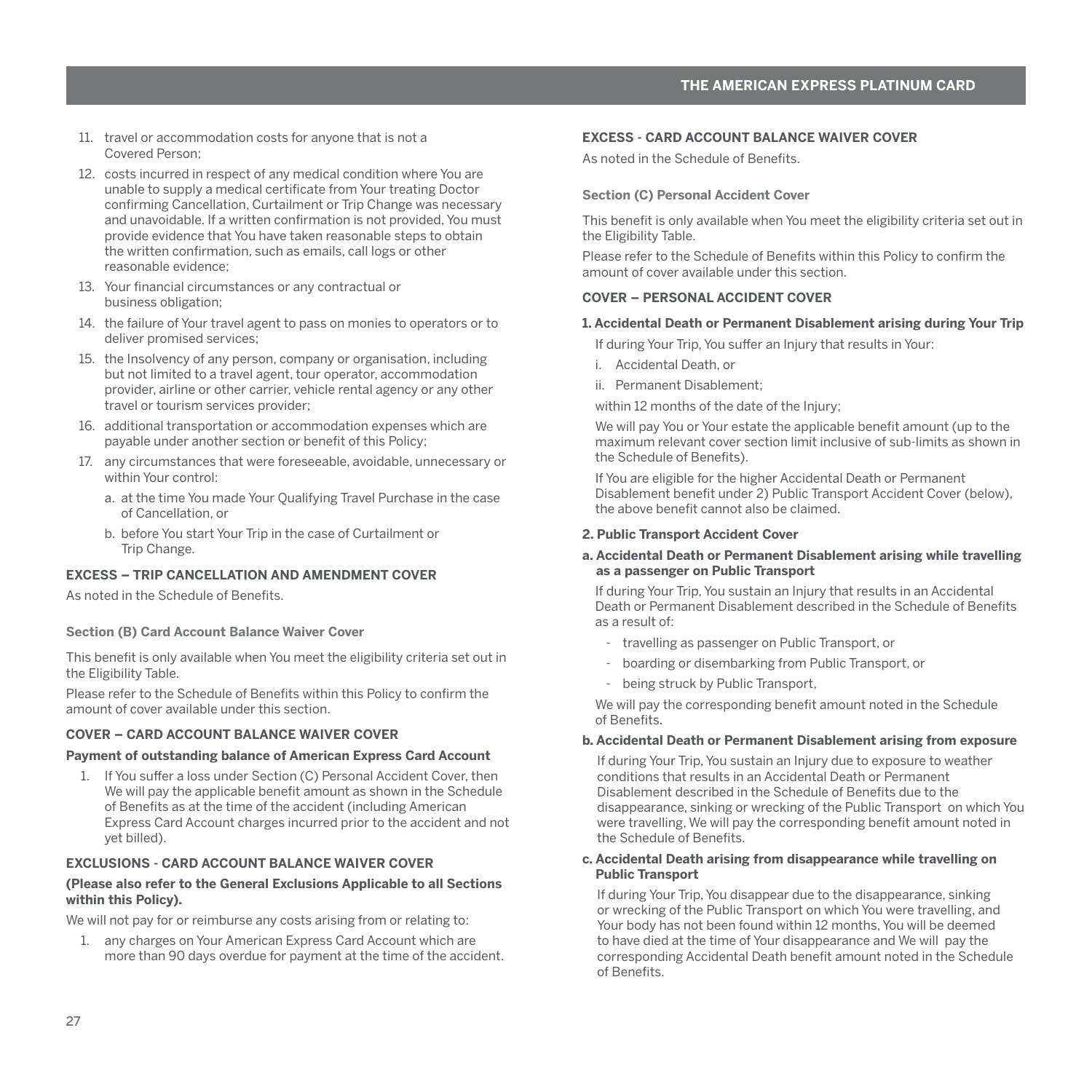- <span id="page-28-0"></span>11. travel or accommodation costs for anyone that is not a Covered Person;
- 12. costs incurred in respect of any medical condition where You are unable to supply a medical certificate from Your treating Doctor confirming Cancellation, Curtailment or Trip Change was necessary and unavoidable. If a written confirmation is not provided, You must provide evidence that You have taken reasonable steps to obtain the written confirmation, such as emails, call logs or other reasonable evidence;
- 13. Your financial circumstances or any contractual or business obligation;
- 14. the failure of Your travel agent to pass on monies to operators or to deliver promised services;
- 15. the Insolvency of any person, company or organisation, including but not limited to a travel agent, tour operator, accommodation provider, airline or other carrier, vehicle rental agency or any other travel or tourism services provider;
- 16. additional transportation or accommodation expenses which are payable under another section or benefit of this Policy;
- 17. any circumstances that were foreseeable, avoidable, unnecessary or within Your control:
	- a. at the time You made Your Qualifying Travel Purchase in the case of Cancellation, or
	- b. before You start Your Trip in the case of Curtailment or Trip Change.

#### **EXCESS – TRIP CANCELLATION AND AMENDMENT COVER**

As noted in the Schedule of Benefits.

#### **Section (B) Card Account Balance Waiver Cover**

This benefit is only available when You meet the eligibility criteria set out in the Eligibility Table.

Please refer to the Schedule of Benefits within this Policy to confirm the amount of cover available under this section.

# **COVER – CARD ACCOUNT BALANCE WAIVER COVER**

#### **Payment of outstanding balance of American Express Card Account**

1. If You suffer a loss under Section (C) Personal Accident Cover, then We will pay the applicable benefit amount as shown in the Schedule of Benefits as at the time of the accident (including American Express Card Account charges incurred prior to the accident and not yet billed).

# **EXCLUSIONS - CARD ACCOUNT BALANCE WAIVER COVER**

#### **(Please also refer to the General Exclusions Applicable to all Sections within this Policy).**

We will not pay for or reimburse any costs arising from or relating to:

1. any charges on Your American Express Card Account which are more than 90 days overdue for payment at the time of the accident.

#### **EXCESS - CARD ACCOUNT BALANCE WAIVER COVER**

As noted in the Schedule of Benefits.

# **Section (C) Personal Accident Cover**

This benefit is only available when You meet the eligibility criteria set out in the Eligibility Table.

Please refer to the Schedule of Benefits within this Policy to confirm the amount of cover available under this section.

## **COVER – PERSONAL ACCIDENT COVER**

#### **1. Accidental Death or Permanent Disablement arising during Your Trip**

If during Your Trip, You suffer an Injury that results in Your:

- i. Accidental Death, or
- ii. Permanent Disablement;

within 12 months of the date of the Injury;

We will pay You or Your estate the applicable benefit amount (up to the maximum relevant cover section limit inclusive of sub-limits as shown in the Schedule of Benefits).

If You are eligible for the higher Accidental Death or Permanent Disablement benefit under 2) Public Transport Accident Cover (below), the above benefit cannot also be claimed.

#### **2. Public Transport Accident Cover**

#### **a. Accidental Death or Permanent Disablement arising while travelling as a passenger on Public Transport**

If during Your Trip, You sustain an Injury that results in an Accidental Death or Permanent Disablement described in the Schedule of Benefits as a result of:

- travelling as passenger on Public Transport, or
- boarding or disembarking from Public Transport, or
- being struck by Public Transport,

We will pay the corresponding benefit amount noted in the Schedule of Benefits.

# **b. Accidental Death or Permanent Disablement arising from exposure**

If during Your Trip, You sustain an Injury due to exposure to weather conditions that results in an Accidental Death or Permanent Disablement described in the Schedule of Benefits due to the disappearance, sinking or wrecking of the Public Transport on which You were travelling, We will pay the corresponding benefit amount noted in the Schedule of Benefits.

#### **c. Accidental Death arising from disappearance while travelling on Public Transport**

If during Your Trip, You disappear due to the disappearance, sinking or wrecking of the Public Transport on which You were travelling, and Your body has not been found within 12 months, You will be deemed to have died at the time of Your disappearance and We will pay the corresponding Accidental Death benefit amount noted in the Schedule of Benefits.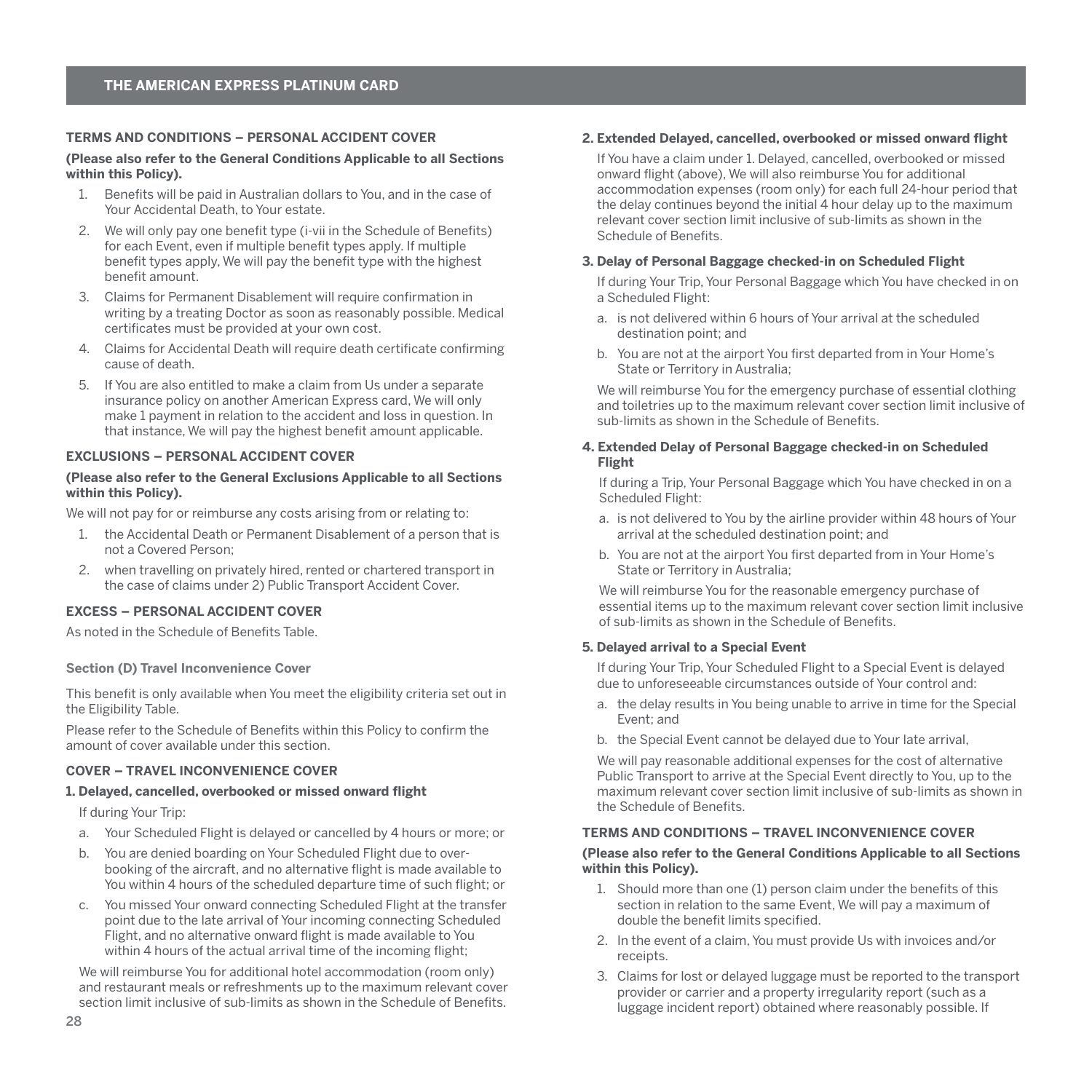## <span id="page-29-0"></span>**TERMS AND CONDITIONS – PERSONAL ACCIDENT COVER**

#### **(Please also refer to the General Conditions Applicable to all Sections within this Policy).**

- 1. Benefits will be paid in Australian dollars to You, and in the case of Your Accidental Death, to Your estate.
- 2. We will only pay one benefit type (i-vii in the Schedule of Benefits) for each Event, even if multiple benefit types apply. If multiple benefit types apply, We will pay the benefit type with the highest benefit amount.
- 3. Claims for Permanent Disablement will require confirmation in writing by a treating Doctor as soon as reasonably possible. Medical certificates must be provided at your own cost.
- 4. Claims for Accidental Death will require death certificate confirming cause of death.
- 5. If You are also entitled to make a claim from Us under a separate insurance policy on another American Express card, We will only make 1 payment in relation to the accident and loss in question. In that instance, We will pay the highest benefit amount applicable.

# **EXCLUSIONS – PERSONAL ACCIDENT COVER**

#### **(Please also refer to the General Exclusions Applicable to all Sections within this Policy).**

We will not pay for or reimburse any costs arising from or relating to:

- 1. the Accidental Death or Permanent Disablement of a person that is not a Covered Person;
- 2. when travelling on privately hired, rented or chartered transport in the case of claims under 2) Public Transport Accident Cover.

#### **EXCESS – PERSONAL ACCIDENT COVER**

As noted in the Schedule of Benefits Table.

#### **Section (D) Travel Inconvenience Cover**

This benefit is only available when You meet the eligibility criteria set out in the Eligibility Table.

Please refer to the Schedule of Benefits within this Policy to confirm the amount of cover available under this section.

# **COVER – TRAVEL INCONVENIENCE COVER**

# **1. Delayed, cancelled, overbooked or missed onward flight**

If during Your Trip:

- a. Your Scheduled Flight is delayed or cancelled by 4 hours or more; or
- b. You are denied boarding on Your Scheduled Flight due to overbooking of the aircraft, and no alternative flight is made available to You within 4 hours of the scheduled departure time of such flight; or
- c. You missed Your onward connecting Scheduled Flight at the transfer point due to the late arrival of Your incoming connecting Scheduled Flight, and no alternative onward flight is made available to You within 4 hours of the actual arrival time of the incoming flight;

We will reimburse You for additional hotel accommodation (room only) and restaurant meals or refreshments up to the maximum relevant cover section limit inclusive of sub-limits as shown in the Schedule of Benefits.

#### **2. Extended Delayed, cancelled, overbooked or missed onward flight**

If You have a claim under 1. Delayed, cancelled, overbooked or missed onward flight (above), We will also reimburse You for additional accommodation expenses (room only) for each full 24-hour period that the delay continues beyond the initial 4 hour delay up to the maximum relevant cover section limit inclusive of sub-limits as shown in the Schedule of Benefits.

# **3. Delay of Personal Baggage checked-in on Scheduled Flight**

If during Your Trip, Your Personal Baggage which You have checked in on a Scheduled Flight:

- a. is not delivered within 6 hours of Your arrival at the scheduled destination point; and
- b. You are not at the airport You first departed from in Your Home's State or Territory in Australia;

We will reimburse You for the emergency purchase of essential clothing and toiletries up to the maximum relevant cover section limit inclusive of sub-limits as shown in the Schedule of Benefits.

#### **4. Extended Delay of Personal Baggage checked-in on Scheduled Flight**

If during a Trip, Your Personal Baggage which You have checked in on a Scheduled Flight:

- a. is not delivered to You by the airline provider within 48 hours of Your arrival at the scheduled destination point; and
- b. You are not at the airport You first departed from in Your Home's State or Territory in Australia;

We will reimburse You for the reasonable emergency purchase of essential items up to the maximum relevant cover section limit inclusive of sub-limits as shown in the Schedule of Benefits.

#### **5. Delayed arrival to a Special Event**

If during Your Trip, Your Scheduled Flight to a Special Event is delayed due to unforeseeable circumstances outside of Your control and:

- a. the delay results in You being unable to arrive in time for the Special Event; and
- b. the Special Event cannot be delayed due to Your late arrival,

We will pay reasonable additional expenses for the cost of alternative Public Transport to arrive at the Special Event directly to You, up to the maximum relevant cover section limit inclusive of sub-limits as shown in the Schedule of Benefits.

# **TERMS AND CONDITIONS – TRAVEL INCONVENIENCE COVER**

#### **(Please also refer to the General Conditions Applicable to all Sections within this Policy).**

- 1. Should more than one (1) person claim under the benefits of this section in relation to the same Event, We will pay a maximum of double the benefit limits specified.
- 2. In the event of a claim, You must provide Us with invoices and/or receipts.
- 3. Claims for lost or delayed luggage must be reported to the transport provider or carrier and a property irregularity report (such as a luggage incident report) obtained where reasonably possible. If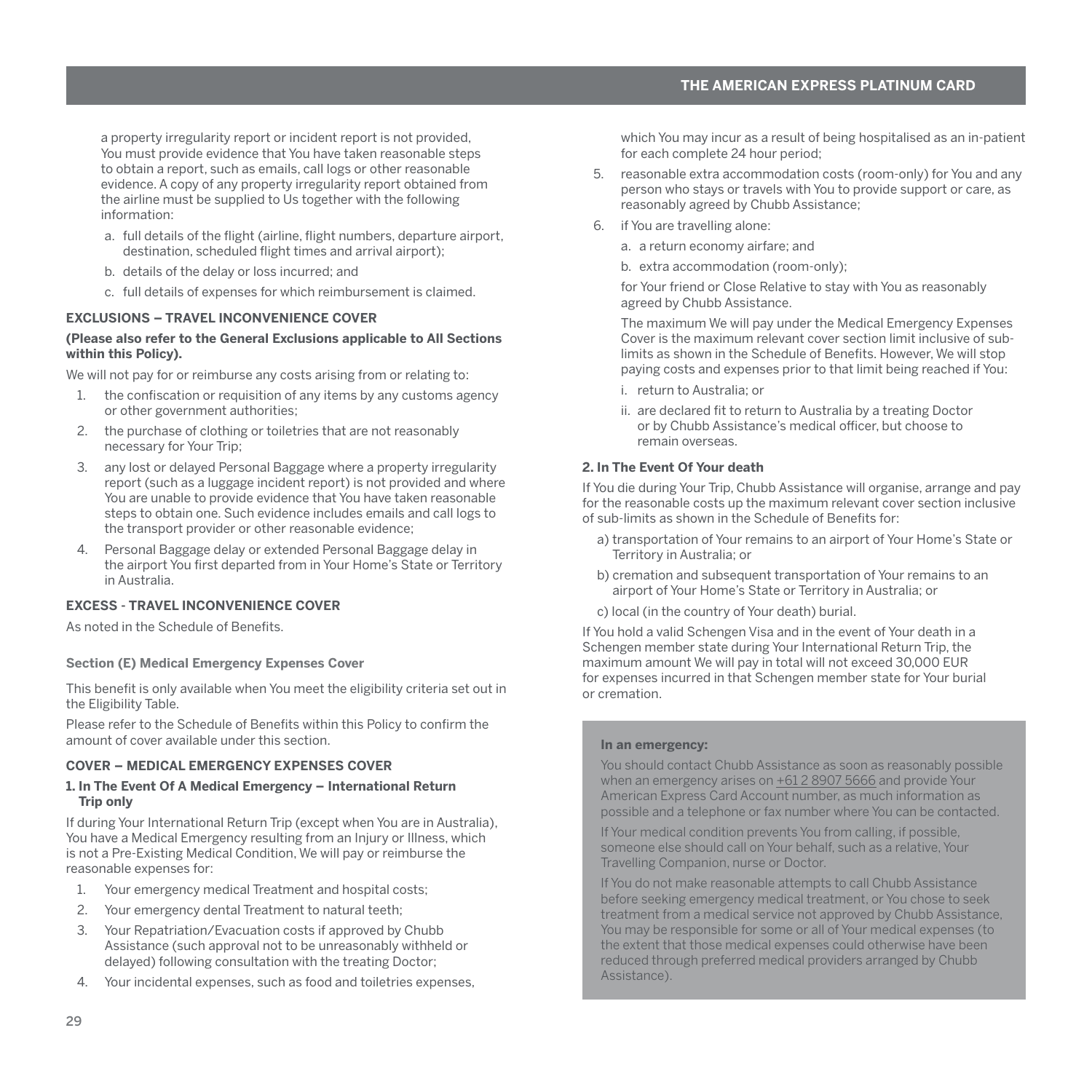<span id="page-30-0"></span>a property irregularity report or incident report is not provided, You must provide evidence that You have taken reasonable steps to obtain a report, such as emails, call logs or other reasonable evidence. A copy of any property irregularity report obtained from the airline must be supplied to Us together with the following information:

- a. full details of the flight (airline, flight numbers, departure airport, destination, scheduled flight times and arrival airport);
- b. details of the delay or loss incurred; and
- c. full details of expenses for which reimbursement is claimed.

# **EXCLUSIONS – TRAVEL INCONVENIENCE COVER**

#### **(Please also refer to the General Exclusions applicable to All Sections within this Policy).**

We will not pay for or reimburse any costs arising from or relating to:

- 1. the confiscation or requisition of any items by any customs agency or other government authorities;
- 2. the purchase of clothing or toiletries that are not reasonably necessary for Your Trip;
- 3. any lost or delayed Personal Baggage where a property irregularity report (such as a luggage incident report) is not provided and where You are unable to provide evidence that You have taken reasonable steps to obtain one. Such evidence includes emails and call logs to the transport provider or other reasonable evidence;
- 4. Personal Baggage delay or extended Personal Baggage delay in the airport You first departed from in Your Home's State or Territory in Australia.

#### **EXCESS - TRAVEL INCONVENIENCE COVER**

As noted in the Schedule of Benefits.

#### **Section (E) Medical Emergency Expenses Cover**

This benefit is only available when You meet the eligibility criteria set out in the Eligibility Table.

Please refer to the Schedule of Benefits within this Policy to confirm the amount of cover available under this section.

# **COVER – MEDICAL EMERGENCY EXPENSES COVER**

#### **1. In The Event Of A Medical Emergency – International Return Trip only**

If during Your International Return Trip (except when You are in Australia), You have a Medical Emergency resulting from an Injury or Illness, which is not a Pre-Existing Medical Condition, We will pay or reimburse the reasonable expenses for:

- 1. Your emergency medical Treatment and hospital costs;
- 2. Your emergency dental Treatment to natural teeth;
- 3. Your Repatriation/Evacuation costs if approved by Chubb Assistance (such approval not to be unreasonably withheld or delayed) following consultation with the treating Doctor;
- 4. Your incidental expenses, such as food and toiletries expenses,

which You may incur as a result of being hospitalised as an in-patient for each complete 24 hour period;

- 5. reasonable extra accommodation costs (room-only) for You and any person who stays or travels with You to provide support or care, as reasonably agreed by Chubb Assistance;
- 6. if You are travelling alone:
	- a. a return economy airfare; and
	- b. extra accommodation (room-only);

for Your friend or Close Relative to stay with You as reasonably agreed by Chubb Assistance.

The maximum We will pay under the Medical Emergency Expenses Cover is the maximum relevant cover section limit inclusive of sublimits as shown in the Schedule of Benefits. However, We will stop paying costs and expenses prior to that limit being reached if You:

- i. return to Australia; or
- ii. are declared fit to return to Australia by a treating Doctor or by Chubb Assistance's medical officer, but choose to remain overseas.

# **2. In The Event Of Your death**

If You die during Your Trip, Chubb Assistance will organise, arrange and pay for the reasonable costs up the maximum relevant cover section inclusive of sub-limits as shown in the Schedule of Benefits for:

- a) transportation of Your remains to an airport of Your Home's State or Territory in Australia; or
- b) cremation and subsequent transportation of Your remains to an airport of Your Home's State or Territory in Australia; or
- c) local (in the country of Your death) burial.

If You hold a valid Schengen Visa and in the event of Your death in a Schengen member state during Your International Return Trip, the maximum amount We will pay in total will not exceed 30,000 EUR for expenses incurred in that Schengen member state for Your burial or cremation.

# **In an emergency:**

You should contact Chubb Assistance as soon as reasonably possible when an emergency arises on  $+61289075666$  and provide Your American Express Card Account number, as much information as possible and a telephone or fax number where You can be contacted.

If Your medical condition prevents You from calling, if possible, someone else should call on Your behalf, such as a relative, Your Travelling Companion, nurse or Doctor.

If You do not make reasonable attempts to call Chubb Assistance before seeking emergency medical treatment, or You chose to seek treatment from a medical service not approved by Chubb Assistance, You may be responsible for some or all of Your medical expenses (to the extent that those medical expenses could otherwise have been reduced through preferred medical providers arranged by Chubb Assistance).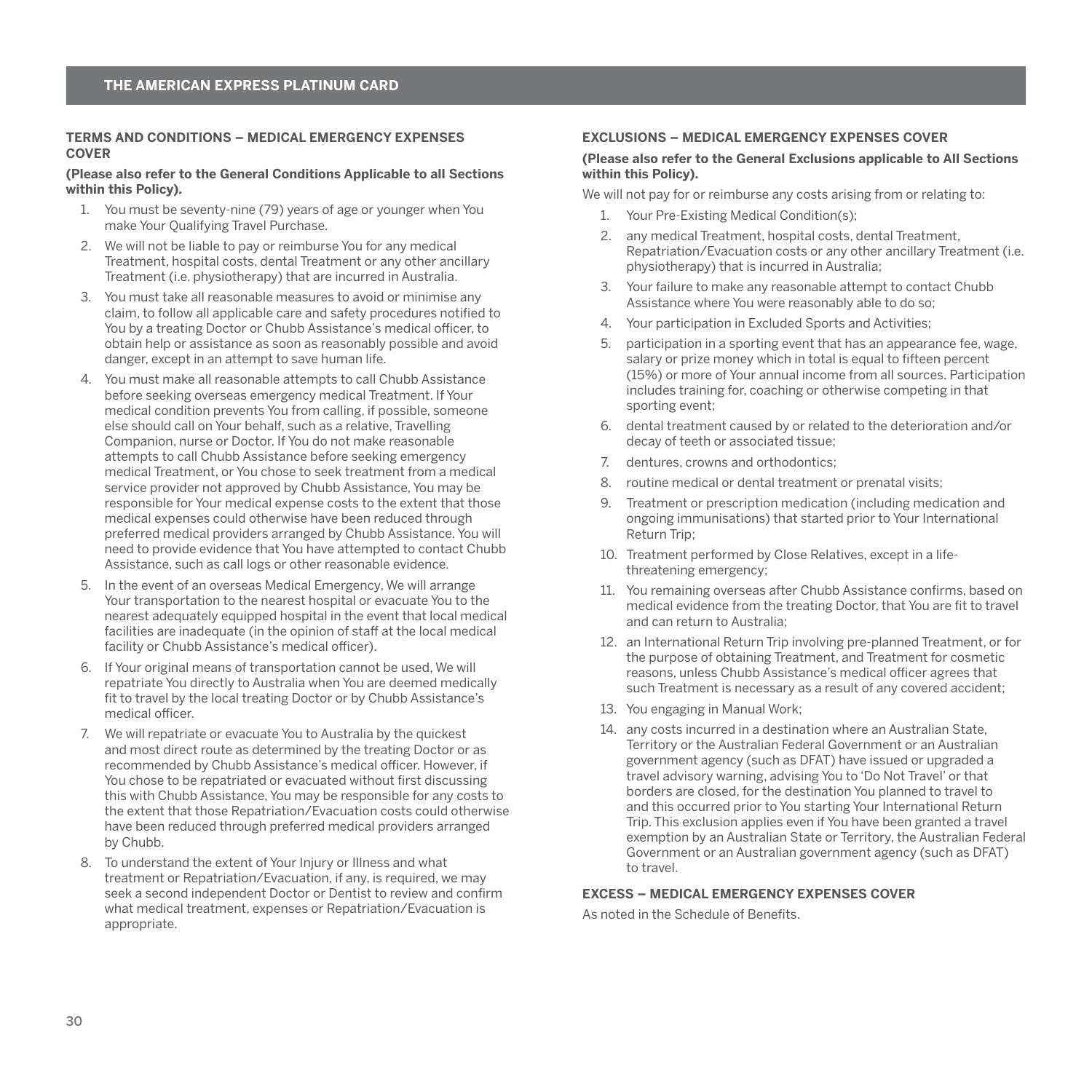#### <span id="page-31-0"></span>**TERMS AND CONDITIONS – MEDICAL EMERGENCY EXPENSES COVER**

#### **(Please also refer to the General Conditions Applicable to all Sections within this Policy).**

- 1. You must be seventy-nine (79) years of age or younger when You make Your Qualifying Travel Purchase.
- 2. We will not be liable to pay or reimburse You for any medical Treatment, hospital costs, dental Treatment or any other ancillary Treatment (i.e. physiotherapy) that are incurred in Australia.
- 3. You must take all reasonable measures to avoid or minimise any claim, to follow all applicable care and safety procedures notified to You by a treating Doctor or Chubb Assistance's medical officer, to obtain help or assistance as soon as reasonably possible and avoid danger, except in an attempt to save human life.
- 4. You must make all reasonable attempts to call Chubb Assistance before seeking overseas emergency medical Treatment. If Your medical condition prevents You from calling, if possible, someone else should call on Your behalf, such as a relative, Travelling Companion, nurse or Doctor. If You do not make reasonable attempts to call Chubb Assistance before seeking emergency medical Treatment, or You chose to seek treatment from a medical service provider not approved by Chubb Assistance, You may be responsible for Your medical expense costs to the extent that those medical expenses could otherwise have been reduced through preferred medical providers arranged by Chubb Assistance. You will need to provide evidence that You have attempted to contact Chubb Assistance, such as call logs or other reasonable evidence.
- 5. In the event of an overseas Medical Emergency, We will arrange Your transportation to the nearest hospital or evacuate You to the nearest adequately equipped hospital in the event that local medical facilities are inadequate (in the opinion of staff at the local medical facility or Chubb Assistance's medical officer).
- 6. If Your original means of transportation cannot be used, We will repatriate You directly to Australia when You are deemed medically fit to travel by the local treating Doctor or by Chubb Assistance's medical officer.
- 7. We will repatriate or evacuate You to Australia by the quickest and most direct route as determined by the treating Doctor or as recommended by Chubb Assistance's medical officer. However, if You chose to be repatriated or evacuated without first discussing this with Chubb Assistance, You may be responsible for any costs to the extent that those Repatriation/Evacuation costs could otherwise have been reduced through preferred medical providers arranged by Chubb.
- 8. To understand the extent of Your Injury or Illness and what treatment or Repatriation/Evacuation, if any, is required, we may seek a second independent Doctor or Dentist to review and confirm what medical treatment, expenses or Repatriation/Evacuation is appropriate.

## **EXCLUSIONS – MEDICAL EMERGENCY EXPENSES COVER**

#### **(Please also refer to the General Exclusions applicable to All Sections within this Policy).**

We will not pay for or reimburse any costs arising from or relating to:

- 1. Your Pre-Existing Medical Condition(s);
- 2. any medical Treatment, hospital costs, dental Treatment, Repatriation/Evacuation costs or any other ancillary Treatment (i.e. physiotherapy) that is incurred in Australia;
- 3. Your failure to make any reasonable attempt to contact Chubb Assistance where You were reasonably able to do so;
- 4. Your participation in Excluded Sports and Activities;
- 5. participation in a sporting event that has an appearance fee, wage, salary or prize money which in total is equal to fifteen percent (15%) or more of Your annual income from all sources. Participation includes training for, coaching or otherwise competing in that sporting event;
- 6. dental treatment caused by or related to the deterioration and/or decay of teeth or associated tissue;
- 7. dentures, crowns and orthodontics;
- 8. routine medical or dental treatment or prenatal visits;
- 9. Treatment or prescription medication (including medication and ongoing immunisations) that started prior to Your International Return Trip;
- 10. Treatment performed by Close Relatives, except in a lifethreatening emergency;
- 11. You remaining overseas after Chubb Assistance confirms, based on medical evidence from the treating Doctor, that You are fit to travel and can return to Australia;
- 12. an International Return Trip involving pre-planned Treatment, or for the purpose of obtaining Treatment, and Treatment for cosmetic reasons, unless Chubb Assistance's medical officer agrees that such Treatment is necessary as a result of any covered accident;
- 13. You engaging in Manual Work;
- 14. any costs incurred in a destination where an Australian State, Territory or the Australian Federal Government or an Australian government agency (such as DFAT) have issued or upgraded a travel advisory warning, advising You to 'Do Not Travel' or that borders are closed, for the destination You planned to travel to and this occurred prior to You starting Your International Return Trip. This exclusion applies even if You have been granted a travel exemption by an Australian State or Territory, the Australian Federal Government or an Australian government agency (such as DFAT) to travel.

## **EXCESS – MEDICAL EMERGENCY EXPENSES COVER**

As noted in the Schedule of Benefits.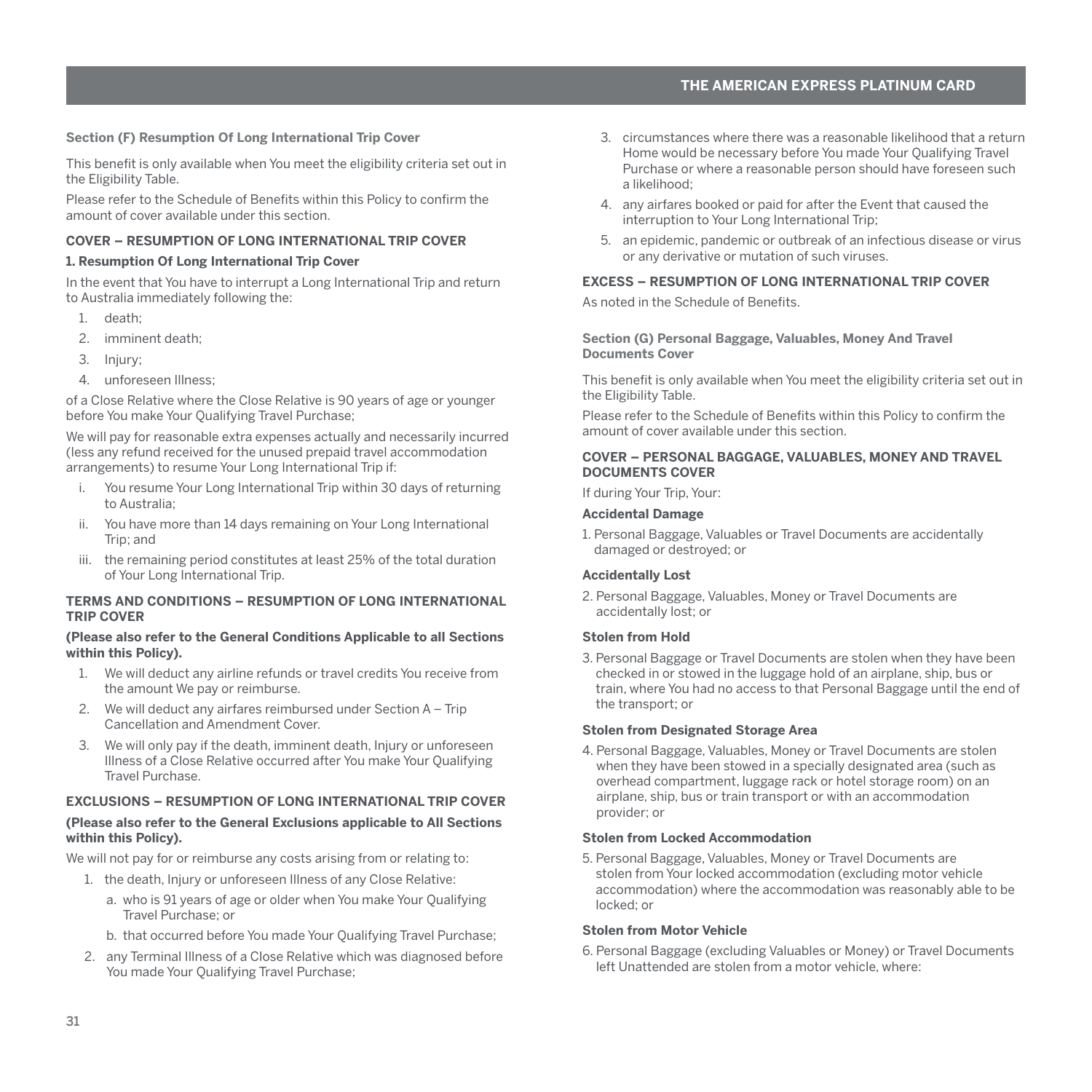#### <span id="page-32-0"></span>**Section (F) Resumption Of Long International Trip Cover**

This benefit is only available when You meet the eligibility criteria set out in the Eligibility Table.

Please refer to the Schedule of Benefits within this Policy to confirm the amount of cover available under this section.

# **COVER – RESUMPTION OF LONG INTERNATIONAL TRIP COVER**

#### **1. Resumption Of Long International Trip Cover**

In the event that You have to interrupt a Long International Trip and return to Australia immediately following the:

- 1. death;
- 2. imminent death;
- 3. Injury;
- 4. unforeseen Illness;

of a Close Relative where the Close Relative is 90 years of age or younger before You make Your Qualifying Travel Purchase;

We will pay for reasonable extra expenses actually and necessarily incurred (less any refund received for the unused prepaid travel accommodation arrangements) to resume Your Long International Trip if:

- i. You resume Your Long International Trip within 30 days of returning to Australia;
- ii. You have more than 14 days remaining on Your Long International Trip; and
- iii. the remaining period constitutes at least 25% of the total duration of Your Long International Trip.

#### **TERMS AND CONDITIONS – RESUMPTION OF LONG INTERNATIONAL TRIP COVER**

#### **(Please also refer to the General Conditions Applicable to all Sections within this Policy).**

- 1. We will deduct any airline refunds or travel credits You receive from the amount We pay or reimburse.
- 2. We will deduct any airfares reimbursed under Section A Trip Cancellation and Amendment Cover.
- 3. We will only pay if the death, imminent death, Injury or unforeseen Illness of a Close Relative occurred after You make Your Qualifying Travel Purchase.

# **EXCLUSIONS – RESUMPTION OF LONG INTERNATIONAL TRIP COVER (Please also refer to the General Exclusions applicable to All Sections within this Policy).**

We will not pay for or reimburse any costs arising from or relating to:

- 1. the death, Injury or unforeseen Illness of any Close Relative:
	- a. who is 91 years of age or older when You make Your Qualifying Travel Purchase; or
	- b. that occurred before You made Your Qualifying Travel Purchase;
- 2. any Terminal Illness of a Close Relative which was diagnosed before You made Your Qualifying Travel Purchase;
- 3. circumstances where there was a reasonable likelihood that a return Home would be necessary before You made Your Qualifying Travel Purchase or where a reasonable person should have foreseen such a likelihood;
- 4. any airfares booked or paid for after the Event that caused the interruption to Your Long International Trip;
- 5. an epidemic, pandemic or outbreak of an infectious disease or virus or any derivative or mutation of such viruses.

# **EXCESS – RESUMPTION OF LONG INTERNATIONAL TRIP COVER**

As noted in the Schedule of Benefits.

**Section (G) Personal Baggage, Valuables, Money And Travel Documents Cover** 

This benefit is only available when You meet the eligibility criteria set out in the Eligibility Table.

Please refer to the Schedule of Benefits within this Policy to confirm the amount of cover available under this section.

#### **COVER – PERSONAL BAGGAGE, VALUABLES, MONEY AND TRAVEL DOCUMENTS COVER**

If during Your Trip, Your:

#### **Accidental Damage**

1. Personal Baggage, Valuables or Travel Documents are accidentally damaged or destroyed; or

#### **Accidentally Lost**

2. Personal Baggage, Valuables, Money or Travel Documents are accidentally lost; or

#### **Stolen from Hold**

3. Personal Baggage or Travel Documents are stolen when they have been checked in or stowed in the luggage hold of an airplane, ship, bus or train, where You had no access to that Personal Baggage until the end of the transport; or

#### **Stolen from Designated Storage Area**

4. Personal Baggage, Valuables, Money or Travel Documents are stolen when they have been stowed in a specially designated area (such as overhead compartment, luggage rack or hotel storage room) on an airplane, ship, bus or train transport or with an accommodation provider; or

#### **Stolen from Locked Accommodation**

5. Personal Baggage, Valuables, Money or Travel Documents are stolen from Your locked accommodation (excluding motor vehicle accommodation) where the accommodation was reasonably able to be locked; or

#### **Stolen from Motor Vehicle**

6. Personal Baggage (excluding Valuables or Money) or Travel Documents left Unattended are stolen from a motor vehicle, where: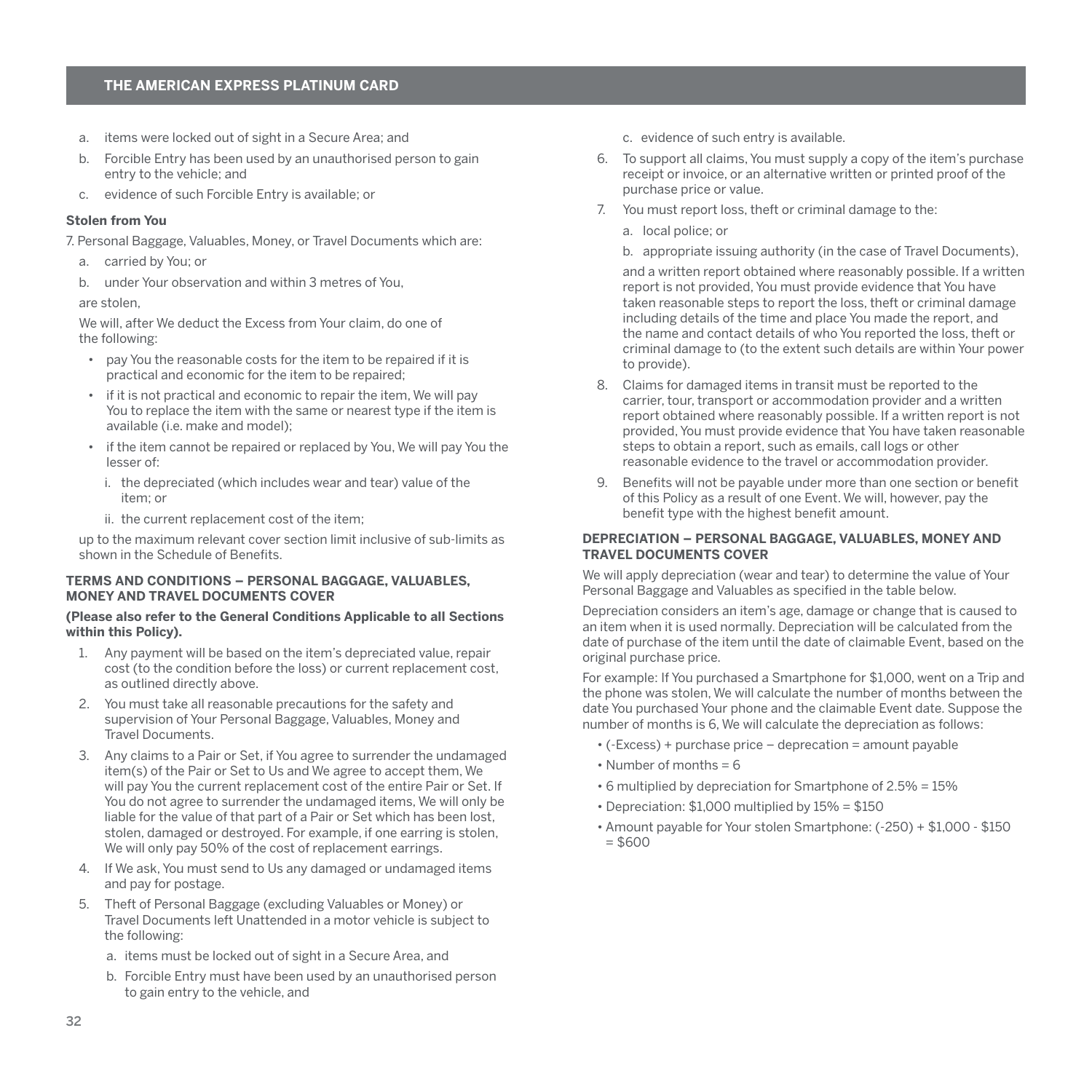- a. items were locked out of sight in a Secure Area; and
- b. Forcible Entry has been used by an unauthorised person to gain entry to the vehicle; and
- c. evidence of such Forcible Entry is available; or

#### **Stolen from You**

- 7. Personal Baggage, Valuables, Money, or Travel Documents which are:
	- a. carried by You; or
	- b. under Your observation and within 3 metres of You,

#### are stolen,

We will, after We deduct the Excess from Your claim, do one of the following:

- pay You the reasonable costs for the item to be repaired if it is practical and economic for the item to be repaired;
- if it is not practical and economic to repair the item, We will pay You to replace the item with the same or nearest type if the item is available (i.e. make and model);
- if the item cannot be repaired or replaced by You, We will pay You the lesser of:
	- i. the depreciated (which includes wear and tear) value of the item; or
	- ii. the current replacement cost of the item;

up to the maximum relevant cover section limit inclusive of sub-limits as shown in the Schedule of Benefits.

# **TERMS AND CONDITIONS – PERSONAL BAGGAGE, VALUABLES, MONEY AND TRAVEL DOCUMENTS COVER**

## **(Please also refer to the General Conditions Applicable to all Sections within this Policy).**

- 1. Any payment will be based on the item's depreciated value, repair cost (to the condition before the loss) or current replacement cost, as outlined directly above.
- 2. You must take all reasonable precautions for the safety and supervision of Your Personal Baggage, Valuables, Money and Travel Documents.
- 3. Any claims to a Pair or Set, if You agree to surrender the undamaged item(s) of the Pair or Set to Us and We agree to accept them, We will pay You the current replacement cost of the entire Pair or Set. If You do not agree to surrender the undamaged items, We will only be liable for the value of that part of a Pair or Set which has been lost, stolen, damaged or destroyed. For example, if one earring is stolen, We will only pay 50% of the cost of replacement earrings.
- 4. If We ask, You must send to Us any damaged or undamaged items and pay for postage.
- 5. Theft of Personal Baggage (excluding Valuables or Money) or Travel Documents left Unattended in a motor vehicle is subject to the following:
	- a. items must be locked out of sight in a Secure Area, and
	- b. Forcible Entry must have been used by an unauthorised person to gain entry to the vehicle, and

c. evidence of such entry is available.

- 6. To support all claims, You must supply a copy of the item's purchase receipt or invoice, or an alternative written or printed proof of the purchase price or value.
- 7. You must report loss, theft or criminal damage to the:
	- a. local police; or
	- b. appropriate issuing authority (in the case of Travel Documents),

and a written report obtained where reasonably possible. If a written report is not provided, You must provide evidence that You have taken reasonable steps to report the loss, theft or criminal damage including details of the time and place You made the report, and the name and contact details of who You reported the loss, theft or criminal damage to (to the extent such details are within Your power to provide).

- 8. Claims for damaged items in transit must be reported to the carrier, tour, transport or accommodation provider and a written report obtained where reasonably possible. If a written report is not provided, You must provide evidence that You have taken reasonable steps to obtain a report, such as emails, call logs or other reasonable evidence to the travel or accommodation provider.
- 9. Benefits will not be payable under more than one section or benefit of this Policy as a result of one Event. We will, however, pay the benefit type with the highest benefit amount.

## **DEPRECIATION – PERSONAL BAGGAGE, VALUABLES, MONEY AND TRAVEL DOCUMENTS COVER**

We will apply depreciation (wear and tear) to determine the value of Your Personal Baggage and Valuables as specified in the table below.

Depreciation considers an item's age, damage or change that is caused to an item when it is used normally. Depreciation will be calculated from the date of purchase of the item until the date of claimable Event, based on the original purchase price.

For example: If You purchased a Smartphone for \$1,000, went on a Trip and the phone was stolen, We will calculate the number of months between the date You purchased Your phone and the claimable Event date. Suppose the number of months is 6, We will calculate the depreciation as follows:

- (-Excess) + purchase price deprecation = amount payable
- $\cdot$  Number of months = 6
- 6 multiplied by depreciation for Smartphone of 2.5% = 15%
- Depreciation: \$1,000 multiplied by 15% = \$150
- Amount payable for Your stolen Smartphone: (-250) + \$1,000 \$150  $= $600$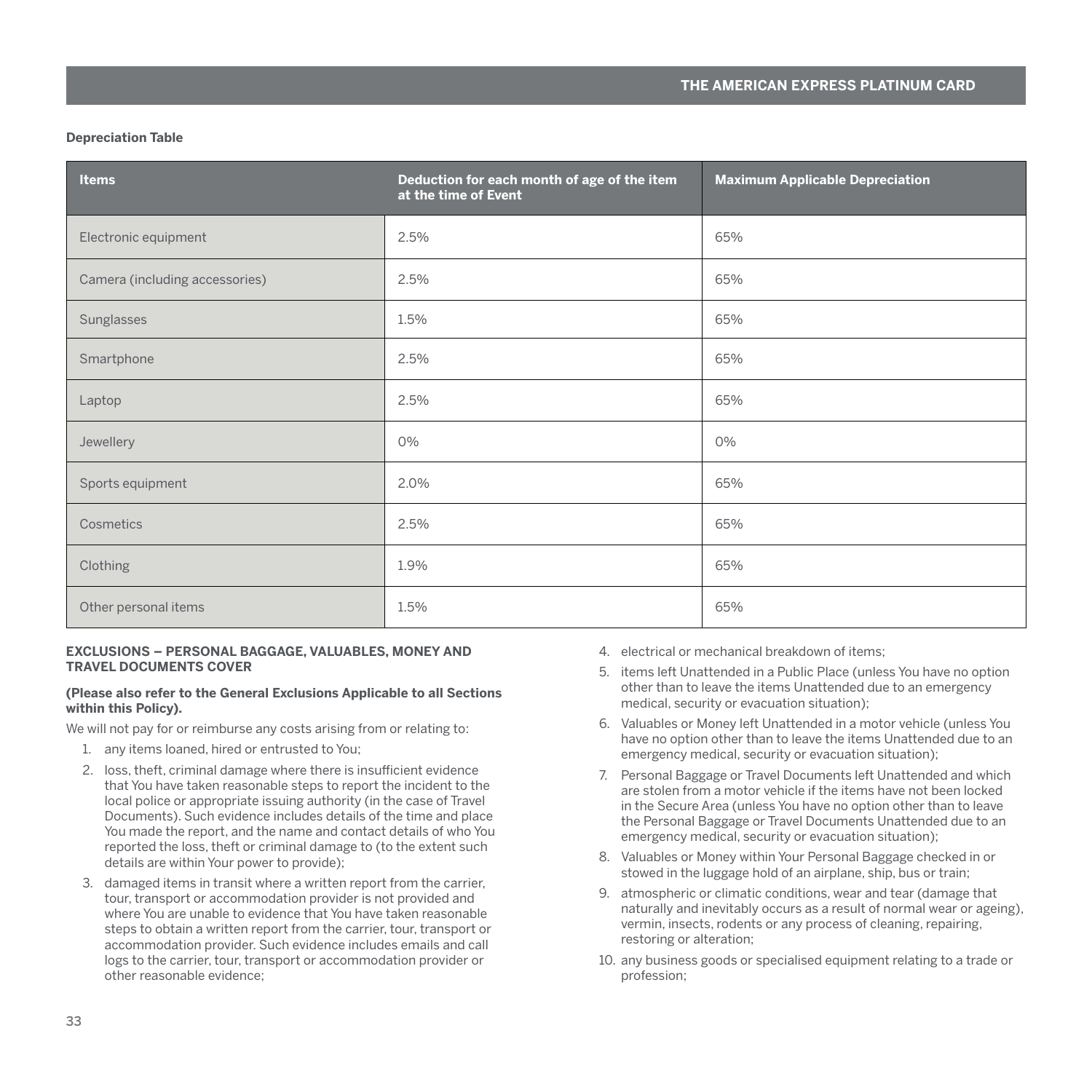#### **Depreciation Table**

| <b>Items</b>                   | Deduction for each month of age of the item<br>at the time of Event | <b>Maximum Applicable Depreciation</b> |
|--------------------------------|---------------------------------------------------------------------|----------------------------------------|
| Electronic equipment           | 2.5%                                                                | 65%                                    |
| Camera (including accessories) | 2.5%                                                                | 65%                                    |
| Sunglasses                     | 1.5%                                                                | 65%                                    |
| Smartphone                     | 2.5%                                                                | 65%                                    |
| Laptop                         | 2.5%                                                                | 65%                                    |
| Jewellery                      | 0%                                                                  | 0%                                     |
| Sports equipment               | 2.0%                                                                | 65%                                    |
| Cosmetics                      | 2.5%                                                                | 65%                                    |
| Clothing                       | 1.9%                                                                | 65%                                    |
| Other personal items           | 1.5%                                                                | 65%                                    |

#### **EXCLUSIONS – PERSONAL BAGGAGE, VALUABLES, MONEY AND TRAVEL DOCUMENTS COVER**

#### **(Please also refer to the General Exclusions Applicable to all Sections within this Policy).**

We will not pay for or reimburse any costs arising from or relating to:

- 1. any items loaned, hired or entrusted to You;
- 2. loss, theft, criminal damage where there is insufficient evidence that You have taken reasonable steps to report the incident to the local police or appropriate issuing authority (in the case of Travel Documents). Such evidence includes details of the time and place You made the report, and the name and contact details of who You reported the loss, theft or criminal damage to (to the extent such details are within Your power to provide);
- 3. damaged items in transit where a written report from the carrier, tour, transport or accommodation provider is not provided and where You are unable to evidence that You have taken reasonable steps to obtain a written report from the carrier, tour, transport or accommodation provider. Such evidence includes emails and call logs to the carrier, tour, transport or accommodation provider or other reasonable evidence;
- 4. electrical or mechanical breakdown of items;
- 5. items left Unattended in a Public Place (unless You have no option other than to leave the items Unattended due to an emergency medical, security or evacuation situation);
- 6. Valuables or Money left Unattended in a motor vehicle (unless You have no option other than to leave the items Unattended due to an emergency medical, security or evacuation situation);
- 7. Personal Baggage or Travel Documents left Unattended and which are stolen from a motor vehicle if the items have not been locked in the Secure Area (unless You have no option other than to leave the Personal Baggage or Travel Documents Unattended due to an emergency medical, security or evacuation situation);
- 8. Valuables or Money within Your Personal Baggage checked in or stowed in the luggage hold of an airplane, ship, bus or train;
- 9. atmospheric or climatic conditions, wear and tear (damage that naturally and inevitably occurs as a result of normal wear or ageing), vermin, insects, rodents or any process of cleaning, repairing, restoring or alteration;
- 10. any business goods or specialised equipment relating to a trade or profession;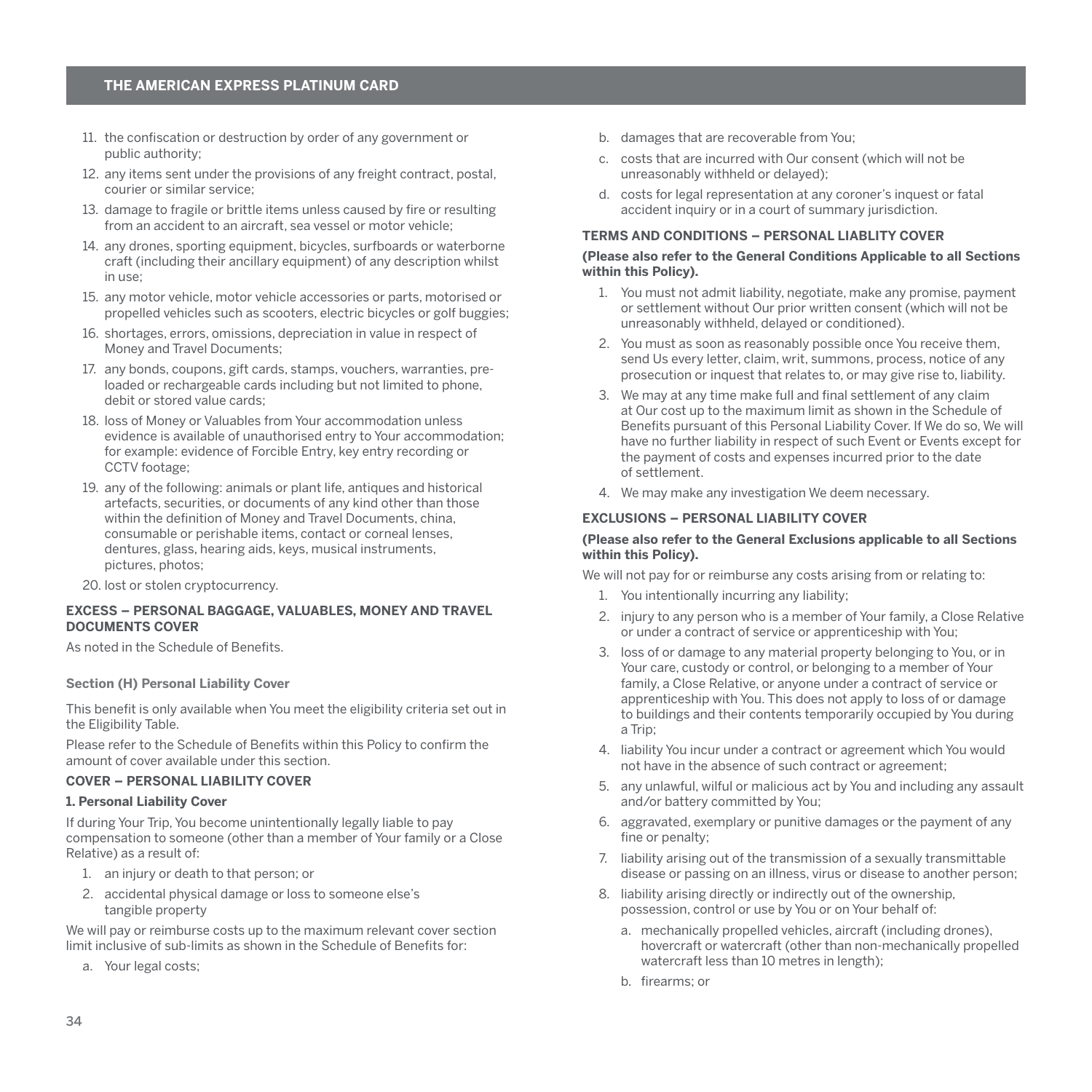- <span id="page-35-0"></span>11. the confiscation or destruction by order of any government or public authority;
- 12. any items sent under the provisions of any freight contract, postal, courier or similar service;
- 13. damage to fragile or brittle items unless caused by fire or resulting from an accident to an aircraft, sea vessel or motor vehicle;
- 14. any drones, sporting equipment, bicycles, surfboards or waterborne craft (including their ancillary equipment) of any description whilst in use;
- 15. any motor vehicle, motor vehicle accessories or parts, motorised or propelled vehicles such as scooters, electric bicycles or golf buggies;
- 16. shortages, errors, omissions, depreciation in value in respect of Money and Travel Documents;
- 17. any bonds, coupons, gift cards, stamps, vouchers, warranties, preloaded or rechargeable cards including but not limited to phone, debit or stored value cards;
- 18. loss of Money or Valuables from Your accommodation unless evidence is available of unauthorised entry to Your accommodation; for example: evidence of Forcible Entry, key entry recording or CCTV footage;
- 19. any of the following: animals or plant life, antiques and historical artefacts, securities, or documents of any kind other than those within the definition of Money and Travel Documents, china, consumable or perishable items, contact or corneal lenses, dentures, glass, hearing aids, keys, musical instruments, pictures, photos;
- 20. lost or stolen cryptocurrency.

#### **EXCESS – PERSONAL BAGGAGE, VALUABLES, MONEY AND TRAVEL DOCUMENTS COVER**

As noted in the Schedule of Benefits.

# **Section (H) Personal Liability Cover**

This benefit is only available when You meet the eligibility criteria set out in the Eligibility Table.

Please refer to the Schedule of Benefits within this Policy to confirm the amount of cover available under this section.

#### **COVER – PERSONAL LIABILITY COVER**

#### **1. Personal Liability Cover**

If during Your Trip, You become unintentionally legally liable to pay compensation to someone (other than a member of Your family or a Close Relative) as a result of:

- 1. an injury or death to that person; or
- 2. accidental physical damage or loss to someone else's tangible property

We will pay or reimburse costs up to the maximum relevant cover section limit inclusive of sub-limits as shown in the Schedule of Benefits for:

a. Your legal costs;

- b. damages that are recoverable from You;
- c. costs that are incurred with Our consent (which will not be unreasonably withheld or delayed);
- d. costs for legal representation at any coroner's inquest or fatal accident inquiry or in a court of summary jurisdiction.

#### **TERMS AND CONDITIONS – PERSONAL LIABLITY COVER**

#### **(Please also refer to the General Conditions Applicable to all Sections within this Policy).**

- 1. You must not admit liability, negotiate, make any promise, payment or settlement without Our prior written consent (which will not be unreasonably withheld, delayed or conditioned).
- 2. You must as soon as reasonably possible once You receive them, send Us every letter, claim, writ, summons, process, notice of any prosecution or inquest that relates to, or may give rise to, liability.
- 3. We may at any time make full and final settlement of any claim at Our cost up to the maximum limit as shown in the Schedule of Benefits pursuant of this Personal Liability Cover. If We do so, We will have no further liability in respect of such Event or Events except for the payment of costs and expenses incurred prior to the date of settlement.
- 4. We may make any investigation We deem necessary.

#### **EXCLUSIONS – PERSONAL LIABILITY COVER**

#### **(Please also refer to the General Exclusions applicable to all Sections within this Policy).**

We will not pay for or reimburse any costs arising from or relating to:

- 1. You intentionally incurring any liability;
- 2. injury to any person who is a member of Your family, a Close Relative or under a contract of service or apprenticeship with You;
- 3. loss of or damage to any material property belonging to You, or in Your care, custody or control, or belonging to a member of Your family, a Close Relative, or anyone under a contract of service or apprenticeship with You. This does not apply to loss of or damage to buildings and their contents temporarily occupied by You during a Trip;
- 4. liability You incur under a contract or agreement which You would not have in the absence of such contract or agreement;
- 5. any unlawful, wilful or malicious act by You and including any assault and/or battery committed by You;
- 6. aggravated, exemplary or punitive damages or the payment of any fine or penalty:
- 7. liability arising out of the transmission of a sexually transmittable disease or passing on an illness, virus or disease to another person;
- 8. liability arising directly or indirectly out of the ownership, possession, control or use by You or on Your behalf of:
	- a. mechanically propelled vehicles, aircraft (including drones), hovercraft or watercraft (other than non-mechanically propelled watercraft less than 10 metres in length);
	- b. firearms; or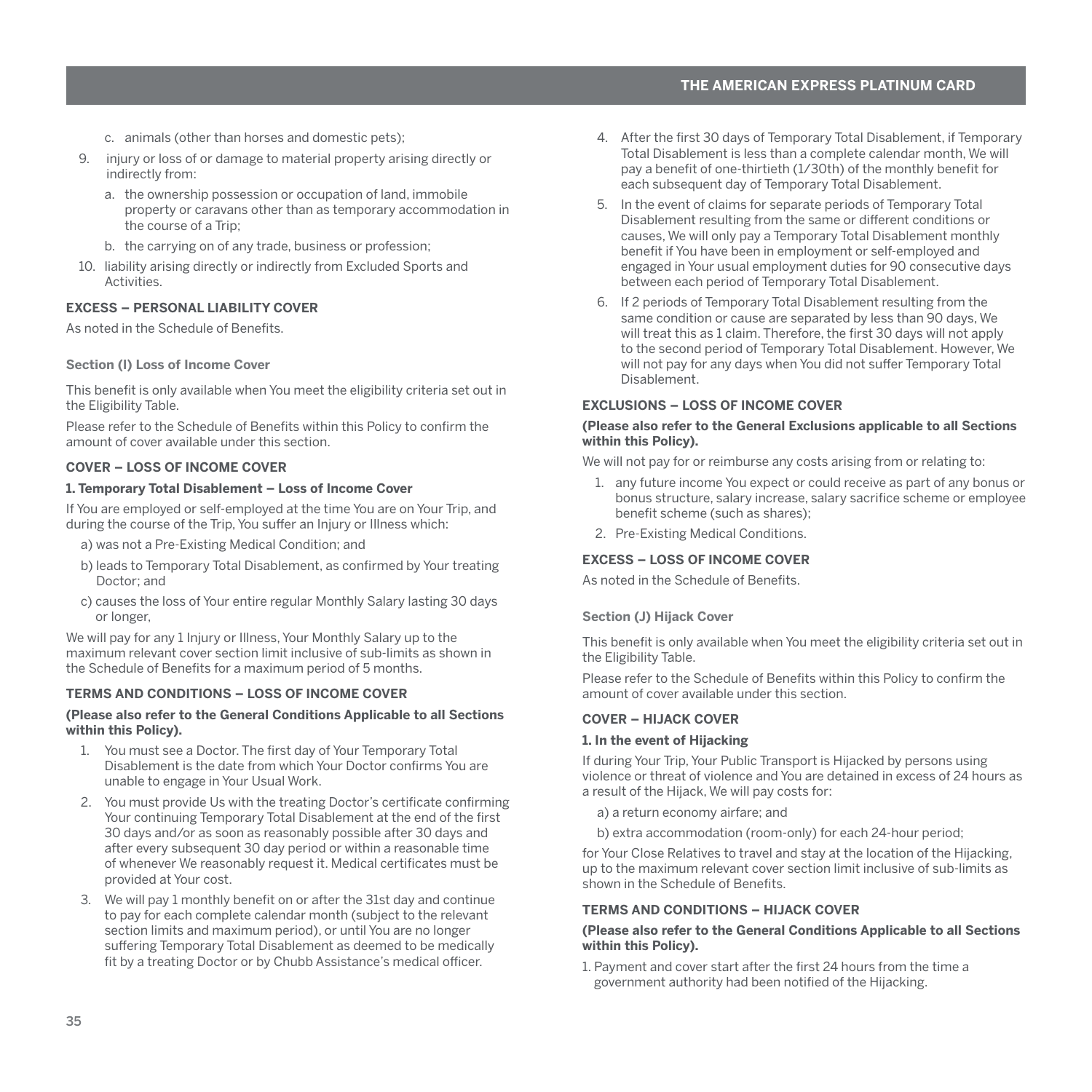- <span id="page-36-0"></span>c. animals (other than horses and domestic pets);
- 9. injury or loss of or damage to material property arising directly or indirectly from:
	- a. the ownership possession or occupation of land, immobile property or caravans other than as temporary accommodation in the course of a Trip;
	- b. the carrying on of any trade, business or profession;
- 10. liability arising directly or indirectly from Excluded Sports and **Activities**

# **EXCESS – PERSONAL LIABILITY COVER**

As noted in the Schedule of Benefits.

#### **Section (I) Loss of Income Cover**

This benefit is only available when You meet the eligibility criteria set out in the Eligibility Table.

Please refer to the Schedule of Benefits within this Policy to confirm the amount of cover available under this section.

# **COVER – LOSS OF INCOME COVER**

#### **1. Temporary Total Disablement – Loss of Income Cover**

If You are employed or self-employed at the time You are on Your Trip, and during the course of the Trip, You suffer an Injury or Illness which:

- a) was not a Pre-Existing Medical Condition; and
- b) leads to Temporary Total Disablement, as confirmed by Your treating Doctor; and
- c) causes the loss of Your entire regular Monthly Salary lasting 30 days or longer,

We will pay for any 1 Injury or Illness, Your Monthly Salary up to the maximum relevant cover section limit inclusive of sub-limits as shown in the Schedule of Benefits for a maximum period of 5 months.

## **TERMS AND CONDITIONS – LOSS OF INCOME COVER**

#### **(Please also refer to the General Conditions Applicable to all Sections within this Policy).**

- 1. You must see a Doctor. The first day of Your Temporary Total Disablement is the date from which Your Doctor confirms You are unable to engage in Your Usual Work.
- 2. You must provide Us with the treating Doctor's certificate confirming Your continuing Temporary Total Disablement at the end of the first 30 days and/or as soon as reasonably possible after 30 days and after every subsequent 30 day period or within a reasonable time of whenever We reasonably request it. Medical certificates must be provided at Your cost.
- 3. We will pay 1 monthly benefit on or after the 31st day and continue to pay for each complete calendar month (subject to the relevant section limits and maximum period), or until You are no longer suffering Temporary Total Disablement as deemed to be medically fit by a treating Doctor or by Chubb Assistance's medical officer.
- 4. After the first 30 days of Temporary Total Disablement, if Temporary Total Disablement is less than a complete calendar month, We will pay a benefit of one-thirtieth (1/30th) of the monthly benefit for each subsequent day of Temporary Total Disablement.
- 5. In the event of claims for separate periods of Temporary Total Disablement resulting from the same or different conditions or causes, We will only pay a Temporary Total Disablement monthly benefit if You have been in employment or self-employed and engaged in Your usual employment duties for 90 consecutive days between each period of Temporary Total Disablement.
- 6. If 2 periods of Temporary Total Disablement resulting from the same condition or cause are separated by less than 90 days, We will treat this as 1 claim. Therefore, the first 30 days will not apply to the second period of Temporary Total Disablement. However, We will not pay for any days when You did not suffer Temporary Total Disablement.

#### **EXCLUSIONS – LOSS OF INCOME COVER**

#### **(Please also refer to the General Exclusions applicable to all Sections within this Policy).**

We will not pay for or reimburse any costs arising from or relating to:

- 1. any future income You expect or could receive as part of any bonus or bonus structure, salary increase, salary sacrifice scheme or employee benefit scheme (such as shares);
- 2. Pre-Existing Medical Conditions.

## **EXCESS – LOSS OF INCOME COVER**

As noted in the Schedule of Benefits.

#### **Section (J) Hijack Cover**

This benefit is only available when You meet the eligibility criteria set out in the Eligibility Table.

Please refer to the Schedule of Benefits within this Policy to confirm the amount of cover available under this section.

# **COVER – HIJACK COVER**

#### **1. In the event of Hijacking**

If during Your Trip, Your Public Transport is Hijacked by persons using violence or threat of violence and You are detained in excess of 24 hours as a result of the Hijack, We will pay costs for:

a) a return economy airfare; and

b) extra accommodation (room-only) for each 24-hour period;

for Your Close Relatives to travel and stay at the location of the Hijacking, up to the maximum relevant cover section limit inclusive of sub-limits as shown in the Schedule of Benefits.

#### **TERMS AND CONDITIONS – HIJACK COVER**

#### **(Please also refer to the General Conditions Applicable to all Sections within this Policy).**

1. Payment and cover start after the first 24 hours from the time a government authority had been notified of the Hijacking.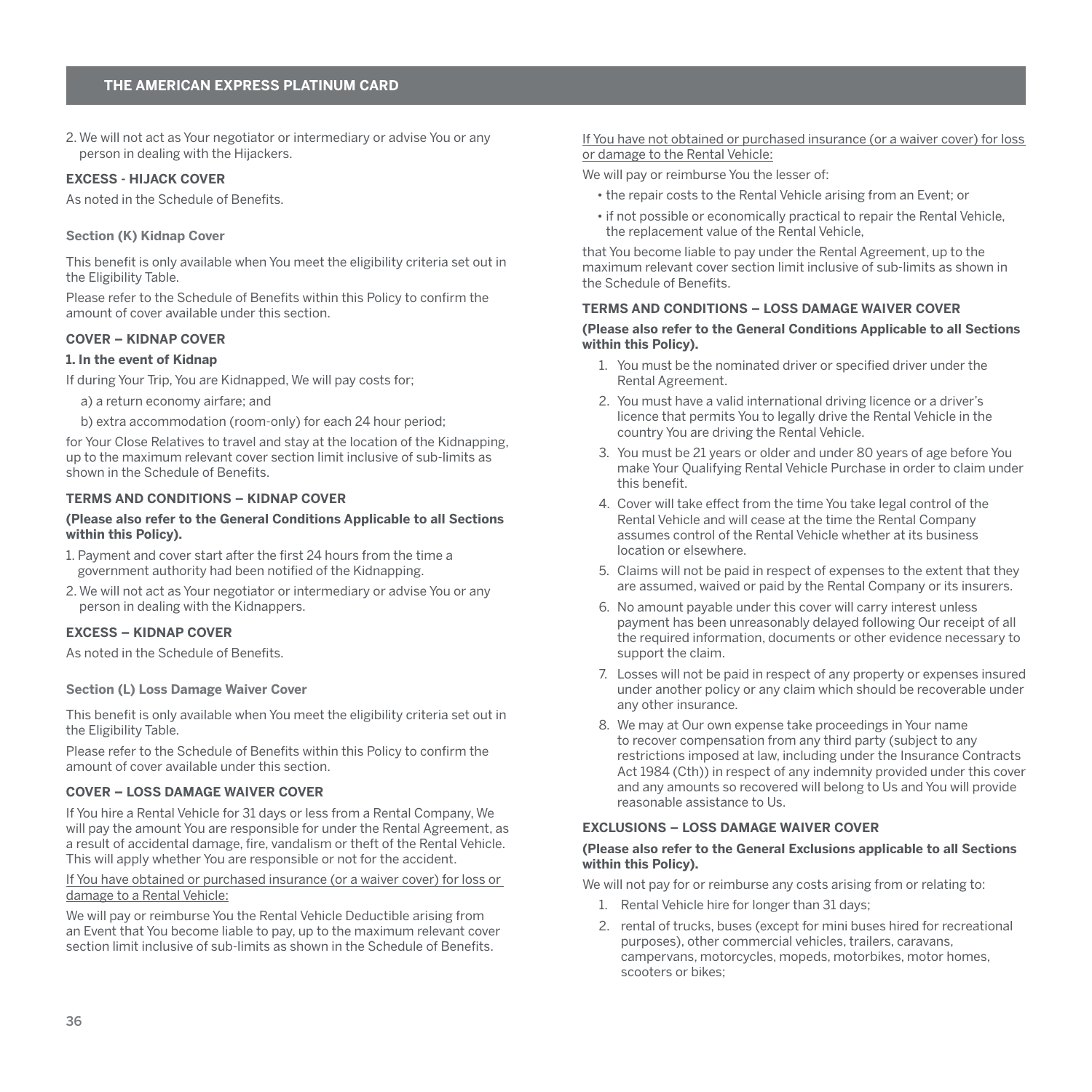<span id="page-37-0"></span>2. We will not act as Your negotiator or intermediary or advise You or any person in dealing with the Hijackers.

#### **EXCESS - HIJACK COVER**

As noted in the Schedule of Benefits.

#### **Section (K) Kidnap Cover**

This benefit is only available when You meet the eligibility criteria set out in the Eligibility Table.

Please refer to the Schedule of Benefits within this Policy to confirm the amount of cover available under this section.

# **COVER – KIDNAP COVER**

#### **1. In the event of Kidnap**

If during Your Trip, You are Kidnapped, We will pay costs for;

a) a return economy airfare; and

b) extra accommodation (room-only) for each 24 hour period;

for Your Close Relatives to travel and stay at the location of the Kidnapping, up to the maximum relevant cover section limit inclusive of sub-limits as shown in the Schedule of Benefits.

# **TERMS AND CONDITIONS – KIDNAP COVER**

#### **(Please also refer to the General Conditions Applicable to all Sections within this Policy).**

- 1. Payment and cover start after the first 24 hours from the time a government authority had been notified of the Kidnapping.
- 2. We will not act as Your negotiator or intermediary or advise You or any person in dealing with the Kidnappers.

#### **EXCESS – KIDNAP COVER**

As noted in the Schedule of Benefits.

#### **Section (L) Loss Damage Waiver Cover**

This benefit is only available when You meet the eligibility criteria set out in the Eligibility Table.

Please refer to the Schedule of Benefits within this Policy to confirm the amount of cover available under this section.

#### **COVER – LOSS DAMAGE WAIVER COVER**

If You hire a Rental Vehicle for 31 days or less from a Rental Company, We will pay the amount You are responsible for under the Rental Agreement, as a result of accidental damage, fire, vandalism or theft of the Rental Vehicle. This will apply whether You are responsible or not for the accident.

#### If You have obtained or purchased insurance (or a waiver cover) for loss or damage to a Rental Vehicle:

We will pay or reimburse You the Rental Vehicle Deductible arising from an Event that You become liable to pay, up to the maximum relevant cover section limit inclusive of sub-limits as shown in the Schedule of Benefits.

#### If You have not obtained or purchased insurance (or a waiver cover) for loss or damage to the Rental Vehicle:

We will pay or reimburse You the lesser of:

- the repair costs to the Rental Vehicle arising from an Event; or
- if not possible or economically practical to repair the Rental Vehicle, the replacement value of the Rental Vehicle,

that You become liable to pay under the Rental Agreement, up to the maximum relevant cover section limit inclusive of sub-limits as shown in the Schedule of Benefits.

## **TERMS AND CONDITIONS – LOSS DAMAGE WAIVER COVER**

#### **(Please also refer to the General Conditions Applicable to all Sections within this Policy).**

- 1. You must be the nominated driver or specified driver under the Rental Agreement.
- 2. You must have a valid international driving licence or a driver's licence that permits You to legally drive the Rental Vehicle in the country You are driving the Rental Vehicle.
- 3. You must be 21 years or older and under 80 years of age before You make Your Qualifying Rental Vehicle Purchase in order to claim under this benefit.
- 4. Cover will take effect from the time You take legal control of the Rental Vehicle and will cease at the time the Rental Company assumes control of the Rental Vehicle whether at its business location or elsewhere.
- 5. Claims will not be paid in respect of expenses to the extent that they are assumed, waived or paid by the Rental Company or its insurers.
- 6. No amount payable under this cover will carry interest unless payment has been unreasonably delayed following Our receipt of all the required information, documents or other evidence necessary to support the claim.
- 7. Losses will not be paid in respect of any property or expenses insured under another policy or any claim which should be recoverable under any other insurance.
- 8. We may at Our own expense take proceedings in Your name to recover compensation from any third party (subject to any restrictions imposed at law, including under the Insurance Contracts Act 1984 (Cth)) in respect of any indemnity provided under this cover and any amounts so recovered will belong to Us and You will provide reasonable assistance to Us.

# **EXCLUSIONS – LOSS DAMAGE WAIVER COVER**

#### **(Please also refer to the General Exclusions applicable to all Sections within this Policy).**

We will not pay for or reimburse any costs arising from or relating to:

- 1. Rental Vehicle hire for longer than 31 days;
- 2. rental of trucks, buses (except for mini buses hired for recreational purposes), other commercial vehicles, trailers, caravans, campervans, motorcycles, mopeds, motorbikes, motor homes, scooters or bikes;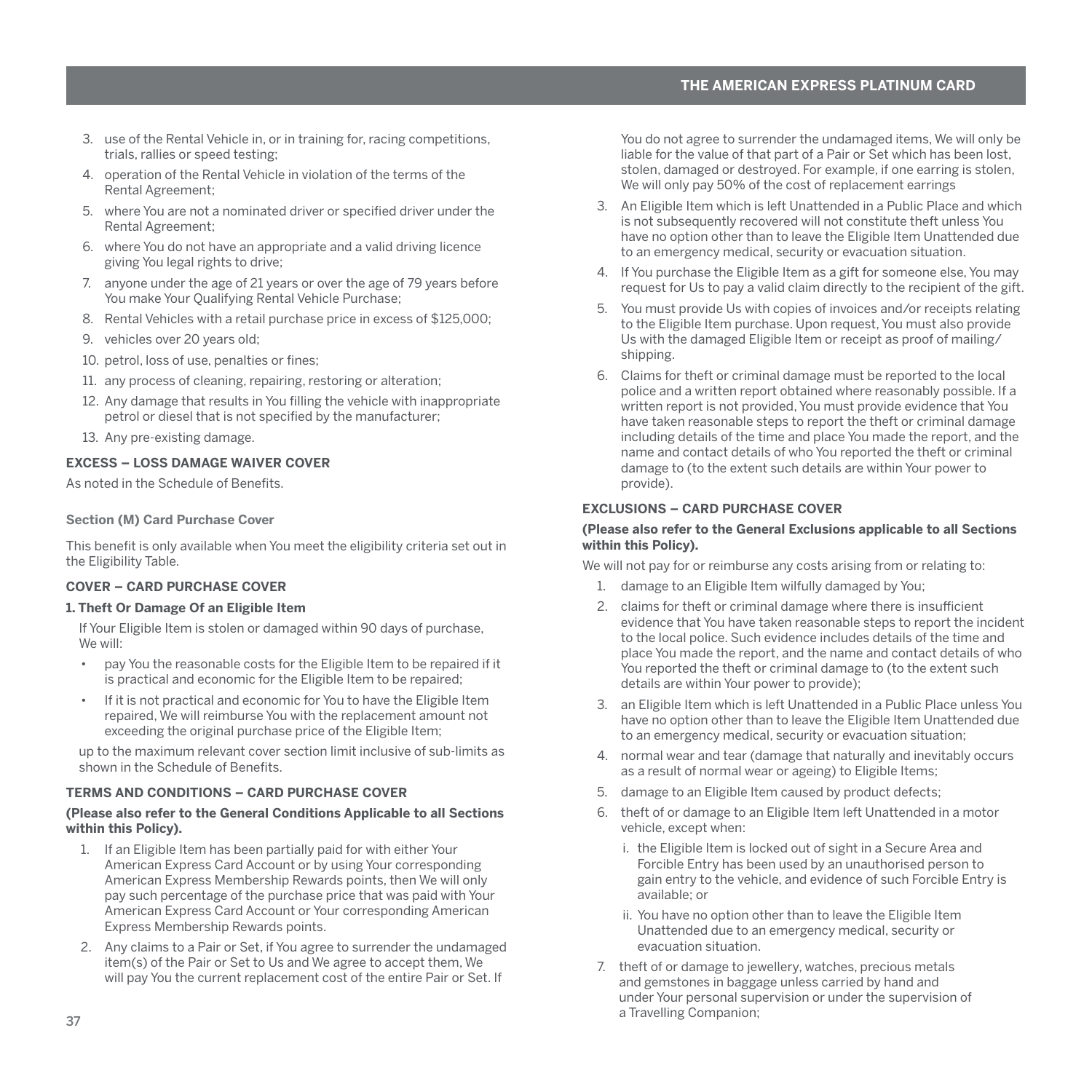- <span id="page-38-0"></span>3. use of the Rental Vehicle in, or in training for, racing competitions, trials, rallies or speed testing;
- 4. operation of the Rental Vehicle in violation of the terms of the Rental Agreement;
- 5. where You are not a nominated driver or specified driver under the Rental Agreement;
- 6. where You do not have an appropriate and a valid driving licence giving You legal rights to drive;
- 7. anyone under the age of 21 years or over the age of 79 years before You make Your Qualifying Rental Vehicle Purchase;
- 8. Rental Vehicles with a retail purchase price in excess of \$125,000;
- 9. vehicles over 20 years old;
- 10. petrol, loss of use, penalties or fines;
- 11. any process of cleaning, repairing, restoring or alteration;
- 12. Any damage that results in You filling the vehicle with inappropriate petrol or diesel that is not specified by the manufacturer;
- 13. Any pre-existing damage.

# **EXCESS – LOSS DAMAGE WAIVER COVER**

As noted in the Schedule of Benefits.

#### **Section (M) Card Purchase Cover**

This benefit is only available when You meet the eligibility criteria set out in the Eligibility Table.

#### **COVER – CARD PURCHASE COVER**

#### **1. Theft Or Damage Of an Eligible Item**

If Your Eligible Item is stolen or damaged within 90 days of purchase, We will:

- pay You the reasonable costs for the Eligible Item to be repaired if it is practical and economic for the Eligible Item to be repaired;
- If it is not practical and economic for You to have the Eligible Item repaired, We will reimburse You with the replacement amount not exceeding the original purchase price of the Eligible Item;

up to the maximum relevant cover section limit inclusive of sub-limits as shown in the Schedule of Benefits.

# **TERMS AND CONDITIONS – CARD PURCHASE COVER**

#### **(Please also refer to the General Conditions Applicable to all Sections within this Policy).**

- 1. If an Eligible Item has been partially paid for with either Your American Express Card Account or by using Your corresponding American Express Membership Rewards points, then We will only pay such percentage of the purchase price that was paid with Your American Express Card Account or Your corresponding American Express Membership Rewards points.
- 2. Any claims to a Pair or Set, if You agree to surrender the undamaged item(s) of the Pair or Set to Us and We agree to accept them, We will pay You the current replacement cost of the entire Pair or Set. If

You do not agree to surrender the undamaged items, We will only be liable for the value of that part of a Pair or Set which has been lost, stolen, damaged or destroyed. For example, if one earring is stolen, We will only pay 50% of the cost of replacement earrings

- 3. An Eligible Item which is left Unattended in a Public Place and which is not subsequently recovered will not constitute theft unless You have no option other than to leave the Eligible Item Unattended due to an emergency medical, security or evacuation situation.
- 4. If You purchase the Eligible Item as a gift for someone else, You may request for Us to pay a valid claim directly to the recipient of the gift.
- 5. You must provide Us with copies of invoices and/or receipts relating to the Eligible Item purchase. Upon request, You must also provide Us with the damaged Eligible Item or receipt as proof of mailing/ shipping.
- 6. Claims for theft or criminal damage must be reported to the local police and a written report obtained where reasonably possible. If a written report is not provided, You must provide evidence that You have taken reasonable steps to report the theft or criminal damage including details of the time and place You made the report, and the name and contact details of who You reported the theft or criminal damage to (to the extent such details are within Your power to provide).

# **EXCLUSIONS – CARD PURCHASE COVER**

#### **(Please also refer to the General Exclusions applicable to all Sections within this Policy).**

We will not pay for or reimburse any costs arising from or relating to:

- 1. damage to an Eligible Item wilfully damaged by You;
- 2. claims for theft or criminal damage where there is insufficient evidence that You have taken reasonable steps to report the incident to the local police. Such evidence includes details of the time and place You made the report, and the name and contact details of who You reported the theft or criminal damage to (to the extent such details are within Your power to provide);
- 3. an Eligible Item which is left Unattended in a Public Place unless You have no option other than to leave the Eligible Item Unattended due to an emergency medical, security or evacuation situation;
- 4. normal wear and tear (damage that naturally and inevitably occurs as a result of normal wear or ageing) to Eligible Items;
- 5. damage to an Eligible Item caused by product defects;
- 6. theft of or damage to an Eligible Item left Unattended in a motor vehicle, except when:
	- i. the Eligible Item is locked out of sight in a Secure Area and Forcible Entry has been used by an unauthorised person to gain entry to the vehicle, and evidence of such Forcible Entry is available; or
	- ii. You have no option other than to leave the Eligible Item Unattended due to an emergency medical, security or evacuation situation.
- 7. theft of or damage to jewellery, watches, precious metals and gemstones in baggage unless carried by hand and under Your personal supervision or under the supervision of a Travelling Companion;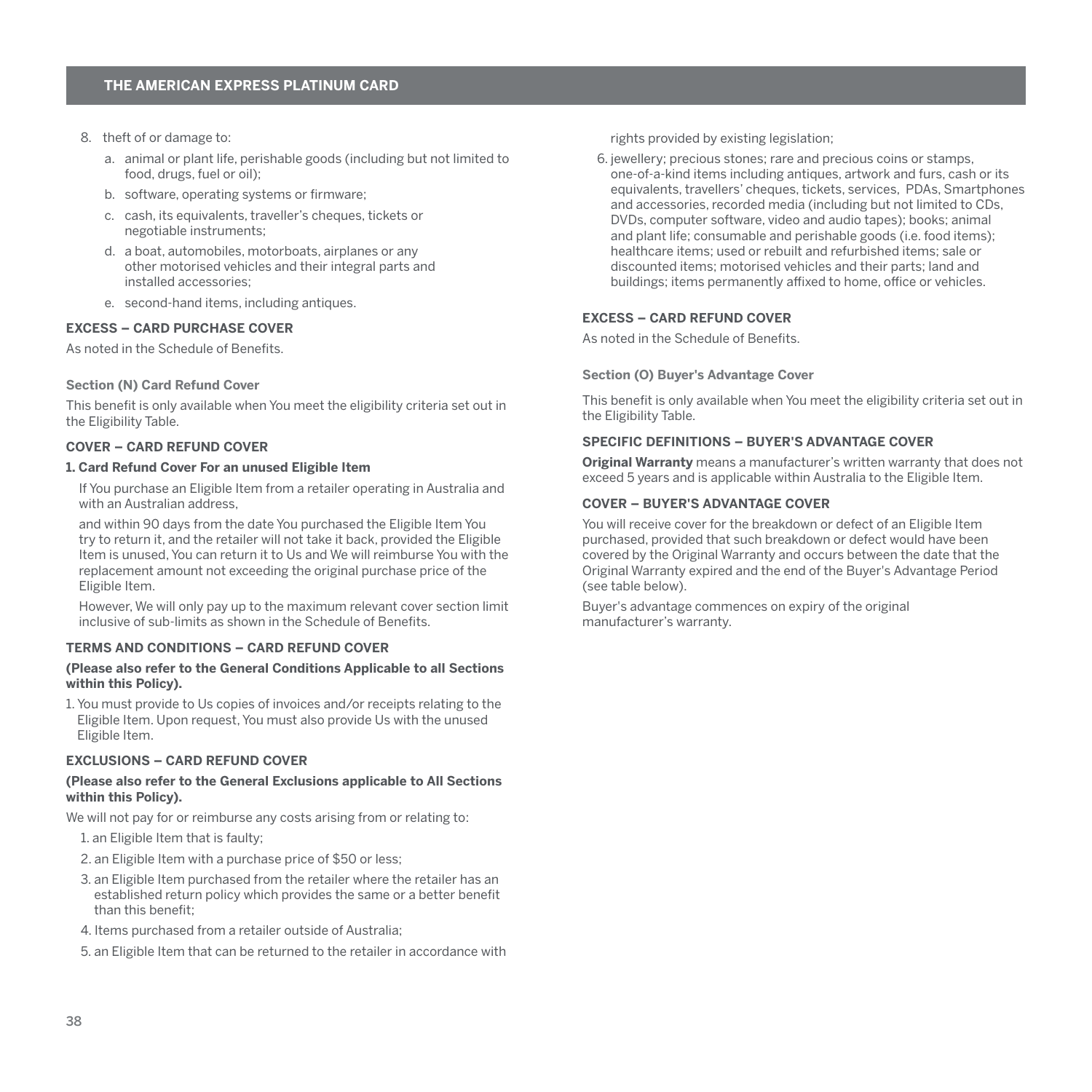- <span id="page-39-0"></span>8. theft of or damage to:
	- a. animal or plant life, perishable goods (including but not limited to food, drugs, fuel or oil);
	- b. software, operating systems or firmware;
	- c. cash, its equivalents, traveller's cheques, tickets or negotiable instruments;
	- d. a boat, automobiles, motorboats, airplanes or any other motorised vehicles and their integral parts and installed accessories;
	- e. second-hand items, including antiques.

#### **EXCESS – CARD PURCHASE COVER**

As noted in the Schedule of Benefits.

#### **Section (N) Card Refund Cover**

This benefit is only available when You meet the eligibility criteria set out in the Eligibility Table.

# **COVER – CARD REFUND COVER**

#### **1. Card Refund Cover For an unused Eligible Item**

If You purchase an Eligible Item from a retailer operating in Australia and with an Australian address,

and within 90 days from the date You purchased the Eligible Item You try to return it, and the retailer will not take it back, provided the Eligible Item is unused, You can return it to Us and We will reimburse You with the replacement amount not exceeding the original purchase price of the Eligible Item.

However, We will only pay up to the maximum relevant cover section limit inclusive of sub-limits as shown in the Schedule of Benefits.

# **TERMS AND CONDITIONS – CARD REFUND COVER**

#### **(Please also refer to the General Conditions Applicable to all Sections within this Policy).**

1. You must provide to Us copies of invoices and/or receipts relating to the Eligible Item. Upon request, You must also provide Us with the unused Eligible Item.

#### **EXCLUSIONS – CARD REFUND COVER**

#### **(Please also refer to the General Exclusions applicable to All Sections within this Policy).**

We will not pay for or reimburse any costs arising from or relating to:

- 1. an Eligible Item that is faulty;
- 2. an Eligible Item with a purchase price of \$50 or less;
- 3. an Eligible Item purchased from the retailer where the retailer has an established return policy which provides the same or a better benefit than this benefit;
- 4. Items purchased from a retailer outside of Australia;
- 5. an Eligible Item that can be returned to the retailer in accordance with

rights provided by existing legislation;

6. jewellery; precious stones; rare and precious coins or stamps, one-of-a-kind items including antiques, artwork and furs, cash or its equivalents, travellers' cheques, tickets, services, PDAs, Smartphones and accessories, recorded media (including but not limited to CDs) DVDs, computer software, video and audio tapes); books; animal and plant life; consumable and perishable goods (i.e. food items); healthcare items; used or rebuilt and refurbished items; sale or discounted items; motorised vehicles and their parts; land and buildings; items permanently affixed to home, office or vehicles.

## **EXCESS – CARD REFUND COVER**

As noted in the Schedule of Benefits.

#### **Section (O) Buyer's Advantage Cover**

This benefit is only available when You meet the eligibility criteria set out in the Eligibility Table.

# **SPECIFIC DEFINITIONS – BUYER'S ADVANTAGE COVER**

**Original Warranty** means a manufacturer's written warranty that does not exceed 5 years and is applicable within Australia to the Eligible Item.

# **COVER – BUYER'S ADVANTAGE COVER**

You will receive cover for the breakdown or defect of an Eligible Item purchased, provided that such breakdown or defect would have been covered by the Original Warranty and occurs between the date that the Original Warranty expired and the end of the Buyer's Advantage Period (see table below).

Buyer's advantage commences on expiry of the original manufacturer's warranty.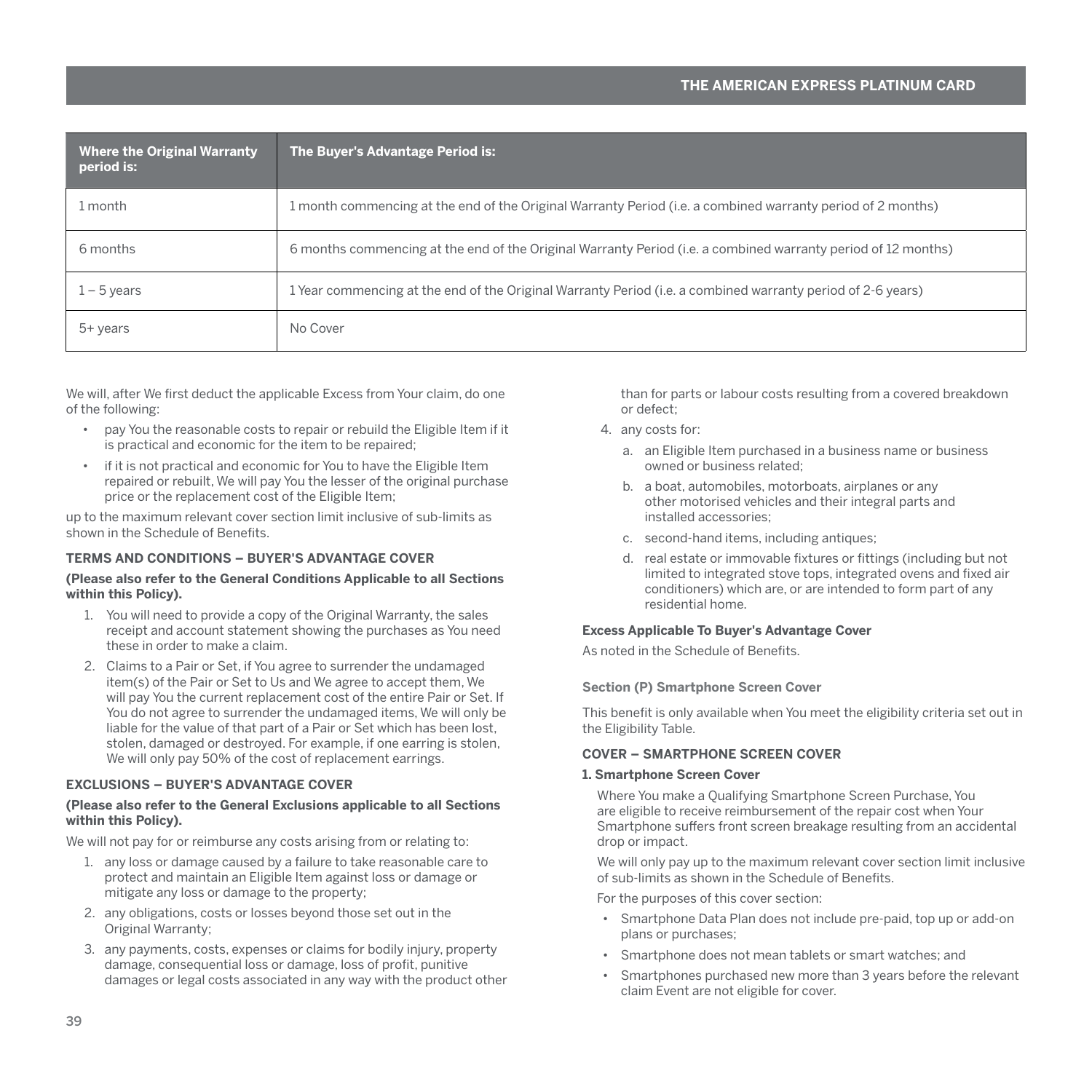<span id="page-40-0"></span>

| <b>Where the Original Warranty</b><br>period is: | The Buyer's Advantage Period is:                                                                              |
|--------------------------------------------------|---------------------------------------------------------------------------------------------------------------|
| 1 month                                          | 1 month commencing at the end of the Original Warranty Period (i.e. a combined warranty period of 2 months)   |
| 6 months                                         | 6 months commencing at the end of the Original Warranty Period (i.e. a combined warranty period of 12 months) |
| $1 - 5$ years                                    | 1 Year commencing at the end of the Original Warranty Period (i.e. a combined warranty period of 2-6 years)   |
| $5+$ years                                       | No Cover                                                                                                      |

We will, after We first deduct the applicable Excess from Your claim, do one of the following:

- pay You the reasonable costs to repair or rebuild the Eligible Item if it is practical and economic for the item to be repaired;
- if it is not practical and economic for You to have the Eligible Item repaired or rebuilt, We will pay You the lesser of the original purchase price or the replacement cost of the Eligible Item;

up to the maximum relevant cover section limit inclusive of sub-limits as shown in the Schedule of Benefits.

# **TERMS AND CONDITIONS – BUYER'S ADVANTAGE COVER**

#### **(Please also refer to the General Conditions Applicable to all Sections within this Policy).**

- 1. You will need to provide a copy of the Original Warranty, the sales receipt and account statement showing the purchases as You need these in order to make a claim.
- 2. Claims to a Pair or Set, if You agree to surrender the undamaged item(s) of the Pair or Set to Us and We agree to accept them, We will pay You the current replacement cost of the entire Pair or Set. If You do not agree to surrender the undamaged items, We will only be liable for the value of that part of a Pair or Set which has been lost, stolen, damaged or destroyed. For example, if one earring is stolen, We will only pay 50% of the cost of replacement earrings.

# **EXCLUSIONS – BUYER'S ADVANTAGE COVER**

#### **(Please also refer to the General Exclusions applicable to all Sections within this Policy).**

We will not pay for or reimburse any costs arising from or relating to:

- 1. any loss or damage caused by a failure to take reasonable care to protect and maintain an Eligible Item against loss or damage or mitigate any loss or damage to the property;
- 2. any obligations, costs or losses beyond those set out in the Original Warranty;
- 3. any payments, costs, expenses or claims for bodily injury, property damage, consequential loss or damage, loss of profit, punitive damages or legal costs associated in any way with the product other

than for parts or labour costs resulting from a covered breakdown or defect;

- 4. any costs for:
	- a. an Eligible Item purchased in a business name or business owned or business related;
	- b. a boat, automobiles, motorboats, airplanes or any other motorised vehicles and their integral parts and installed accessories;
	- c. second-hand items, including antiques;
	- d. real estate or immovable fixtures or fittings (including but not limited to integrated stove tops, integrated ovens and fixed air conditioners) which are, or are intended to form part of any residential home.

#### **Excess Applicable To Buyer's Advantage Cover**

As noted in the Schedule of Benefits.

#### **Section (P) Smartphone Screen Cover**

This benefit is only available when You meet the eligibility criteria set out in the Eligibility Table.

# **COVER – SMARTPHONE SCREEN COVER**

#### **1. Smartphone Screen Cover**

Where You make a Qualifying Smartphone Screen Purchase, You are eligible to receive reimbursement of the repair cost when Your Smartphone suffers front screen breakage resulting from an accidental drop or impact.

We will only pay up to the maximum relevant cover section limit inclusive of sub-limits as shown in the Schedule of Benefits.

For the purposes of this cover section:

- Smartphone Data Plan does not include pre-paid, top up or add-on plans or purchases;
- Smartphone does not mean tablets or smart watches; and
- Smartphones purchased new more than 3 years before the relevant claim Event are not eligible for cover.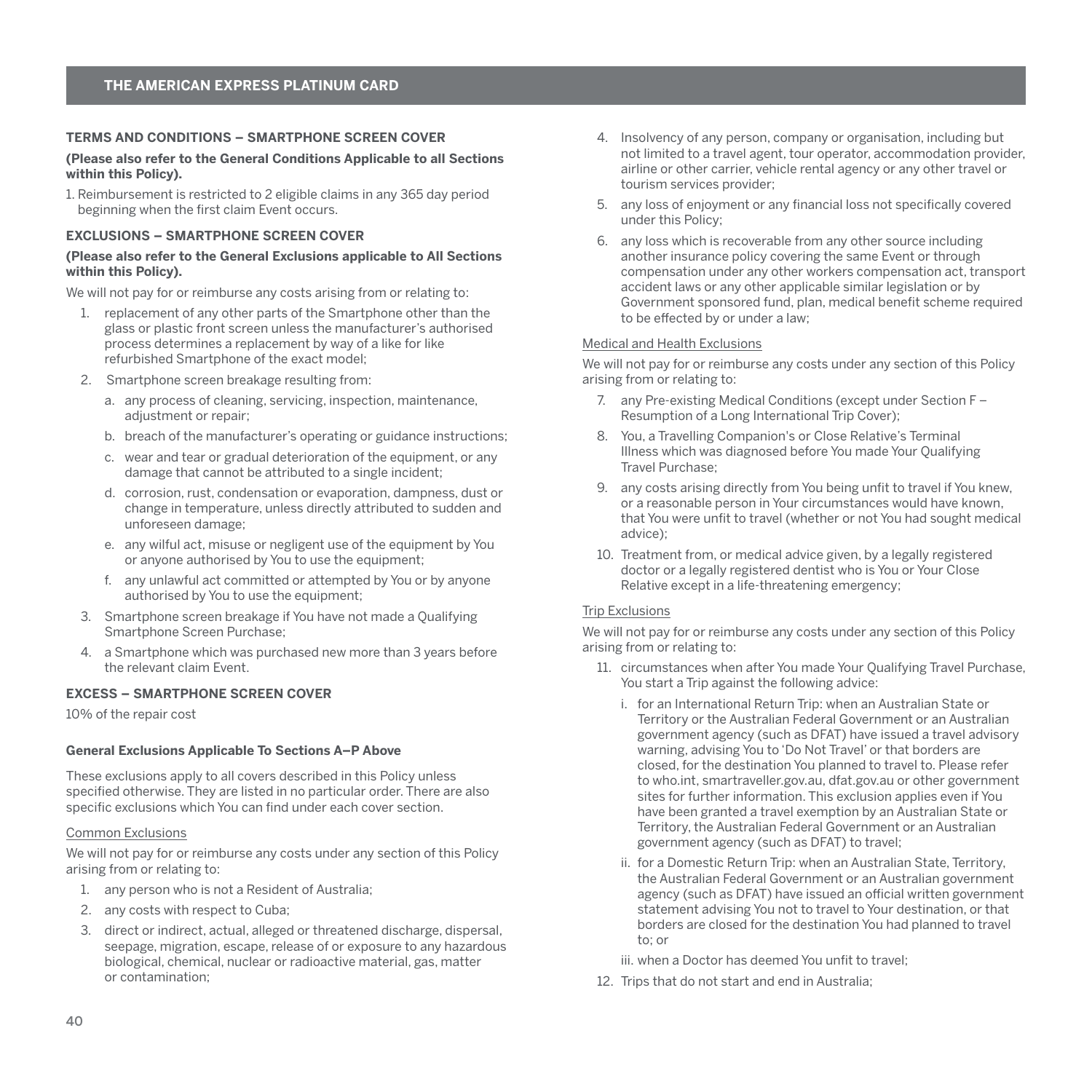#### <span id="page-41-0"></span>**TERMS AND CONDITIONS – SMARTPHONE SCREEN COVER**

#### **(Please also refer to the General Conditions Applicable to all Sections within this Policy).**

1. Reimbursement is restricted to 2 eligible claims in any 365 day period beginning when the first claim Event occurs.

#### **EXCLUSIONS – SMARTPHONE SCREEN COVER**

#### **(Please also refer to the General Exclusions applicable to All Sections within this Policy).**

We will not pay for or reimburse any costs arising from or relating to:

- 1. replacement of any other parts of the Smartphone other than the glass or plastic front screen unless the manufacturer's authorised process determines a replacement by way of a like for like refurbished Smartphone of the exact model;
- 2. Smartphone screen breakage resulting from:
	- a. any process of cleaning, servicing, inspection, maintenance, adjustment or repair;
	- b. breach of the manufacturer's operating or guidance instructions;
	- c. wear and tear or gradual deterioration of the equipment, or any damage that cannot be attributed to a single incident;
	- d. corrosion, rust, condensation or evaporation, dampness, dust or change in temperature, unless directly attributed to sudden and unforeseen damage;
	- e. any wilful act, misuse or negligent use of the equipment by You or anyone authorised by You to use the equipment;
	- f. any unlawful act committed or attempted by You or by anyone authorised by You to use the equipment;
- 3. Smartphone screen breakage if You have not made a Qualifying Smartphone Screen Purchase;
- 4. a Smartphone which was purchased new more than 3 years before the relevant claim Event.

# **EXCESS – SMARTPHONE SCREEN COVER**

10% of the repair cost

#### **General Exclusions Applicable To Sections A–P Above**

These exclusions apply to all covers described in this Policy unless specified otherwise. They are listed in no particular order. There are also specific exclusions which You can find under each cover section.

#### Common Exclusions

We will not pay for or reimburse any costs under any section of this Policy arising from or relating to:

- 1. any person who is not a Resident of Australia;
- 2. any costs with respect to Cuba;
- 3. direct or indirect, actual, alleged or threatened discharge, dispersal, seepage, migration, escape, release of or exposure to any hazardous biological, chemical, nuclear or radioactive material, gas, matter or contamination;
- 4. Insolvency of any person, company or organisation, including but not limited to a travel agent, tour operator, accommodation provider, airline or other carrier, vehicle rental agency or any other travel or tourism services provider;
- 5. any loss of enjoyment or any financial loss not specifically covered under this Policy;
- 6. any loss which is recoverable from any other source including another insurance policy covering the same Event or through compensation under any other workers compensation act, transport accident laws or any other applicable similar legislation or by Government sponsored fund, plan, medical benefit scheme required to be effected by or under a law;

# Medical and Health Exclusions

We will not pay for or reimburse any costs under any section of this Policy arising from or relating to:

- 7. any Pre-existing Medical Conditions (except under Section F Resumption of a Long International Trip Cover);
- 8. You, a Travelling Companion's or Close Relative's Terminal Illness which was diagnosed before You made Your Qualifying Travel Purchase;
- 9. any costs arising directly from You being unfit to travel if You knew, or a reasonable person in Your circumstances would have known, that You were unfit to travel (whether or not You had sought medical advice);
- 10. Treatment from, or medical advice given, by a legally registered doctor or a legally registered dentist who is You or Your Close Relative except in a life-threatening emergency;

## Trip Exclusions

We will not pay for or reimburse any costs under any section of this Policy arising from or relating to:

- 11. circumstances when after You made Your Qualifying Travel Purchase, You start a Trip against the following advice:
	- i. for an International Return Trip: when an Australian State or Territory or the Australian Federal Government or an Australian government agency (such as DFAT) have issued a travel advisory warning, advising You to 'Do Not Travel' or that borders are closed, for the destination You planned to travel to. Please refer to who.int, smartraveller.gov.au, dfat.gov.au or other government sites for further information. This exclusion applies even if You have been granted a travel exemption by an Australian State or Territory, the Australian Federal Government or an Australian government agency (such as DFAT) to travel;
	- ii. for a Domestic Return Trip: when an Australian State, Territory, the Australian Federal Government or an Australian government agency (such as DFAT) have issued an official written government statement advising You not to travel to Your destination, or that borders are closed for the destination You had planned to travel to; or
	- iii. when a Doctor has deemed You unfit to travel;
- 12. Trips that do not start and end in Australia;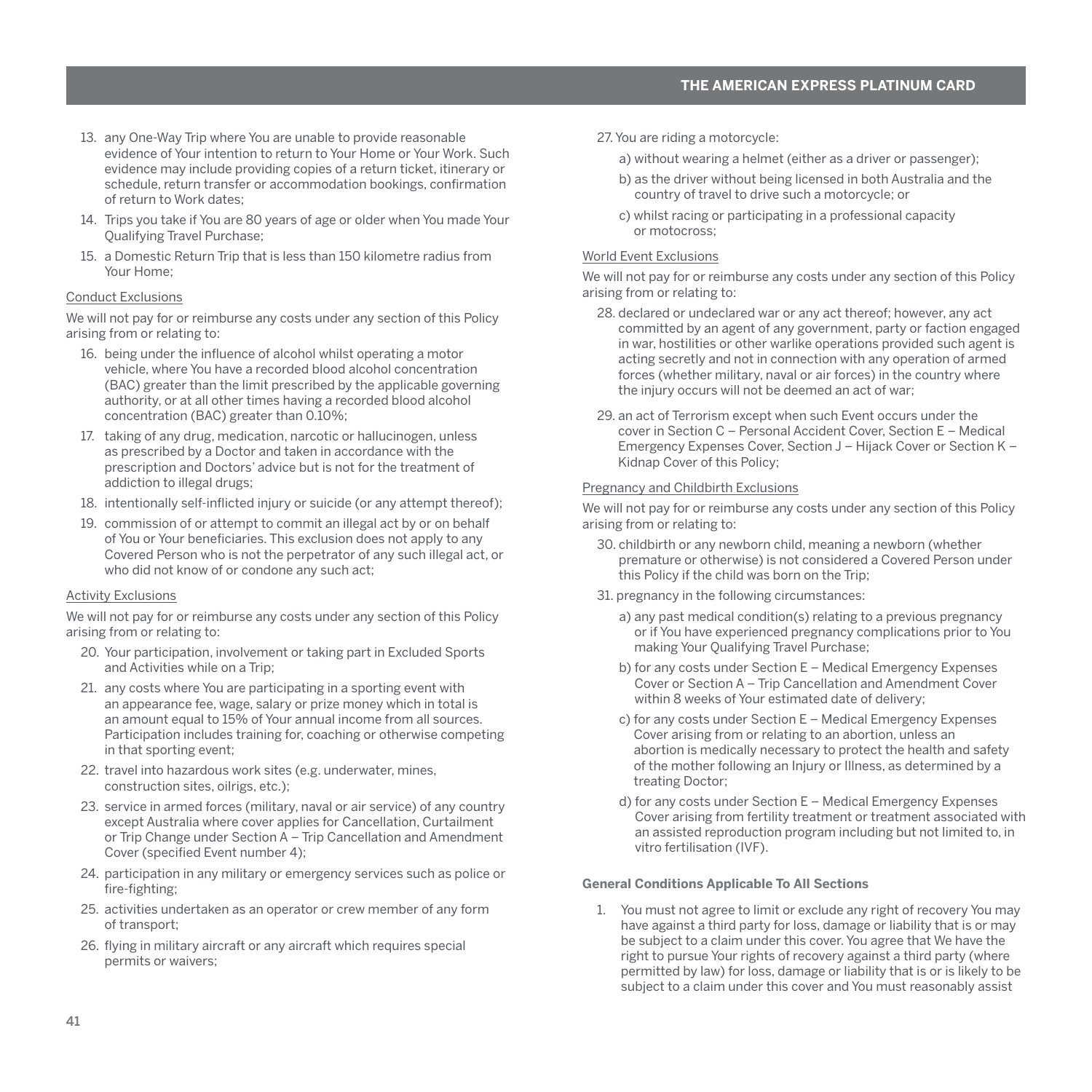- <span id="page-42-0"></span>13. any One-Way Trip where You are unable to provide reasonable evidence of Your intention to return to Your Home or Your Work. Such evidence may include providing copies of a return ticket, itinerary or schedule, return transfer or accommodation bookings, confirmation of return to Work dates;
- 14. Trips you take if You are 80 years of age or older when You made Your Qualifying Travel Purchase;
- 15. a Domestic Return Trip that is less than 150 kilometre radius from Your Home;

#### Conduct Exclusions

We will not pay for or reimburse any costs under any section of this Policy arising from or relating to:

- 16. being under the influence of alcohol whilst operating a motor vehicle, where You have a recorded blood alcohol concentration (BAC) greater than the limit prescribed by the applicable governing authority, or at all other times having a recorded blood alcohol concentration (BAC) greater than 0.10%;
- 17. taking of any drug, medication, narcotic or hallucinogen, unless as prescribed by a Doctor and taken in accordance with the prescription and Doctors' advice but is not for the treatment of addiction to illegal drugs;
- 18. intentionally self-inflicted injury or suicide (or any attempt thereof);
- 19. commission of or attempt to commit an illegal act by or on behalf of You or Your beneficiaries. This exclusion does not apply to any Covered Person who is not the perpetrator of any such illegal act, or who did not know of or condone any such act;

# Activity Exclusions

We will not pay for or reimburse any costs under any section of this Policy arising from or relating to:

- 20. Your participation, involvement or taking part in Excluded Sports and Activities while on a Trip;
- 21. any costs where You are participating in a sporting event with an appearance fee, wage, salary or prize money which in total is an amount equal to 15% of Your annual income from all sources. Participation includes training for, coaching or otherwise competing in that sporting event;
- 22. travel into hazardous work sites (e.g. underwater, mines, construction sites, oilrigs, etc.);
- 23. service in armed forces (military, naval or air service) of any country except Australia where cover applies for Cancellation, Curtailment or Trip Change under Section A – Trip Cancellation and Amendment Cover (specified Event number 4);
- 24. participation in any military or emergency services such as police or fire-fighting;
- 25. activities undertaken as an operator or crew member of any form of transport;
- 26. flying in military aircraft or any aircraft which requires special permits or waivers;
- 27. You are riding a motorcycle:
	- a) without wearing a helmet (either as a driver or passenger);
	- b) as the driver without being licensed in both Australia and the country of travel to drive such a motorcycle; or
	- c) whilst racing or participating in a professional capacity or motocross;

#### World Event Exclusions

We will not pay for or reimburse any costs under any section of this Policy arising from or relating to:

- 28. declared or undeclared war or any act thereof; however, any act committed by an agent of any government, party or faction engaged in war, hostilities or other warlike operations provided such agent is acting secretly and not in connection with any operation of armed forces (whether military, naval or air forces) in the country where the injury occurs will not be deemed an act of war;
- 29. an act of Terrorism except when such Event occurs under the cover in Section C – Personal Accident Cover, Section E – Medical Emergency Expenses Cover, Section J – Hijack Cover or Section K – Kidnap Cover of this Policy;

#### Pregnancy and Childbirth Exclusions

We will not pay for or reimburse any costs under any section of this Policy arising from or relating to:

- 30. childbirth or any newborn child, meaning a newborn (whether premature or otherwise) is not considered a Covered Person under this Policy if the child was born on the Trip;
- 31. pregnancy in the following circumstances:
	- a) any past medical condition(s) relating to a previous pregnancy or if You have experienced pregnancy complications prior to You making Your Qualifying Travel Purchase;
	- b) for any costs under Section E Medical Emergency Expenses Cover or Section A – Trip Cancellation and Amendment Cover within 8 weeks of Your estimated date of delivery;
	- c) for any costs under Section E Medical Emergency Expenses Cover arising from or relating to an abortion, unless an abortion is medically necessary to protect the health and safety of the mother following an Injury or Illness, as determined by a treating Doctor;
	- d) for any costs under Section E Medical Emergency Expenses Cover arising from fertility treatment or treatment associated with an assisted reproduction program including but not limited to, in vitro fertilisation (IVF).

#### **General Conditions Applicable To All Sections**

1. You must not agree to limit or exclude any right of recovery You may have against a third party for loss, damage or liability that is or may be subject to a claim under this cover. You agree that We have the right to pursue Your rights of recovery against a third party (where permitted by law) for loss, damage or liability that is or is likely to be subject to a claim under this cover and You must reasonably assist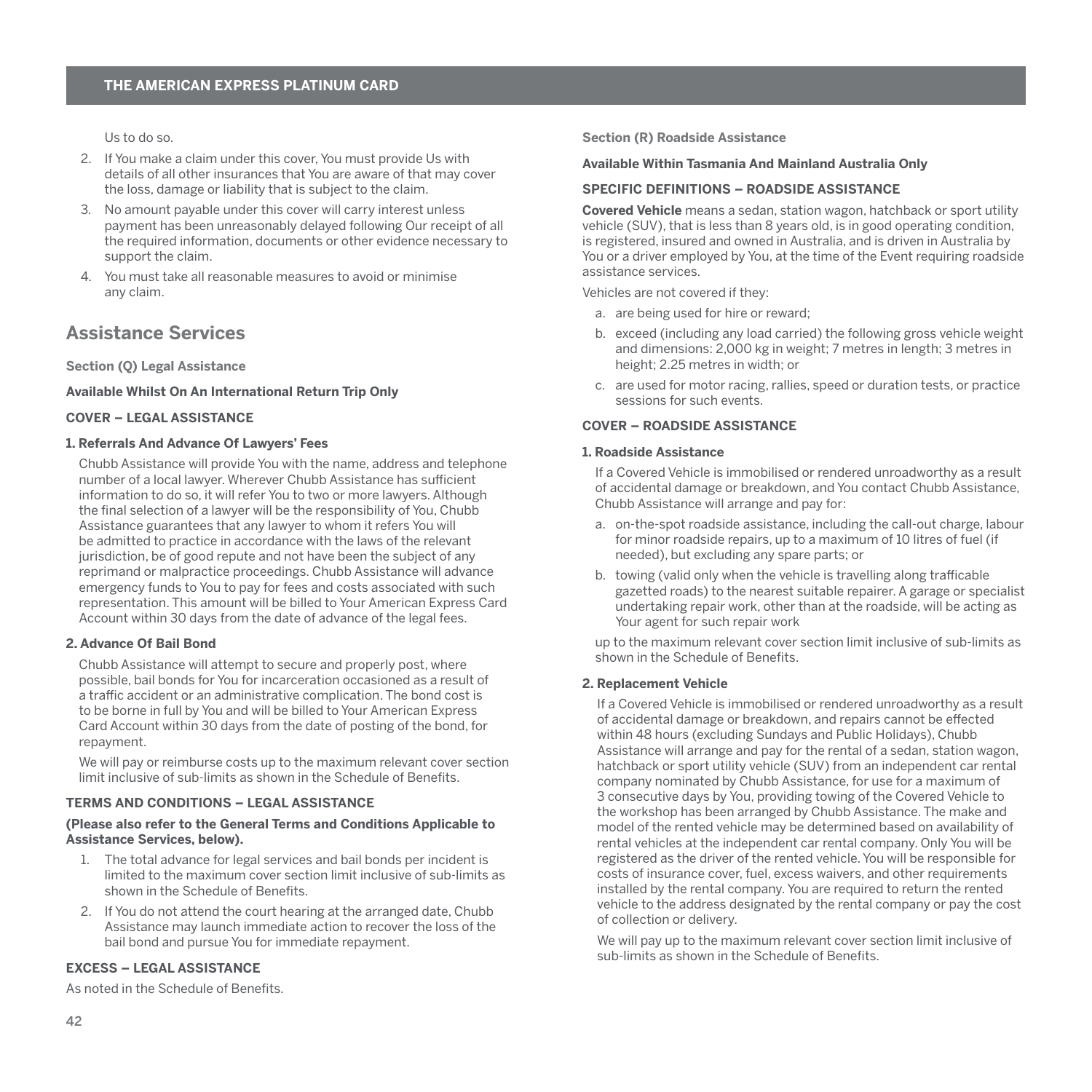<span id="page-43-0"></span>Us to do so.

- 2. If You make a claim under this cover, You must provide Us with details of all other insurances that You are aware of that may cover the loss, damage or liability that is subject to the claim.
- 3. No amount payable under this cover will carry interest unless payment has been unreasonably delayed following Our receipt of all the required information, documents or other evidence necessary to support the claim.
- 4. You must take all reasonable measures to avoid or minimise any claim.

# **Assistance Services**

**Section (Q) Legal Assistance** 

**Available Whilst On An International Return Trip Only**

#### **COVER – LEGAL ASSISTANCE**

#### **1. Referrals And Advance Of Lawyers' Fees**

Chubb Assistance will provide You with the name, address and telephone number of a local lawyer. Wherever Chubb Assistance has sufficient information to do so, it will refer You to two or more lawyers. Although the final selection of a lawyer will be the responsibility of You, Chubb Assistance guarantees that any lawyer to whom it refers You will be admitted to practice in accordance with the laws of the relevant jurisdiction, be of good repute and not have been the subject of any reprimand or malpractice proceedings. Chubb Assistance will advance emergency funds to You to pay for fees and costs associated with such representation. This amount will be billed to Your American Express Card Account within 30 days from the date of advance of the legal fees.

#### **2. Advance Of Bail Bond**

Chubb Assistance will attempt to secure and properly post, where possible, bail bonds for You for incarceration occasioned as a result of a traffic accident or an administrative complication. The bond cost is to be borne in full by You and will be billed to Your American Express Card Account within 30 days from the date of posting of the bond, for repayment.

We will pay or reimburse costs up to the maximum relevant cover section limit inclusive of sub-limits as shown in the Schedule of Benefits.

# **TERMS AND CONDITIONS – LEGAL ASSISTANCE**

#### **(Please also refer to the General Terms and Conditions Applicable to Assistance Services, below).**

- 1. The total advance for legal services and bail bonds per incident is limited to the maximum cover section limit inclusive of sub-limits as shown in the Schedule of Benefits.
- 2. If You do not attend the court hearing at the arranged date, Chubb Assistance may launch immediate action to recover the loss of the bail bond and pursue You for immediate repayment.

#### **EXCESS – LEGAL ASSISTANCE**

As noted in the Schedule of Benefits.

**Section (R) Roadside Assistance** 

#### **Available Within Tasmania And Mainland Australia Only**

#### **SPECIFIC DEFINITIONS – ROADSIDE ASSISTANCE**

**Covered Vehicle** means a sedan, station wagon, hatchback or sport utility vehicle (SUV), that is less than 8 years old, is in good operating condition, is registered, insured and owned in Australia, and is driven in Australia by You or a driver employed by You, at the time of the Event requiring roadside assistance services.

Vehicles are not covered if they:

- a. are being used for hire or reward;
- b. exceed (including any load carried) the following gross vehicle weight and dimensions: 2,000 kg in weight; 7 metres in length; 3 metres in height; 2.25 metres in width; or
- c. are used for motor racing, rallies, speed or duration tests, or practice sessions for such events.

#### **COVER – ROADSIDE ASSISTANCE**

#### **1. Roadside Assistance**

If a Covered Vehicle is immobilised or rendered unroadworthy as a result of accidental damage or breakdown, and You contact Chubb Assistance, Chubb Assistance will arrange and pay for:

- a. on-the-spot roadside assistance, including the call-out charge, labour for minor roadside repairs, up to a maximum of 10 litres of fuel (if needed), but excluding any spare parts; or
- b. towing (valid only when the vehicle is travelling along trafficable gazetted roads) to the nearest suitable repairer. A garage or specialist undertaking repair work, other than at the roadside, will be acting as Your agent for such repair work

up to the maximum relevant cover section limit inclusive of sub-limits as shown in the Schedule of Benefits.

#### **2. Replacement Vehicle**

If a Covered Vehicle is immobilised or rendered unroadworthy as a result of accidental damage or breakdown, and repairs cannot be effected within 48 hours (excluding Sundays and Public Holidays), Chubb Assistance will arrange and pay for the rental of a sedan, station wagon, hatchback or sport utility vehicle (SUV) from an independent car rental company nominated by Chubb Assistance, for use for a maximum of 3 consecutive days by You, providing towing of the Covered Vehicle to the workshop has been arranged by Chubb Assistance. The make and model of the rented vehicle may be determined based on availability of rental vehicles at the independent car rental company. Only You will be registered as the driver of the rented vehicle. You will be responsible for costs of insurance cover, fuel, excess waivers, and other requirements installed by the rental company. You are required to return the rented vehicle to the address designated by the rental company or pay the cost of collection or delivery.

We will pay up to the maximum relevant cover section limit inclusive of sub-limits as shown in the Schedule of Benefits.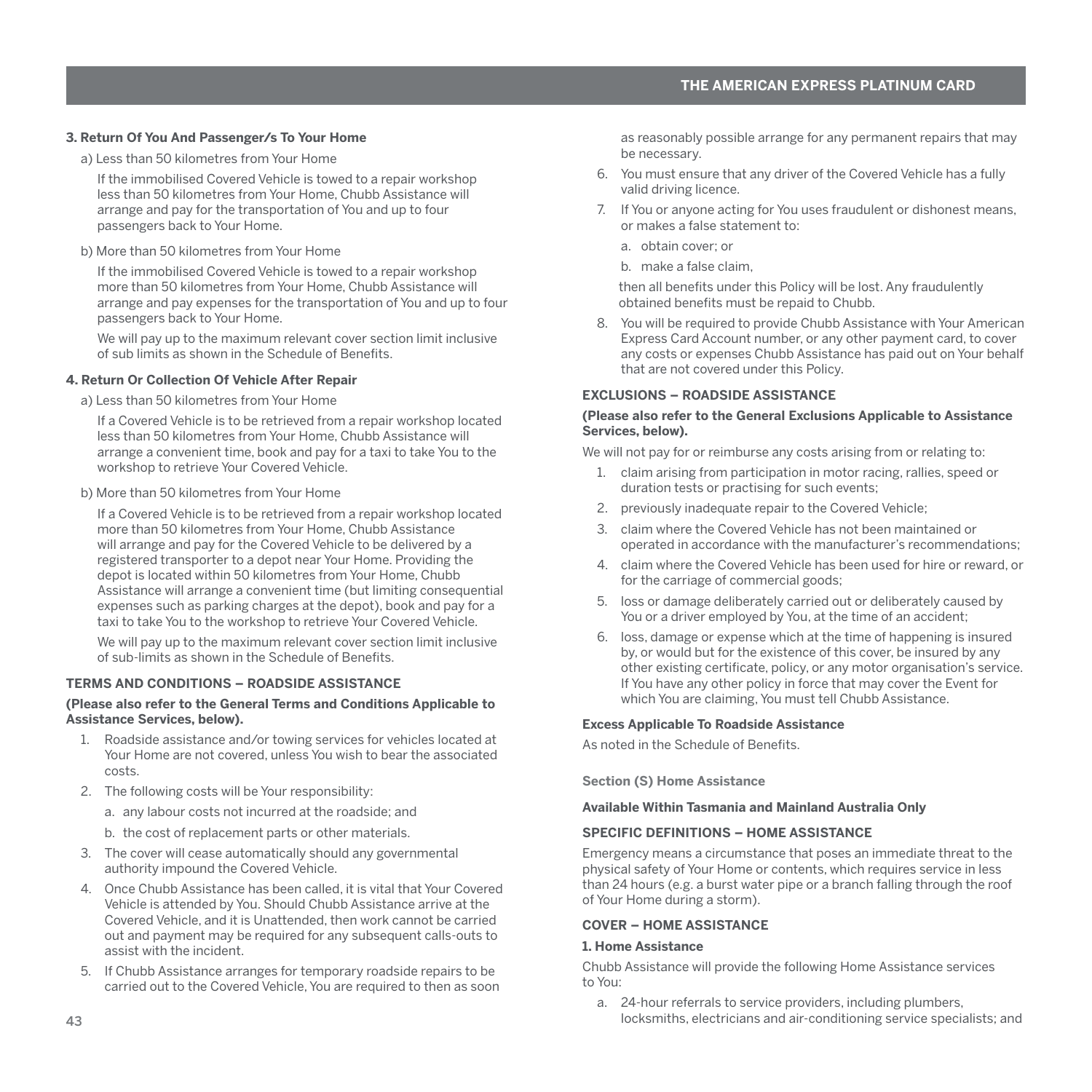#### <span id="page-44-0"></span>**3. Return Of You And Passenger/s To Your Home**

a) Less than 50 kilometres from Your Home

If the immobilised Covered Vehicle is towed to a repair workshop less than 50 kilometres from Your Home, Chubb Assistance will arrange and pay for the transportation of You and up to four passengers back to Your Home.

b) More than 50 kilometres from Your Home

If the immobilised Covered Vehicle is towed to a repair workshop more than 50 kilometres from Your Home, Chubb Assistance will arrange and pay expenses for the transportation of You and up to four passengers back to Your Home.

We will pay up to the maximum relevant cover section limit inclusive of sub limits as shown in the Schedule of Benefits.

# **4. Return Or Collection Of Vehicle After Repair**

a) Less than 50 kilometres from Your Home

If a Covered Vehicle is to be retrieved from a repair workshop located less than 50 kilometres from Your Home, Chubb Assistance will arrange a convenient time, book and pay for a taxi to take You to the workshop to retrieve Your Covered Vehicle.

## b) More than 50 kilometres from Your Home

If a Covered Vehicle is to be retrieved from a repair workshop located more than 50 kilometres from Your Home, Chubb Assistance will arrange and pay for the Covered Vehicle to be delivered by a registered transporter to a depot near Your Home. Providing the depot is located within 50 kilometres from Your Home, Chubb Assistance will arrange a convenient time (but limiting consequential expenses such as parking charges at the depot), book and pay for a taxi to take You to the workshop to retrieve Your Covered Vehicle.

We will pay up to the maximum relevant cover section limit inclusive of sub-limits as shown in the Schedule of Benefits.

#### **TERMS AND CONDITIONS – ROADSIDE ASSISTANCE**

#### **(Please also refer to the General Terms and Conditions Applicable to Assistance Services, below).**

- 1. Roadside assistance and/or towing services for vehicles located at Your Home are not covered, unless You wish to bear the associated costs.
- 2. The following costs will be Your responsibility:
	- a. any labour costs not incurred at the roadside; and
	- b. the cost of replacement parts or other materials.
- 3. The cover will cease automatically should any governmental authority impound the Covered Vehicle.
- 4. Once Chubb Assistance has been called, it is vital that Your Covered Vehicle is attended by You. Should Chubb Assistance arrive at the Covered Vehicle, and it is Unattended, then work cannot be carried out and payment may be required for any subsequent calls-outs to assist with the incident.
- 5. If Chubb Assistance arranges for temporary roadside repairs to be carried out to the Covered Vehicle, You are required to then as soon

as reasonably possible arrange for any permanent repairs that may be necessary.

- 6. You must ensure that any driver of the Covered Vehicle has a fully valid driving licence.
- 7. If You or anyone acting for You uses fraudulent or dishonest means, or makes a false statement to:
	- a. obtain cover; or
	- b. make a false claim,

then all benefits under this Policy will be lost. Any fraudulently obtained benefits must be repaid to Chubb.

8. You will be required to provide Chubb Assistance with Your American Express Card Account number, or any other payment card, to cover any costs or expenses Chubb Assistance has paid out on Your behalf that are not covered under this Policy.

# **EXCLUSIONS – ROADSIDE ASSISTANCE**

#### **(Please also refer to the General Exclusions Applicable to Assistance Services, below).**

We will not pay for or reimburse any costs arising from or relating to:

- 1. claim arising from participation in motor racing, rallies, speed or duration tests or practising for such events;
- 2. previously inadequate repair to the Covered Vehicle:
- 3. claim where the Covered Vehicle has not been maintained or operated in accordance with the manufacturer's recommendations;
- 4. claim where the Covered Vehicle has been used for hire or reward, or for the carriage of commercial goods;
- 5. loss or damage deliberately carried out or deliberately caused by You or a driver employed by You, at the time of an accident;
- 6. loss, damage or expense which at the time of happening is insured by, or would but for the existence of this cover, be insured by any other existing certificate, policy, or any motor organisation's service. If You have any other policy in force that may cover the Event for which You are claiming, You must tell Chubb Assistance.

#### **Excess Applicable To Roadside Assistance**

As noted in the Schedule of Benefits.

**Section (S) Home Assistance** 

#### **Available Within Tasmania and Mainland Australia Only**

#### **SPECIFIC DEFINITIONS – HOME ASSISTANCE**

Emergency means a circumstance that poses an immediate threat to the physical safety of Your Home or contents, which requires service in less than 24 hours (e.g. a burst water pipe or a branch falling through the roof of Your Home during a storm).

# **COVER – HOME ASSISTANCE**

#### **1. Home Assistance**

Chubb Assistance will provide the following Home Assistance services to You:

a. 24-hour referrals to service providers, including plumbers, locksmiths, electricians and air-conditioning service specialists; and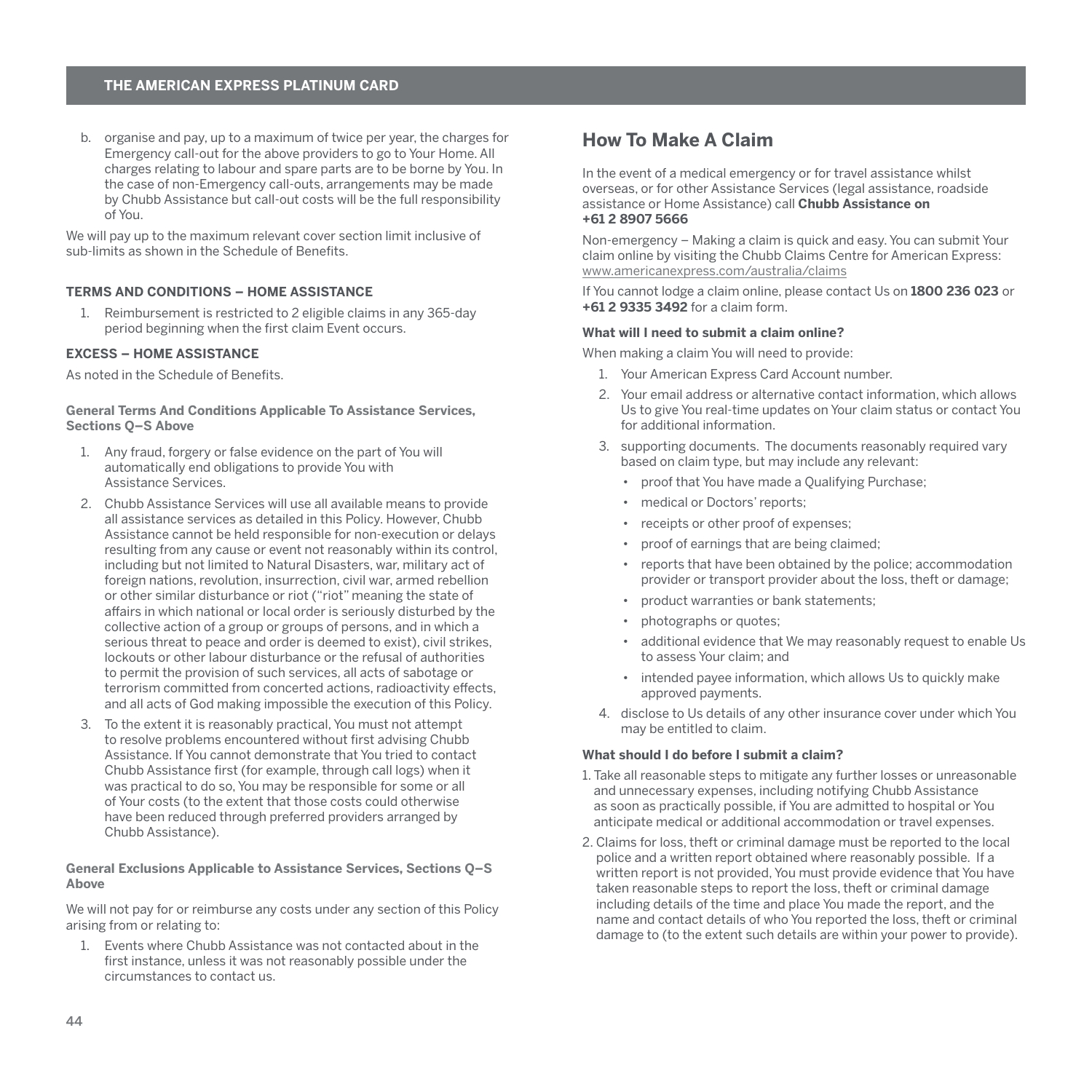<span id="page-45-0"></span>b. organise and pay, up to a maximum of twice per year, the charges for Emergency call-out for the above providers to go to Your Home. All charges relating to labour and spare parts are to be borne by You. In the case of non-Emergency call-outs, arrangements may be made by Chubb Assistance but call-out costs will be the full responsibility of You.

We will pay up to the maximum relevant cover section limit inclusive of sub-limits as shown in the Schedule of Benefits.

# **TERMS AND CONDITIONS – HOME ASSISTANCE**

1. Reimbursement is restricted to 2 eligible claims in any 365-day period beginning when the first claim Event occurs.

#### **EXCESS – HOME ASSISTANCE**

As noted in the Schedule of Benefits.

#### **General Terms And Conditions Applicable To Assistance Services, Sections Q–S Above**

- 1. Any fraud, forgery or false evidence on the part of You will automatically end obligations to provide You with Assistance Services.
- 2. Chubb Assistance Services will use all available means to provide all assistance services as detailed in this Policy. However, Chubb Assistance cannot be held responsible for non-execution or delays resulting from any cause or event not reasonably within its control, including but not limited to Natural Disasters, war, military act of foreign nations, revolution, insurrection, civil war, armed rebellion or other similar disturbance or riot ("riot" meaning the state of affairs in which national or local order is seriously disturbed by the collective action of a group or groups of persons, and in which a serious threat to peace and order is deemed to exist), civil strikes lockouts or other labour disturbance or the refusal of authorities to permit the provision of such services, all acts of sabotage or terrorism committed from concerted actions, radioactivity effects, and all acts of God making impossible the execution of this Policy.
- 3. To the extent it is reasonably practical, You must not attempt to resolve problems encountered without first advising Chubb Assistance. If You cannot demonstrate that You tried to contact Chubb Assistance first (for example, through call logs) when it was practical to do so, You may be responsible for some or all of Your costs (to the extent that those costs could otherwise have been reduced through preferred providers arranged by Chubb Assistance).

#### **General Exclusions Applicable to Assistance Services, Sections Q–S Above**

We will not pay for or reimburse any costs under any section of this Policy arising from or relating to:

1. Events where Chubb Assistance was not contacted about in the first instance, unless it was not reasonably possible under the circumstances to contact us.

# **How To Make A Claim**

In the event of a medical emergency or for travel assistance whilst overseas, or for other Assistance Services (legal assistance, roadside assistance or Home Assistance) call **Chubb Assistance on +61 2 8907 5666**

Non-emergency – Making a claim is quick and easy. You can submit Your claim online by visiting the Chubb Claims Centre for American Express: [www.americanexpress.com/australia/claims](http://www.americanexpress.com/australia/claims)

If You cannot lodge a claim online, please contact Us on **1800 236 023** or **+61 2 9335 3492** for a claim form.

## **What will I need to submit a claim online?**

When making a claim You will need to provide:

- 1. Your American Express Card Account number.
- 2. Your email address or alternative contact information, which allows Us to give You real-time updates on Your claim status or contact You for additional information.
- 3. supporting documents. The documents reasonably required vary based on claim type, but may include any relevant:
	- proof that You have made a Qualifying Purchase;
	- medical or Doctors' reports;
	- receipts or other proof of expenses;
	- proof of earnings that are being claimed;
	- reports that have been obtained by the police; accommodation provider or transport provider about the loss, theft or damage;
	- product warranties or bank statements;
	- photographs or quotes;
	- additional evidence that We may reasonably request to enable Us to assess Your claim; and
	- intended payee information, which allows Us to quickly make approved payments.
- 4. disclose to Us details of any other insurance cover under which You may be entitled to claim.

# **What should I do before I submit a claim?**

- 1. Take all reasonable steps to mitigate any further losses or unreasonable and unnecessary expenses, including notifying Chubb Assistance as soon as practically possible, if You are admitted to hospital or You anticipate medical or additional accommodation or travel expenses.
- 2. Claims for loss, theft or criminal damage must be reported to the local police and a written report obtained where reasonably possible. If a written report is not provided, You must provide evidence that You have taken reasonable steps to report the loss, theft or criminal damage including details of the time and place You made the report, and the name and contact details of who You reported the loss, theft or criminal damage to (to the extent such details are within your power to provide).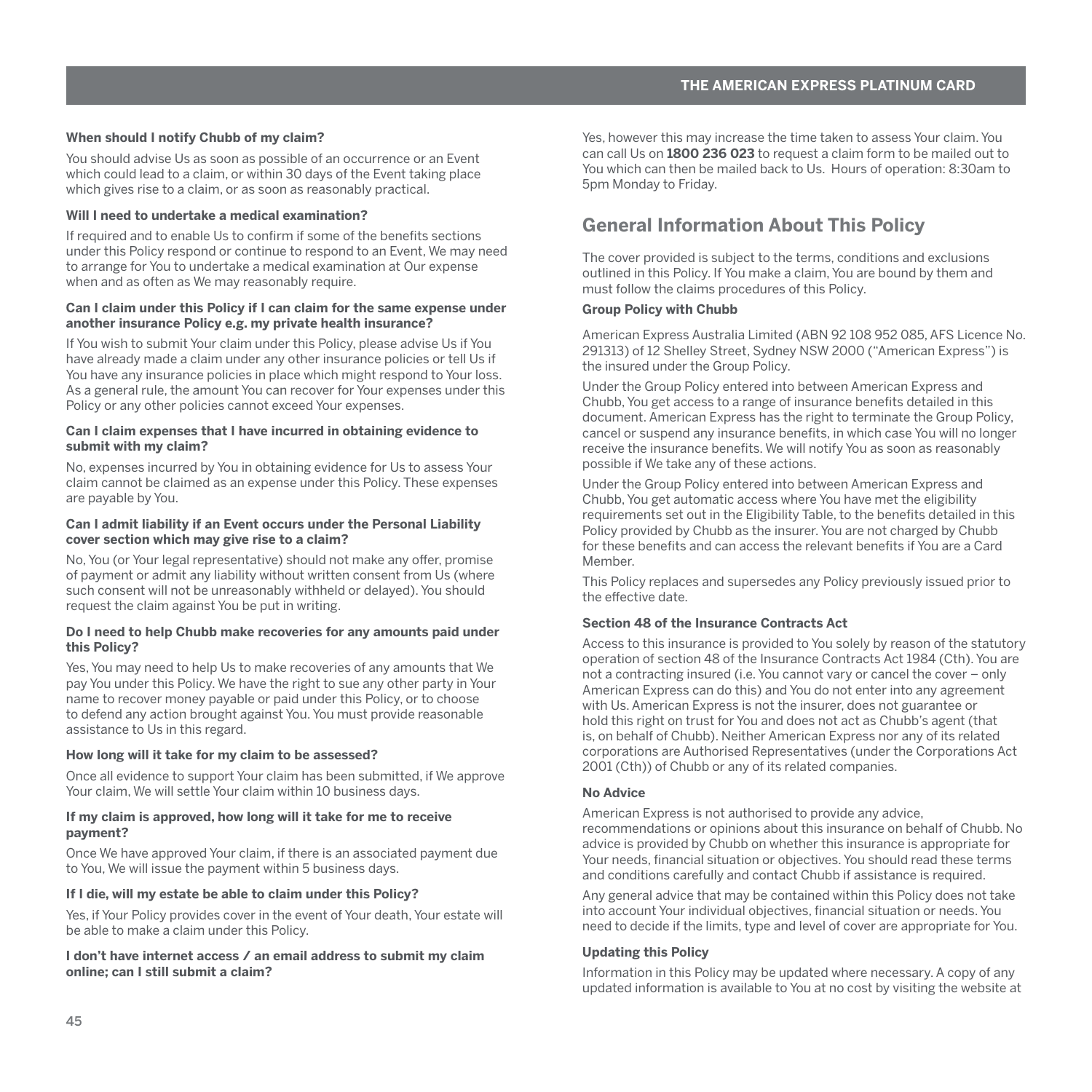#### <span id="page-46-0"></span>**When should I notify Chubb of my claim?**

You should advise Us as soon as possible of an occurrence or an Event which could lead to a claim, or within 30 days of the Event taking place which gives rise to a claim, or as soon as reasonably practical.

#### **Will I need to undertake a medical examination?**

If required and to enable Us to confirm if some of the benefits sections under this Policy respond or continue to respond to an Event, We may need to arrange for You to undertake a medical examination at Our expense when and as often as We may reasonably require.

#### **Can I claim under this Policy if I can claim for the same expense under another insurance Policy e.g. my private health insurance?**

If You wish to submit Your claim under this Policy, please advise Us if You have already made a claim under any other insurance policies or tell Us if You have any insurance policies in place which might respond to Your loss. As a general rule, the amount You can recover for Your expenses under this Policy or any other policies cannot exceed Your expenses.

#### **Can I claim expenses that I have incurred in obtaining evidence to submit with my claim?**

No, expenses incurred by You in obtaining evidence for Us to assess Your claim cannot be claimed as an expense under this Policy. These expenses are payable by You.

#### **Can I admit liability if an Event occurs under the Personal Liability cover section which may give rise to a claim?**

No, You (or Your legal representative) should not make any offer, promise of payment or admit any liability without written consent from Us (where such consent will not be unreasonably withheld or delayed). You should request the claim against You be put in writing.

#### **Do I need to help Chubb make recoveries for any amounts paid under this Policy?**

Yes, You may need to help Us to make recoveries of any amounts that We pay You under this Policy. We have the right to sue any other party in Your name to recover money payable or paid under this Policy, or to choose to defend any action brought against You. You must provide reasonable assistance to Us in this regard.

#### **How long will it take for my claim to be assessed?**

Once all evidence to support Your claim has been submitted, if We approve Your claim, We will settle Your claim within 10 business days.

#### **If my claim is approved, how long will it take for me to receive payment?**

Once We have approved Your claim, if there is an associated payment due to You, We will issue the payment within 5 business days.

#### **If I die, will my estate be able to claim under this Policy?**

Yes, if Your Policy provides cover in the event of Your death, Your estate will be able to make a claim under this Policy.

#### **I don't have internet access / an email address to submit my claim online; can I still submit a claim?**

Yes, however this may increase the time taken to assess Your claim. You can call Us on **1800 236 023** to request a claim form to be mailed out to You which can then be mailed back to Us. Hours of operation: 8:30am to 5pm Monday to Friday.

# **General Information About This Policy**

The cover provided is subject to the terms, conditions and exclusions outlined in this Policy. If You make a claim, You are bound by them and must follow the claims procedures of this Policy.

#### **Group Policy with Chubb**

American Express Australia Limited (ABN 92 108 952 085, AFS Licence No. 291313) of 12 Shelley Street, Sydney NSW 2000 ("American Express") is the insured under the Group Policy.

Under the Group Policy entered into between American Express and Chubb, You get access to a range of insurance benefits detailed in this document. American Express has the right to terminate the Group Policy, cancel or suspend any insurance benefits, in which case You will no longer receive the insurance benefits. We will notify You as soon as reasonably possible if We take any of these actions.

Under the Group Policy entered into between American Express and Chubb, You get automatic access where You have met the eligibility requirements set out in the Eligibility Table, to the benefits detailed in this Policy provided by Chubb as the insurer. You are not charged by Chubb for these benefits and can access the relevant benefits if You are a Card Member.

This Policy replaces and supersedes any Policy previously issued prior to the effective date.

# **Section 48 of the Insurance Contracts Act**

Access to this insurance is provided to You solely by reason of the statutory operation of section 48 of the Insurance Contracts Act 1984 (Cth). You are not a contracting insured (i.e. You cannot vary or cancel the cover – only American Express can do this) and You do not enter into any agreement with Us. American Express is not the insurer, does not guarantee or hold this right on trust for You and does not act as Chubb's agent (that is, on behalf of Chubb). Neither American Express nor any of its related corporations are Authorised Representatives (under the Corporations Act 2001 (Cth)) of Chubb or any of its related companies.

#### **No Advice**

American Express is not authorised to provide any advice, recommendations or opinions about this insurance on behalf of Chubb. No advice is provided by Chubb on whether this insurance is appropriate for Your needs, financial situation or objectives. You should read these terms and conditions carefully and contact Chubb if assistance is required.

Any general advice that may be contained within this Policy does not take into account Your individual objectives, financial situation or needs. You need to decide if the limits, type and level of cover are appropriate for You.

#### **Updating this Policy**

Information in this Policy may be updated where necessary. A copy of any updated information is available to You at no cost by visiting the website at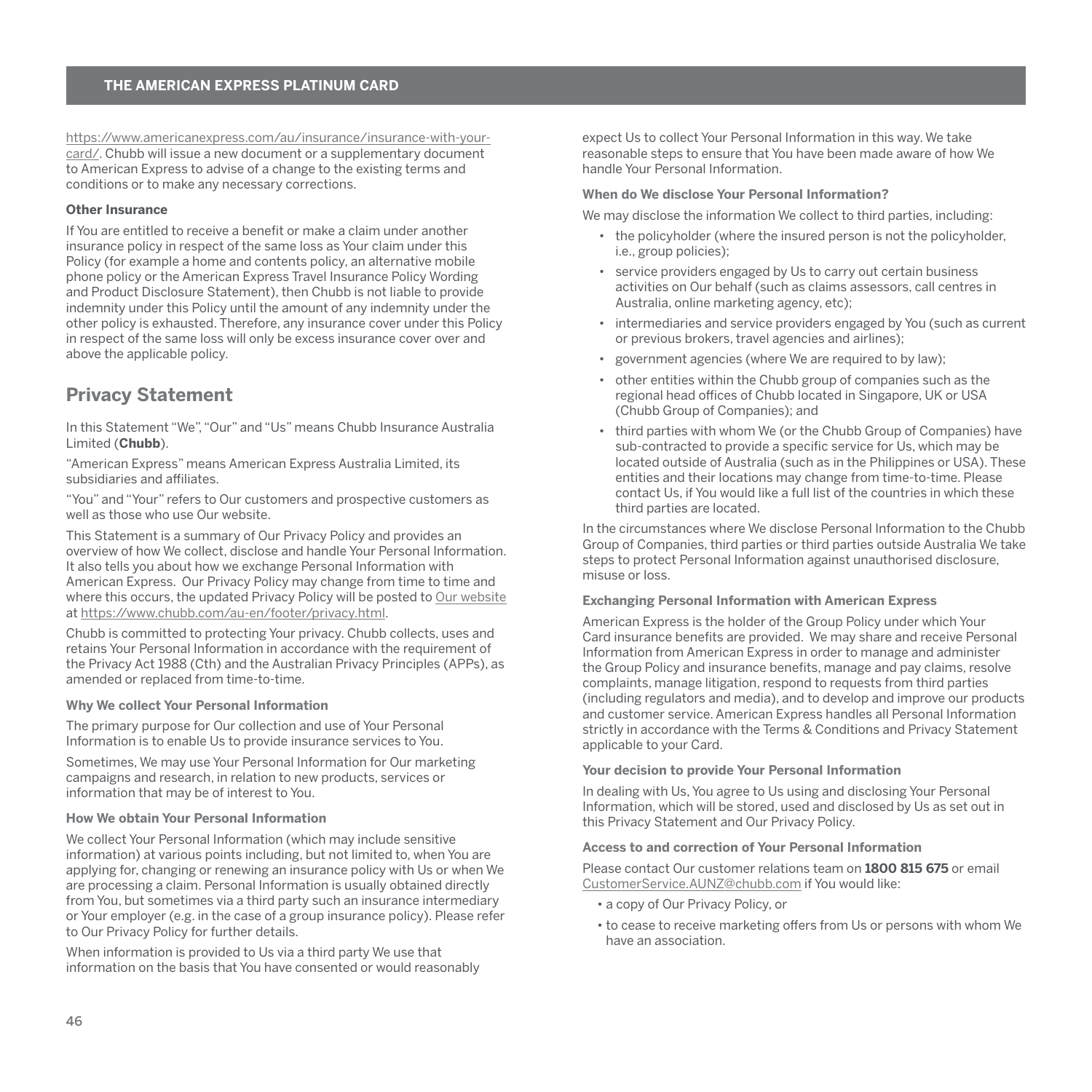<span id="page-47-0"></span>[https://www.americanexpress.com/au/insurance/insurance-with-your](https://www.americanexpress.com/au/insurance/insurance-with-your-card/)[card/.](https://www.americanexpress.com/au/insurance/insurance-with-your-card/) Chubb will issue a new document or a supplementary document to American Express to advise of a change to the existing terms and conditions or to make any necessary corrections.

#### **Other Insurance**

If You are entitled to receive a benefit or make a claim under another insurance policy in respect of the same loss as Your claim under this Policy (for example a home and contents policy, an alternative mobile phone policy or the American Express Travel Insurance Policy Wording and Product Disclosure Statement), then Chubb is not liable to provide indemnity under this Policy until the amount of any indemnity under the other policy is exhausted. Therefore, any insurance cover under this Policy in respect of the same loss will only be excess insurance cover over and above the applicable policy.

# **Privacy Statement**

In this Statement "We", "Our" and "Us" means Chubb Insurance Australia Limited (**Chubb**).

"American Express" means American Express Australia Limited, its subsidiaries and affiliates.

"You" and "Your" refers to Our customers and prospective customers as well as those who use Our website.

This Statement is a summary of Our Privacy Policy and provides an overview of how We collect, disclose and handle Your Personal Information. It also tells you about how we exchange Personal Information with American Express. Our Privacy Policy may change from time to time and where this occurs, the updated Privacy Policy will be posted to [Our website](https://www.chubb.com/au-en/footer/privacy.html) at<https://www.chubb.com/au-en/footer/privacy.html>.

Chubb is committed to protecting Your privacy. Chubb collects, uses and retains Your Personal Information in accordance with the requirement of the Privacy Act 1988 (Cth) and the Australian Privacy Principles (APPs), as amended or replaced from time-to-time.

#### **Why We collect Your Personal Information**

The primary purpose for Our collection and use of Your Personal Information is to enable Us to provide insurance services to You.

Sometimes, We may use Your Personal Information for Our marketing campaigns and research, in relation to new products, services or information that may be of interest to You.

#### **How We obtain Your Personal Information**

We collect Your Personal Information (which may include sensitive information) at various points including, but not limited to, when You are applying for, changing or renewing an insurance policy with Us or when We are processing a claim. Personal Information is usually obtained directly from You, but sometimes via a third party such an insurance intermediary or Your employer (e.g. in the case of a group insurance policy). Please refer to Our Privacy Policy for further details.

When information is provided to Us via a third party We use that information on the basis that You have consented or would reasonably expect Us to collect Your Personal Information in this way. We take reasonable steps to ensure that You have been made aware of how We handle Your Personal Information.

#### **When do We disclose Your Personal Information?**

We may disclose the information We collect to third parties, including:

- the policyholder (where the insured person is not the policyholder, i.e., group policies);
- service providers engaged by Us to carry out certain business activities on Our behalf (such as claims assessors, call centres in Australia, online marketing agency, etc);
- intermediaries and service providers engaged by You (such as current or previous brokers, travel agencies and airlines);
- government agencies (where We are required to by law);
- other entities within the Chubb group of companies such as the regional head offices of Chubb located in Singapore, UK or USA (Chubb Group of Companies); and
- third parties with whom We (or the Chubb Group of Companies) have sub-contracted to provide a specific service for Us, which may be located outside of Australia (such as in the Philippines or USA). These entities and their locations may change from time-to-time. Please contact Us, if You would like a full list of the countries in which these third parties are located.

In the circumstances where We disclose Personal Information to the Chubb Group of Companies, third parties or third parties outside Australia We take steps to protect Personal Information against unauthorised disclosure, misuse or loss.

#### **Exchanging Personal Information with American Express**

American Express is the holder of the Group Policy under which Your Card insurance benefits are provided. We may share and receive Personal Information from American Express in order to manage and administer the Group Policy and insurance benefits, manage and pay claims, resolve complaints, manage litigation, respond to requests from third parties (including regulators and media), and to develop and improve our products and customer service. American Express handles all Personal Information strictly in accordance with the Terms & Conditions and Privacy Statement applicable to your Card.

#### **Your decision to provide Your Personal Information**

In dealing with Us, You agree to Us using and disclosing Your Personal Information, which will be stored, used and disclosed by Us as set out in this Privacy Statement and Our Privacy Policy.

#### **Access to and correction of Your Personal Information**

Please contact Our customer relations team on **1800 815 675** or email [CustomerService.AUNZ@chubb.com](mailto:CustomerService.AUNZ%40chubb.com?subject=) if You would like:

- a copy of Our Privacy Policy, or
- to cease to receive marketing offers from Us or persons with whom We have an association.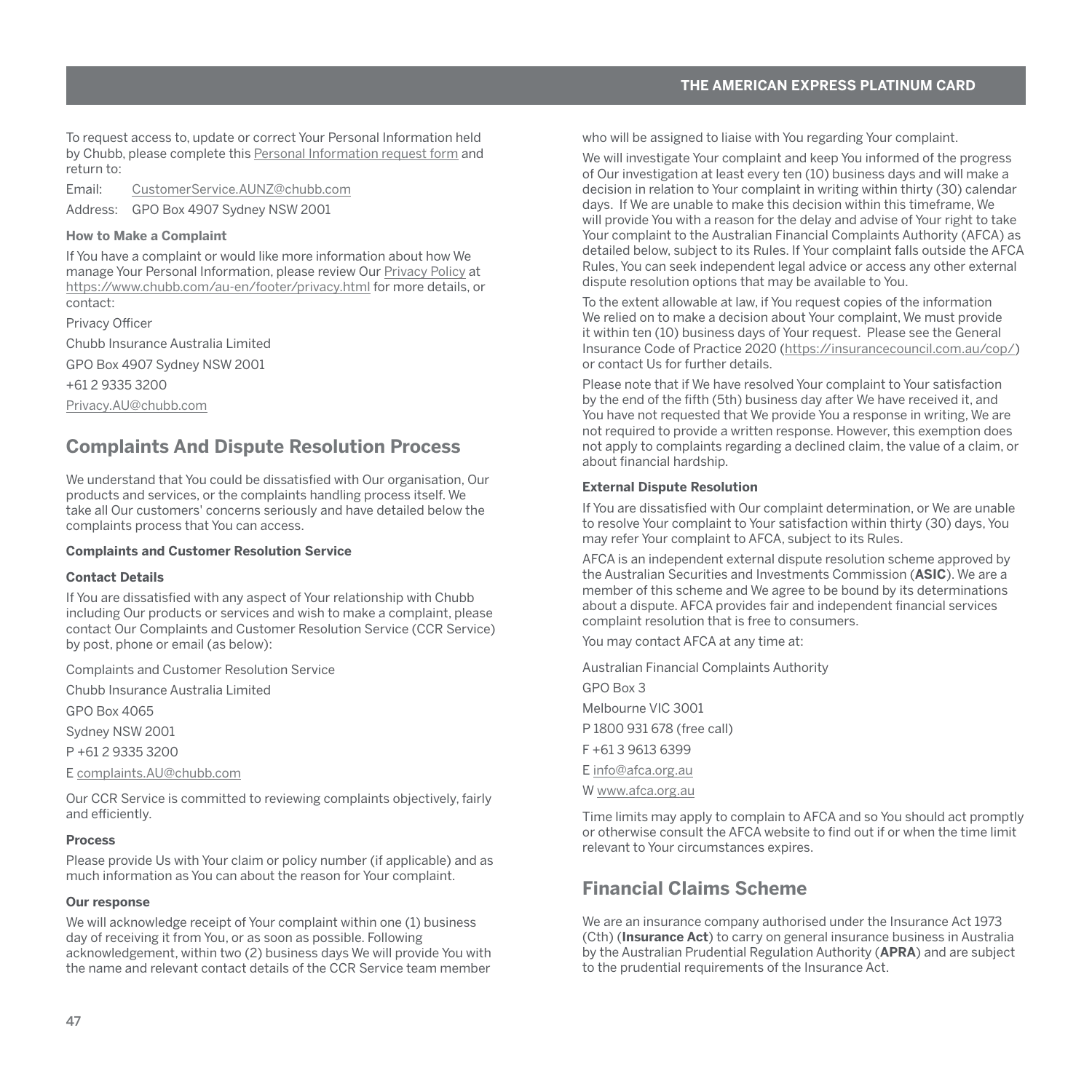<span id="page-48-0"></span>To request access to, update or correct Your Personal Information held by Chubb, please complete this [Personal Information request form](https://www.chubb.com/content/dam/chubb-sites/chubb-com/au-en/footer/privacy/documents/pdf/2014-03-05-personal-information-request-form.pdf) and return to:

Email: [CustomerService.AUNZ@chubb.com](mailto:CustomerService.AUNZ%40chubb.com?subject=)

Address: GPO Box 4907 Sydney NSW 2001

#### **How to Make a Complaint**

If You have a complaint or would like more information about how We manage Your Personal Information, please review Our [Privacy Policy](https://www.chubb.com/au-en/footer/privacy.html) at <https://www.chubb.com/au-en/footer/privacy.html>for more details, or contact:

Privacy Officer

Chubb Insurance Australia Limited

GPO Box 4907 Sydney NSW 2001

+61 2 9335 3200

[Privacy.AU@chubb.com](mailto:Privacy.AU%40chubb.com?subject=)

# **Complaints And Dispute Resolution Process**

We understand that You could be dissatisfied with Our organisation, Our products and services, or the complaints handling process itself. We take all Our customers' concerns seriously and have detailed below the complaints process that You can access.

#### **Complaints and Customer Resolution Service**

# **Contact Details**

If You are dissatisfied with any aspect of Your relationship with Chubb including Our products or services and wish to make a complaint, please contact Our Complaints and Customer Resolution Service (CCR Service) by post, phone or email (as below):

Complaints and Customer Resolution Service

Chubb Insurance Australia Limited

GPO Box 4065

Sydney NSW 2001

P +61 2 9335 3200

E [complaints.AU@chubb.com](mailto:complaints.AU%40chubb.com?subject=)

Our CCR Service is committed to reviewing complaints objectively, fairly and efficiently.

#### **Process**

Please provide Us with Your claim or policy number (if applicable) and as much information as You can about the reason for Your complaint.

#### **Our response**

We will acknowledge receipt of Your complaint within one (1) business day of receiving it from You, or as soon as possible. Following acknowledgement, within two (2) business days We will provide You with the name and relevant contact details of the CCR Service team member

who will be assigned to liaise with You regarding Your complaint.

We will investigate Your complaint and keep You informed of the progress of Our investigation at least every ten (10) business days and will make a decision in relation to Your complaint in writing within thirty (30) calendar days. If We are unable to make this decision within this timeframe, We will provide You with a reason for the delay and advise of Your right to take Your complaint to the Australian Financial Complaints Authority (AFCA) as detailed below, subject to its Rules. If Your complaint falls outside the AFCA Rules, You can seek independent legal advice or access any other external dispute resolution options that may be available to You.

To the extent allowable at law, if You request copies of the information We relied on to make a decision about Your complaint. We must provide it within ten (10) business days of Your request. Please see the General Insurance Code of Practice 2020 (<https://insurancecouncil.com.au/cop/>) or contact Us for further details.

Please note that if We have resolved Your complaint to Your satisfaction by the end of the fifth (5th) business day after We have received it, and You have not requested that We provide You a response in writing, We are not required to provide a written response. However, this exemption does not apply to complaints regarding a declined claim, the value of a claim, or about financial hardship.

#### **External Dispute Resolution**

If You are dissatisfied with Our complaint determination, or We are unable to resolve Your complaint to Your satisfaction within thirty (30) days, You may refer Your complaint to AFCA, subject to its Rules.

AFCA is an independent external dispute resolution scheme approved by the Australian Securities and Investments Commission (**ASIC**). We are a member of this scheme and We agree to be bound by its determinations about a dispute. AFCA provides fair and independent financial services complaint resolution that is free to consumers.

You may contact AFCA at any time at:

Australian Financial Complaints Authority GPO Box 3 Melbourne VIC 3001 P 1800 931 678 (free call) F +61 3 9613 6399 E [info@afca.org.au](mailto:info%40afca.org.au?subject=) W [www.afca.org.au](http://www.afca.org.au)

Time limits may apply to complain to AFCA and so You should act promptly or otherwise consult the AFCA website to find out if or when the time limit relevant to Your circumstances expires.

# **Financial Claims Scheme**

We are an insurance company authorised under the Insurance Act 1973 (Cth) (**Insurance Act**) to carry on general insurance business in Australia by the Australian Prudential Regulation Authority (**APRA**) and are subject to the prudential requirements of the Insurance Act.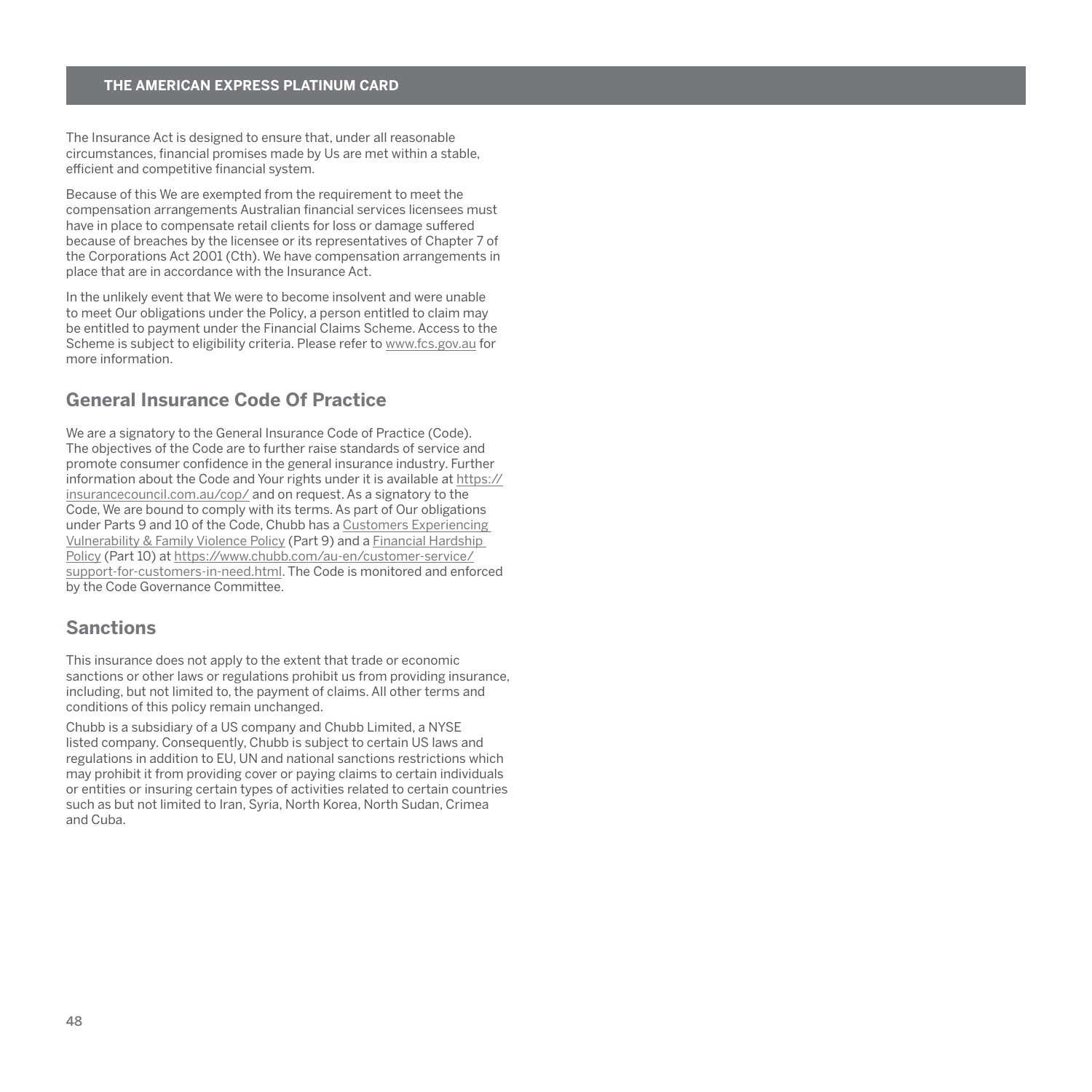<span id="page-49-0"></span>The Insurance Act is designed to ensure that, under all reasonable circumstances, financial promises made by Us are met within a stable, efficient and competitive financial system.

Because of this We are exempted from the requirement to meet the compensation arrangements Australian financial services licensees must have in place to compensate retail clients for loss or damage suffered because of breaches by the licensee or its representatives of Chapter 7 of the Corporations Act 2001 (Cth). We have compensation arrangements in place that are in accordance with the Insurance Act.

In the unlikely event that We were to become insolvent and were unable to meet Our obligations under the Policy, a person entitled to claim may be entitled to payment under the Financial Claims Scheme. Access to the Scheme is subject to eligibility criteria. Please refer to [www.fcs.gov.au](http://www.fcs.gov.au) for more information.

# **General Insurance Code Of Practice**

We are a signatory to the General Insurance Code of Practice (Code). The objectives of the Code are to further raise standards of service and promote consumer confidence in the general insurance industry. Further information about the Code and Your rights under it is available at [https://](https://insurancecouncil.com.au/cop/) [insurancecouncil.com.au/cop/](https://insurancecouncil.com.au/cop/) and on request. As a signatory to the Code, We are bound to comply with its terms. As part of Our obligations under Parts 9 and 10 of the Code, Chubb has a [Customers Experiencing](https://www.chubb.com/au-en/customer-service/support-for-customers-in-need.html)  [Vulnerability & Family Violence Policy](https://www.chubb.com/au-en/customer-service/support-for-customers-in-need.html) (Part 9) and a [Financial Hardship](https://www.chubb.com/au-en/customer-service/financial-hardship-policy.html)  [Policy](https://www.chubb.com/au-en/customer-service/financial-hardship-policy.html) (Part 10) at [https://www.chubb.com/au-en/customer-service/](https://www.chubb.com/au-en/customer-service/support-for-customers-in-need.html) [support-for-customers-in-need.html.](https://www.chubb.com/au-en/customer-service/support-for-customers-in-need.html) The Code is monitored and enforced by the Code Governance Committee.

# **Sanctions**

This insurance does not apply to the extent that trade or economic sanctions or other laws or regulations prohibit us from providing insurance, including, but not limited to, the payment of claims. All other terms and conditions of this policy remain unchanged.

Chubb is a subsidiary of a US company and Chubb Limited, a NYSE listed company. Consequently, Chubb is subject to certain US laws and regulations in addition to EU, UN and national sanctions restrictions which may prohibit it from providing cover or paying claims to certain individuals or entities or insuring certain types of activities related to certain countries such as but not limited to Iran, Syria, North Korea, North Sudan, Crimea and Cuba.